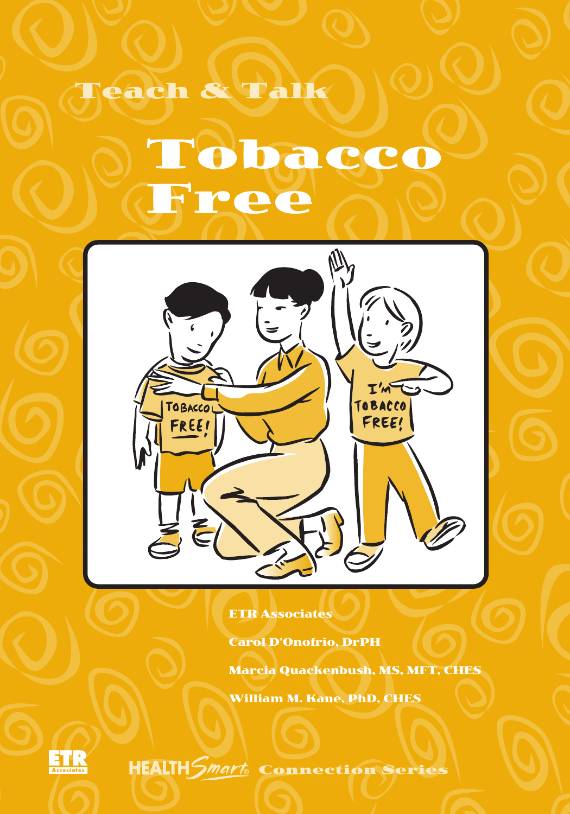# Tobacco Free

Teach & Talk



ETR Associates

Carol D'Onofrio, DrPH

Marcia Quackenbush, MS, MFT, CHES

William M. Kane, PhD, CHES



Connection Series ®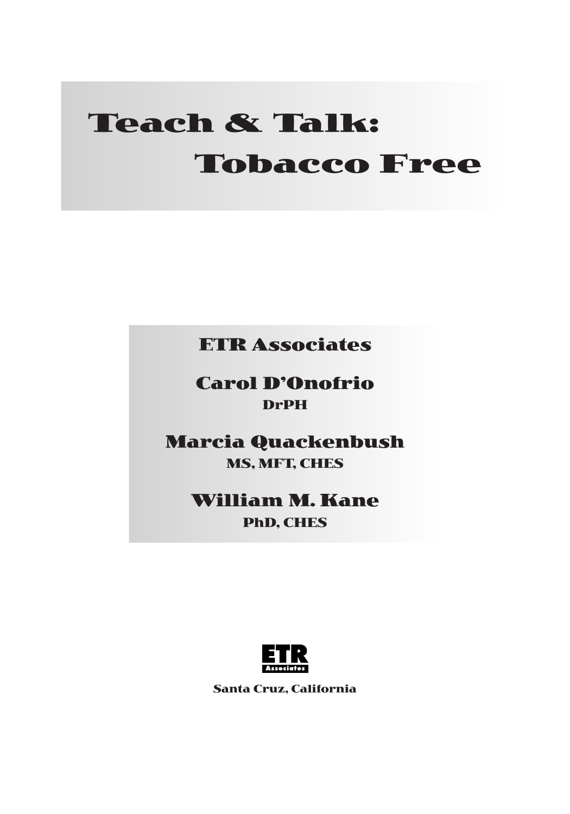# **Teach & Talk: Tobacco Free**

**ETR Associates**

**Carol D'Onofrio DrPH**

**Marcia Quackenbush MS, MFT, CHES**

> **William M. Kane PhD, CHES**



**Santa Cruz, California**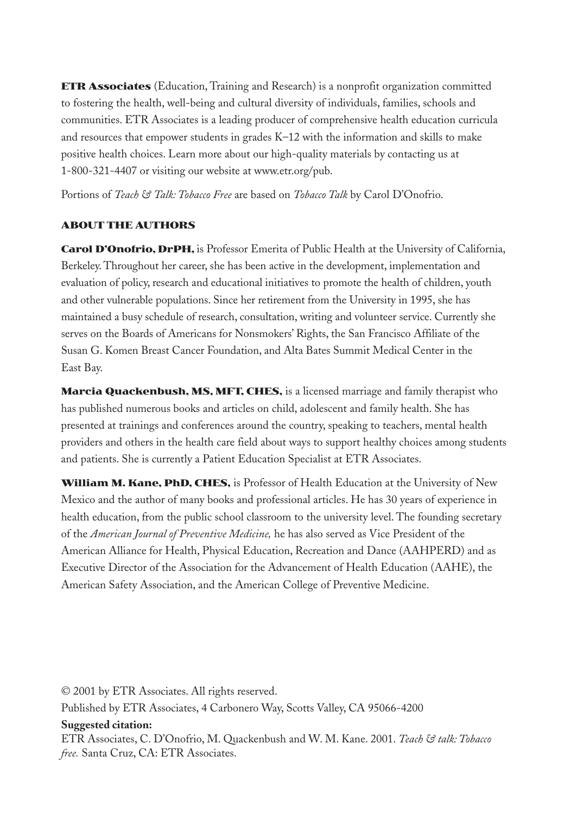**ETR Associates** (Education, Training and Research) is a nonprofit organization committed to fostering the health, well-being and cultural diversity of individuals, families, schools and communities. ETR Associates is a leading producer of comprehensive health education curricula and resources that empower students in grades K–12 with the information and skills to make positive health choices. Learn more about our high-quality materials by contacting us at 1-800-321-4407 or visiting our website at www.etr.org/pub.

Portions of *Teach & Talk: Tobacco Free* are based on *Tobacco Talk* by Carol D'Onofrio.

#### **ABOUT THE AUTHORS**

**Carol D'Onofrio, DrPH,** is Professor Emerita of Public Health at the University of California, Berkeley. Throughout her career, she has been active in the development, implementation and evaluation of policy, research and educational initiatives to promote the health of children, youth and other vulnerable populations. Since her retirement from the University in 1995, she has maintained a busy schedule of research, consultation, writing and volunteer service. Currently she serves on the Boards of Americans for Nonsmokers' Rights, the San Francisco Affiliate of the Susan G. Komen Breast Cancer Foundation, and Alta Bates Summit Medical Center in the East Bay.

**Marcia Quackenbush, MS, MFT, CHES,** is a licensed marriage and family therapist who has published numerous books and articles on child, adolescent and family health. She has presented at trainings and conferences around the country, speaking to teachers, mental health providers and others in the health care field about ways to support healthy choices among students and patients. She is currently a Patient Education Specialist at ETR Associates.

**William M. Kane, PhD, CHES,** is Professor of Health Education at the University of New Mexico and the author of many books and professional articles. He has 30 years of experience in health education, from the public school classroom to the university level. The founding secretary of the *American Journal of Preventive Medicine,* he has also served as Vice President of the American Alliance for Health, Physical Education, Recreation and Dance (AAHPERD) and as Executive Director of the Association for the Advancement of Health Education (AAHE), the American Safety Association, and the American College of Preventive Medicine.

© 2001 by ETR Associates. All rights reserved.

Published by ETR Associates, 4 Carbonero Way, Scotts Valley, CA 95066-4200

#### **Suggested citation:**

ETR Associates, C. D'Onofrio, M. Quackenbush and W. M. Kane. 2001. *Teach & talk: Tobacco free.* Santa Cruz, CA: ETR Associates.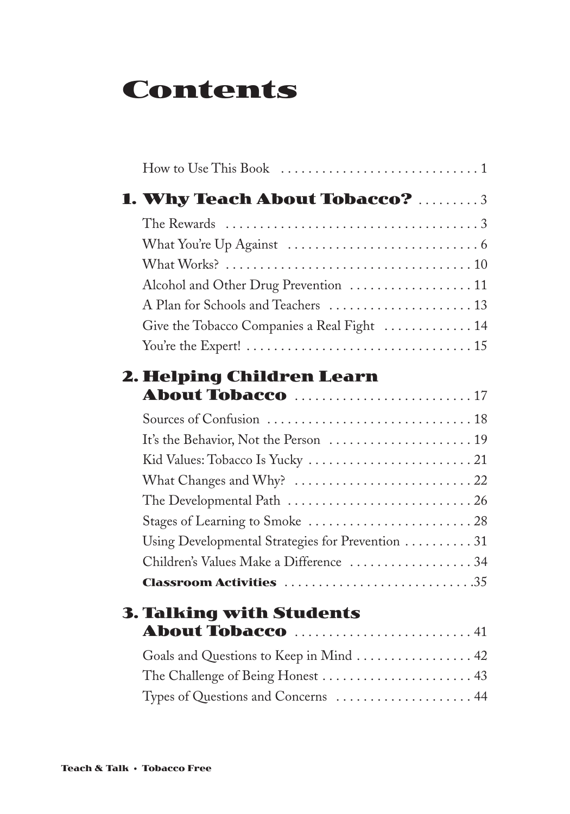# **Contents**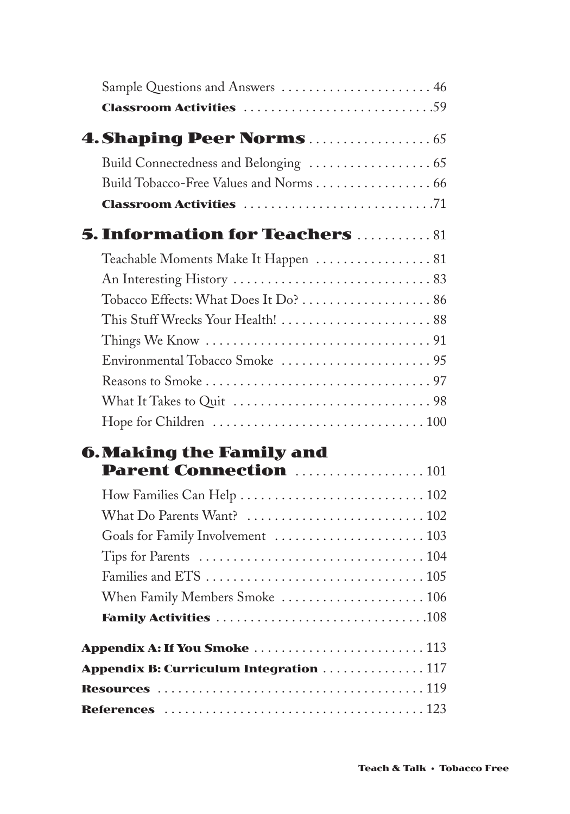|                          | Sample Questions and Answers  46                                    |
|--------------------------|---------------------------------------------------------------------|
|                          | <b>Classroom Activities</b> 59                                      |
|                          |                                                                     |
|                          |                                                                     |
|                          | Build Tobacco-Free Values and Norms 66                              |
|                          |                                                                     |
|                          | <b>5. Information for Teachers 81</b>                               |
|                          | Teachable Moments Make It Happen 81                                 |
|                          |                                                                     |
|                          |                                                                     |
|                          | This Stuff Wrecks Your Health!  88                                  |
|                          | Things We Know $\dots\dots\dots\dots\dots\dots\dots\dots\dots\dots$ |
|                          |                                                                     |
|                          |                                                                     |
|                          |                                                                     |
|                          |                                                                     |
| 6. Making the Family and |                                                                     |
|                          | Parent Connection 101                                               |
|                          |                                                                     |
|                          |                                                                     |
|                          |                                                                     |
|                          |                                                                     |
|                          |                                                                     |
|                          |                                                                     |
|                          |                                                                     |
|                          |                                                                     |
|                          | <b>Appendix B: Curriculum Integration 117</b>                       |
|                          |                                                                     |
|                          |                                                                     |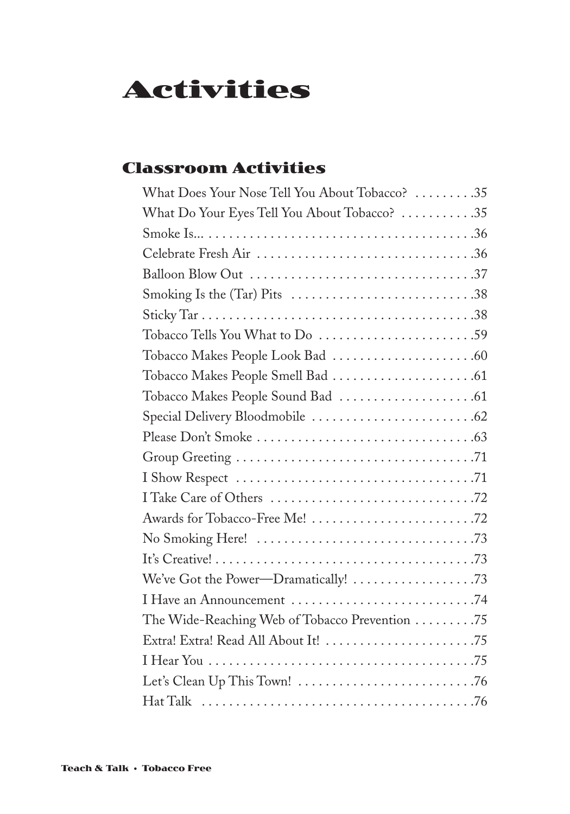# **Activities**

# **Classroom Activities**

| What Does Your Nose Tell You About Tobacco? 35 |
|------------------------------------------------|
| What Do Your Eyes Tell You About Tobacco? 35   |
|                                                |
|                                                |
|                                                |
|                                                |
|                                                |
|                                                |
|                                                |
|                                                |
|                                                |
|                                                |
|                                                |
|                                                |
|                                                |
|                                                |
|                                                |
|                                                |
|                                                |
|                                                |
|                                                |
| The Wide-Reaching Web of Tobacco Prevention 75 |
|                                                |
|                                                |
|                                                |
|                                                |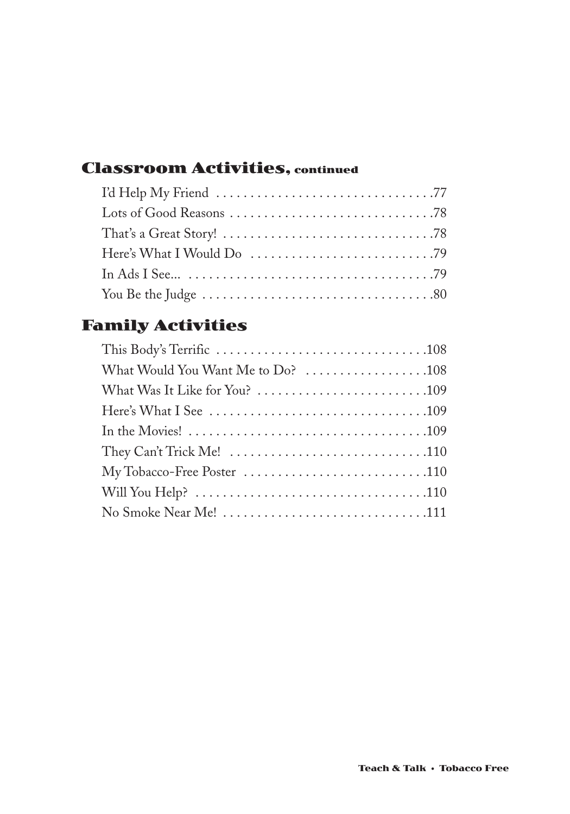# **Classroom Activities, continued**

# **Family Activities**

| What Would You Want Me to Do? 108                                                                               |
|-----------------------------------------------------------------------------------------------------------------|
|                                                                                                                 |
|                                                                                                                 |
| In the Movies! $\ldots \ldots \ldots \ldots \ldots \ldots \ldots \ldots \ldots \ldots \ldots \ldots \ldots 109$ |
| They Can't Trick Me! $\dots\dots\dots\dots\dots\dots\dots\dots\dots\dots\dots$                                  |
|                                                                                                                 |
|                                                                                                                 |
|                                                                                                                 |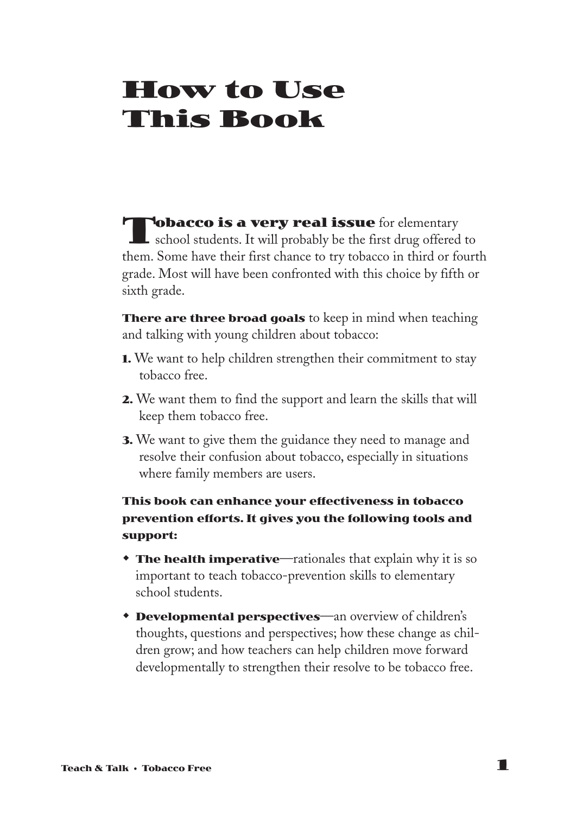# **How to Use This Book**

**Tobacco is a very real issue** for elementary  $\blacksquare$  school students. It will probably be the first drug offered to them. Some have their first chance to try tobacco in third or fourth grade. Most will have been confronted with this choice by fifth or sixth grade.

**There are three broad goals** to keep in mind when teaching and talking with young children about tobacco:

- **1.** We want to help children strengthen their commitment to stay tobacco free.
- **2.** We want them to find the support and learn the skills that will keep them tobacco free.
- **3.** We want to give them the guidance they need to manage and resolve their confusion about tobacco, especially in situations where family members are users.

### **This book can enhance your effectiveness in tobacco prevention efforts. It gives you the following tools and support:**

- **The health imperative**—rationales that explain why it is so important to teach tobacco-prevention skills to elementary school students.
- **Developmental perspectives—an overview of children's** thoughts, questions and perspectives; how these change as children grow; and how teachers can help children move forward developmentally to strengthen their resolve to be tobacco free.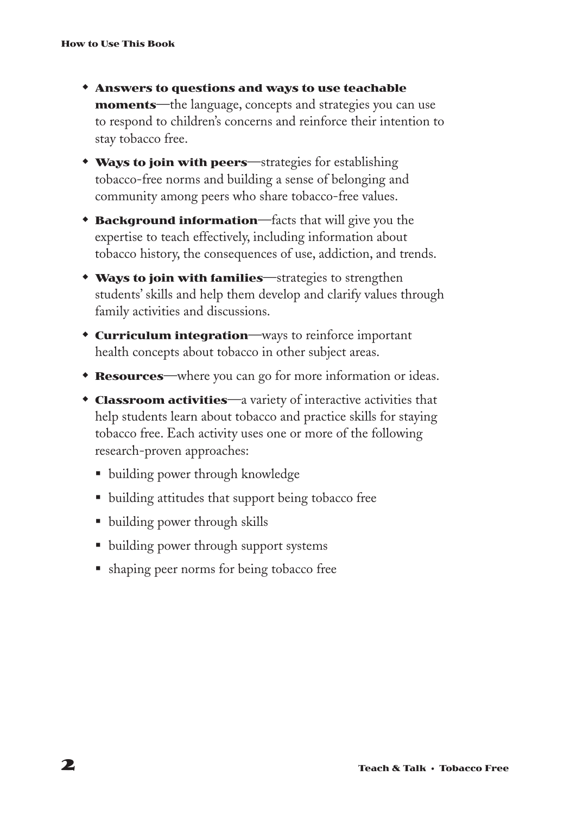- **\* Answers to questions and ways to use teachable moments**—the language, concepts and strategies you can use to respond to children's concerns and reinforce their intention to stay tobacco free.
- **\* Ways to join with peers**—strategies for establishing tobacco-free norms and building a sense of belonging and community among peers who share tobacco-free values.
- **Background information**—facts that will give you the expertise to teach effectively, including information about tobacco history, the consequences of use, addiction, and trends.
- **\* Ways to join with families**—strategies to strengthen students' skills and help them develop and clarify values through family activities and discussions.
- **\* Curriculum integration**—ways to reinforce important health concepts about tobacco in other subject areas.
- **Resources**—where you can go for more information or ideas.
- **Classroom activities**—a variety of interactive activities that help students learn about tobacco and practice skills for staying tobacco free. Each activity uses one or more of the following research-proven approaches:
	- building power through knowledge
	- § building attitudes that support being tobacco free
	- building power through skills
	- building power through support systems
	- shaping peer norms for being tobacco free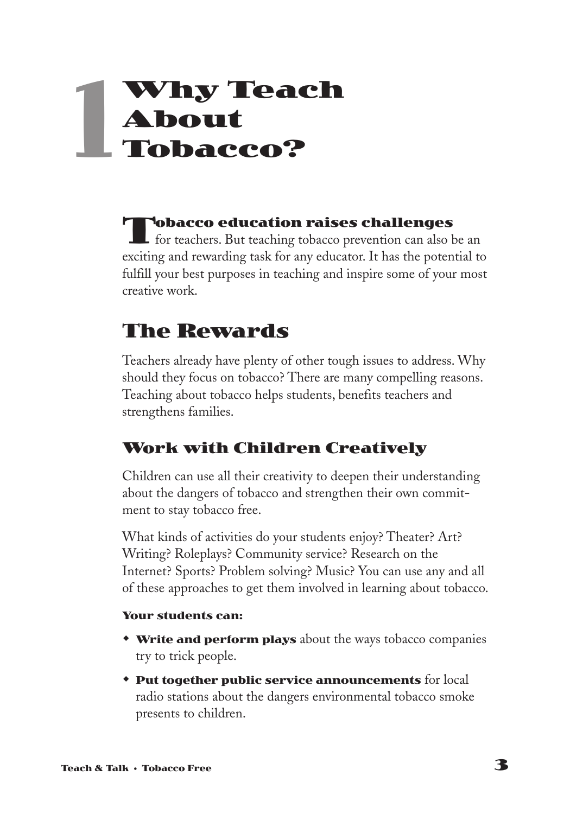# **Why Teach About Tobacco? 1**

**Tobacco education raises challenges**  $\blacksquare$  for teachers. But teaching tobacco prevention can also be an exciting and rewarding task for any educator. It has the potential to fulfill your best purposes in teaching and inspire some of your most creative work.

# **The Rewards**

Teachers already have plenty of other tough issues to address. Why should they focus on tobacco? There are many compelling reasons. Teaching about tobacco helps students, benefits teachers and strengthens families.

# **Work with Children Creatively**

Children can use all their creativity to deepen their understanding about the dangers of tobacco and strengthen their own commitment to stay tobacco free.

What kinds of activities do your students enjoy? Theater? Art? Writing? Roleplays? Community service? Research on the Internet? Sports? Problem solving? Music? You can use any and all of these approaches to get them involved in learning about tobacco.

### **Your students can:**

- **\* Write and perform plays** about the ways tobacco companies try to trick people.
- **\* Put together public service announcements** for local radio stations about the dangers environmental tobacco smoke presents to children.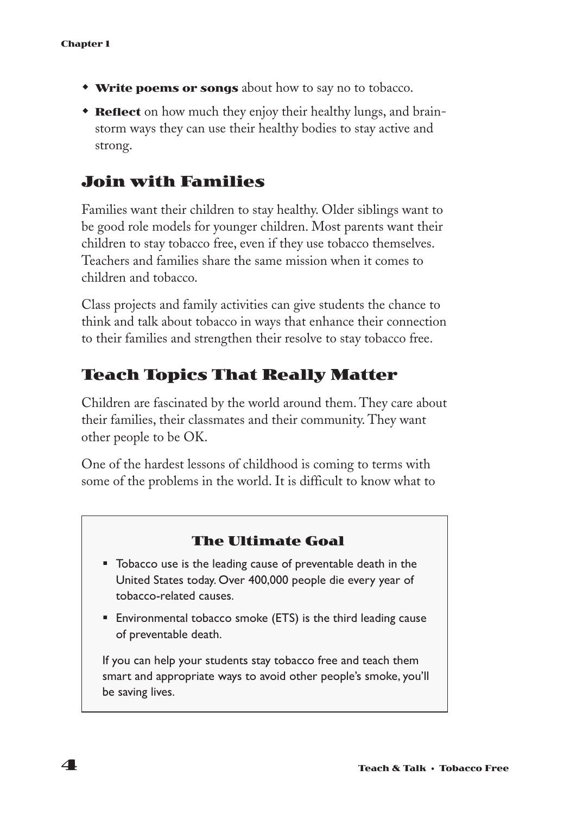- **Write poems or songs** about how to say no to tobacco.
- **Reflect** on how much they enjoy their healthy lungs, and brainstorm ways they can use their healthy bodies to stay active and strong.

### **Join with Families**

Families want their children to stay healthy. Older siblings want to be good role models for younger children. Most parents want their children to stay tobacco free, even if they use tobacco themselves. Teachers and families share the same mission when it comes to children and tobacco.

Class projects and family activities can give students the chance to think and talk about tobacco in ways that enhance their connection to their families and strengthen their resolve to stay tobacco free.

### **Teach Topics That Really Matter**

Children are fascinated by the world around them. They care about their families, their classmates and their community. They want other people to be OK.

One of the hardest lessons of childhood is coming to terms with some of the problems in the world. It is difficult to know what to

### **The Ultimate Goal**

- Tobacco use is the leading cause of preventable death in the United States today. Over 400,000 people die every year of tobacco-related causes.
- Environmental tobacco smoke (ETS) is the third leading cause of preventable death.

If you can help your students stay tobacco free and teach them smart and appropriate ways to avoid other people's smoke, you'll be saving lives.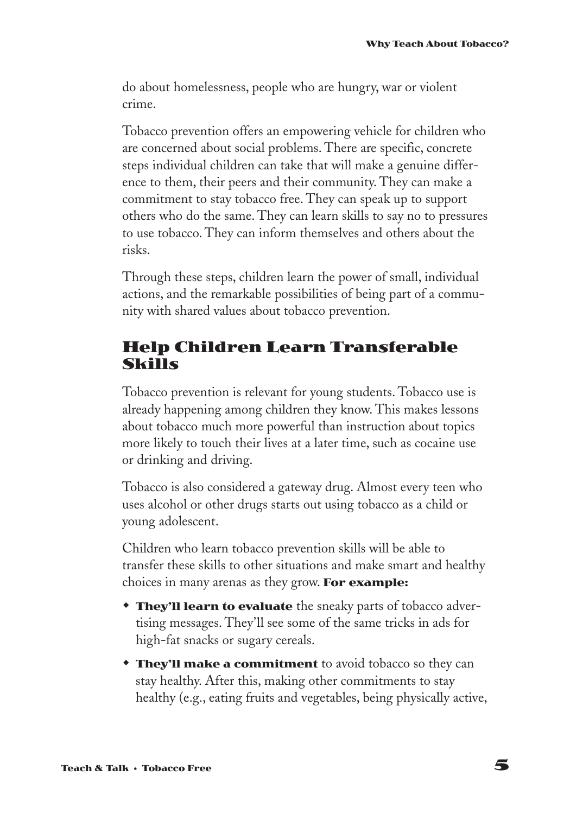do about homelessness, people who are hungry, war or violent crime.

Tobacco prevention offers an empowering vehicle for children who are concerned about social problems. There are specific, concrete steps individual children can take that will make a genuine difference to them, their peers and their community. They can make a commitment to stay tobacco free. They can speak up to support others who do the same. They can learn skills to say no to pressures to use tobacco. They can inform themselves and others about the risks.

Through these steps, children learn the power of small, individual actions, and the remarkable possibilities of being part of a community with shared values about tobacco prevention.

### **Help Children Learn Transferable Skills**

Tobacco prevention is relevant for young students. Tobacco use is already happening among children they know. This makes lessons about tobacco much more powerful than instruction about topics more likely to touch their lives at a later time, such as cocaine use or drinking and driving.

Tobacco is also considered a gateway drug. Almost every teen who uses alcohol or other drugs starts out using tobacco as a child or young adolescent.

Children who learn tobacco prevention skills will be able to transfer these skills to other situations and make smart and healthy choices in many arenas as they grow. **For example:**

- **They'll learn to evaluate** the sneaky parts of tobacco advertising messages. They'll see some of the same tricks in ads for high-fat snacks or sugary cereals.
- **They'll make a commitment** to avoid tobacco so they can stay healthy. After this, making other commitments to stay healthy (e.g., eating fruits and vegetables, being physically active,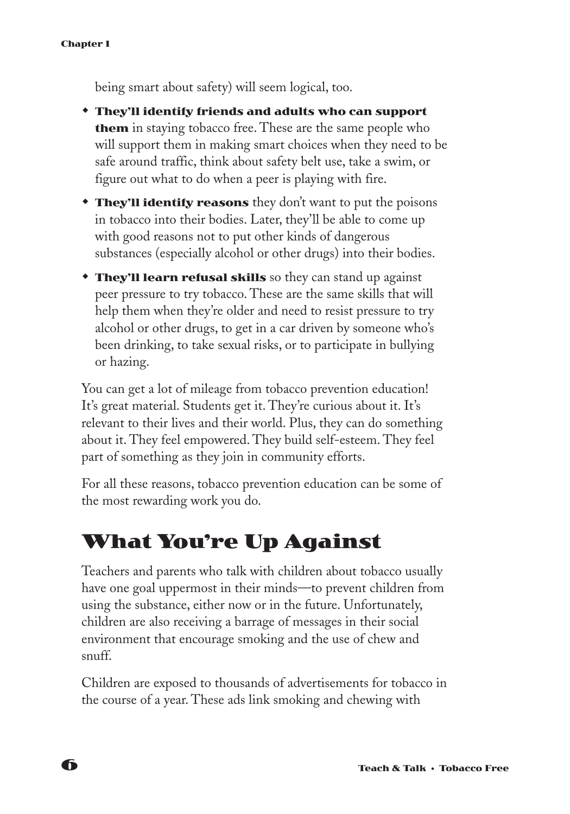being smart about safety) will seem logical, too.

- w **They'll identify friends and adults who can support them** in staying tobacco free. These are the same people who will support them in making smart choices when they need to be safe around traffic, think about safety belt use, take a swim, or figure out what to do when a peer is playing with fire.
- **They'll identify reasons** they don't want to put the poisons in tobacco into their bodies. Later, they'll be able to come up with good reasons not to put other kinds of dangerous substances (especially alcohol or other drugs) into their bodies.
- **They'll learn refusal skills** so they can stand up against peer pressure to try tobacco. These are the same skills that will help them when they're older and need to resist pressure to try alcohol or other drugs, to get in a car driven by someone who's been drinking, to take sexual risks, or to participate in bullying or hazing.

You can get a lot of mileage from tobacco prevention education! It's great material. Students get it. They're curious about it. It's relevant to their lives and their world. Plus, they can do something about it. They feel empowered. They build self-esteem. They feel part of something as they join in community efforts.

For all these reasons, tobacco prevention education can be some of the most rewarding work you do.

# **What You're Up Against**

Teachers and parents who talk with children about tobacco usually have one goal uppermost in their minds—to prevent children from using the substance, either now or in the future. Unfortunately, children are also receiving a barrage of messages in their social environment that encourage smoking and the use of chew and snuff.

Children are exposed to thousands of advertisements for tobacco in the course of a year. These ads link smoking and chewing with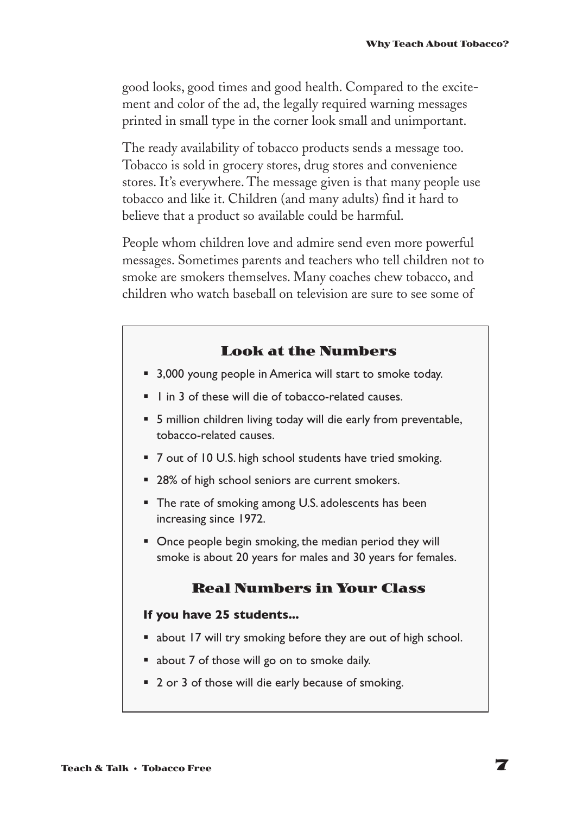good looks, good times and good health. Compared to the excitement and color of the ad, the legally required warning messages printed in small type in the corner look small and unimportant.

The ready availability of tobacco products sends a message too. Tobacco is sold in grocery stores, drug stores and convenience stores. It's everywhere. The message given is that many people use tobacco and like it. Children (and many adults) find it hard to believe that a product so available could be harmful.

People whom children love and admire send even more powerful messages. Sometimes parents and teachers who tell children not to smoke are smokers themselves. Many coaches chew tobacco, and children who watch baseball on television are sure to see some of

#### **Look at the Numbers**

- 3,000 young people in America will start to smoke today.
- 1 in 3 of these will die of tobacco-related causes.
- § 5 million children living today will die early from preventable, tobacco-related causes.
- 7 out of 10 U.S. high school students have tried smoking.
- 28% of high school seniors are current smokers.
- The rate of smoking among U.S. adolescents has been increasing since 1972.
- Once people begin smoking, the median period they will smoke is about 20 years for males and 30 years for females.

### **Real Numbers in Your Class**

#### **If you have 25 students...**

- about 17 will try smoking before they are out of high school.
- about 7 of those will go on to smoke daily.
- 2 or 3 of those will die early because of smoking.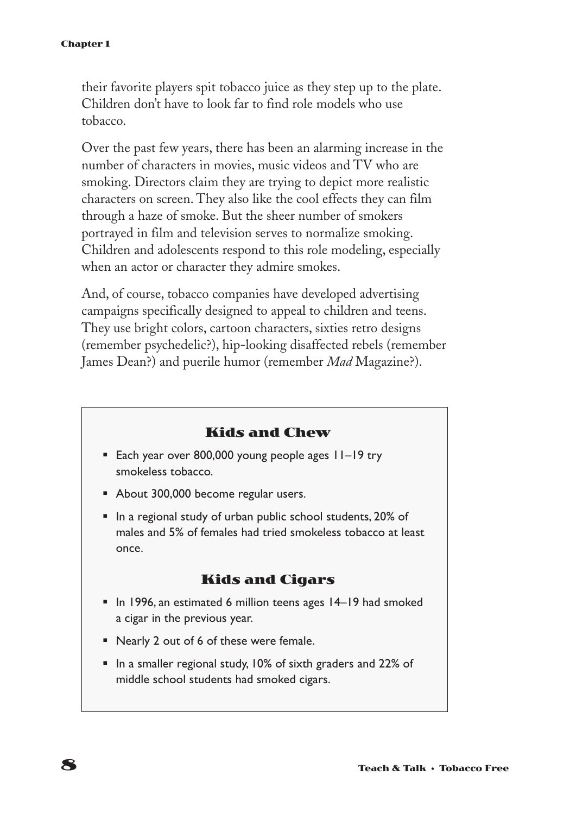their favorite players spit tobacco juice as they step up to the plate. Children don't have to look far to find role models who use tobacco.

Over the past few years, there has been an alarming increase in the number of characters in movies, music videos and TV who are smoking. Directors claim they are trying to depict more realistic characters on screen. They also like the cool effects they can film through a haze of smoke. But the sheer number of smokers portrayed in film and television serves to normalize smoking. Children and adolescents respond to this role modeling, especially when an actor or character they admire smokes.

And, of course, tobacco companies have developed advertising campaigns specifically designed to appeal to children and teens. They use bright colors, cartoon characters, sixties retro designs (remember psychedelic?), hip-looking disaffected rebels (remember James Dean?) and puerile humor (remember *Mad* Magazine?).

### **Kids and Chew**

- Each year over 800,000 young people ages 11–19 try smokeless tobacco.
- About 300,000 become regular users.
- § In a regional study of urban public school students, 20% of males and 5% of females had tried smokeless tobacco at least once.

### **Kids and Cigars**

- In 1996, an estimated 6 million teens ages 14–19 had smoked a cigar in the previous year.
- Nearly 2 out of 6 of these were female.
- § In a smaller regional study, 10% of sixth graders and 22% of middle school students had smoked cigars.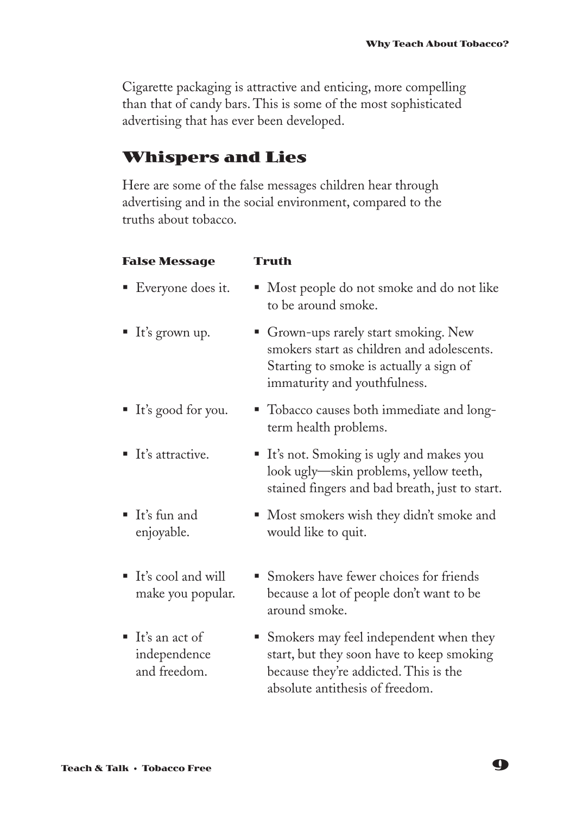Cigarette packaging is attractive and enticing, more compelling than that of candy bars. This is some of the most sophisticated advertising that has ever been developed.

### **Whispers and Lies**

Here are some of the false messages children hear through advertising and in the social environment, compared to the truths about tobacco.

| <b>False Message</b>                                          | Truth                                                                                                                                                          |
|---------------------------------------------------------------|----------------------------------------------------------------------------------------------------------------------------------------------------------------|
| ■ Everyone does it.                                           | Most people do not smoke and do not like<br>to be around smoke.                                                                                                |
| $\blacksquare$ It's grown up.                                 | • Grown-ups rarely start smoking. New<br>smokers start as children and adolescents.<br>Starting to smoke is actually a sign of<br>immaturity and youthfulness. |
| ■ It's good for you.                                          | • Tobacco causes both immediate and long-<br>term health problems.                                                                                             |
| $\blacksquare$ It's attractive.                               | ■ It's not. Smoking is ugly and makes you<br>look ugly—skin problems, yellow teeth,<br>stained fingers and bad breath, just to start.                          |
| It's fun and<br>enjoyable.                                    | • Most smokers wish they didn't smoke and<br>would like to quit.                                                                                               |
| $\blacksquare$ It's cool and will<br>make you popular.        | • Smokers have fewer choices for friends<br>because a lot of people don't want to be<br>around smoke.                                                          |
| $\blacksquare$ It's an act of<br>independence<br>and freedom. | • Smokers may feel independent when they<br>start, but they soon have to keep smoking<br>because they're addicted. This is the                                 |

absolute antithesis of freedom.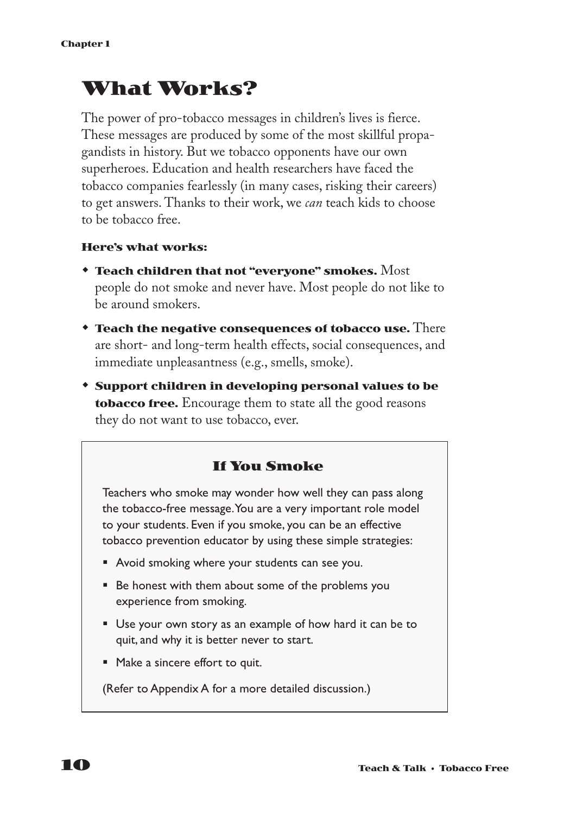# **What Works?**

The power of pro-tobacco messages in children's lives is fierce. These messages are produced by some of the most skillful propagandists in history. But we tobacco opponents have our own superheroes. Education and health researchers have faced the tobacco companies fearlessly (in many cases, risking their careers) to get answers. Thanks to their work, we *can* teach kids to choose to be tobacco free.

#### **Here's what works:**

- w **Teach children that not "everyone" smokes.** Most people do not smoke and never have. Most people do not like to be around smokers.
- **\* Teach the negative consequences of tobacco use.** There are short- and long-term health effects, social consequences, and immediate unpleasantness (e.g., smells, smoke).
- w **Support children in developing personal values to be tobacco free.** Encourage them to state all the good reasons they do not want to use tobacco, ever.

### **If You Smoke**

Teachers who smoke may wonder how well they can pass along the tobacco-free message.You are a very important role model to your students. Even if you smoke, you can be an effective tobacco prevention educator by using these simple strategies:

- Avoid smoking where your students can see you.
- Be honest with them about some of the problems you experience from smoking.
- Use your own story as an example of how hard it can be to quit, and why it is better never to start.
- Make a sincere effort to quit.

(Refer to Appendix A for a more detailed discussion.)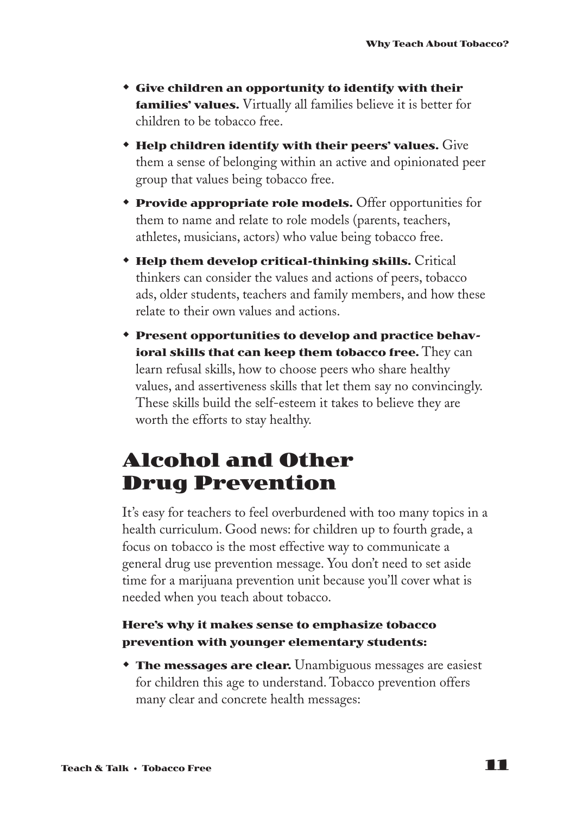- **\*** Give children an opportunity to identify with their **families' values.** Virtually all families believe it is better for children to be tobacco free.
- $\bullet$  Help children identify with their peers' values.  $\rm{Give}$ them a sense of belonging within an active and opinionated peer group that values being tobacco free.
- **\* Provide appropriate role models.** Offer opportunities for them to name and relate to role models (parents, teachers, athletes, musicians, actors) who value being tobacco free.
- **\* Help them develop critical-thinking skills.** Critical thinkers can consider the values and actions of peers, tobacco ads, older students, teachers and family members, and how these relate to their own values and actions.
- **\*** Present opportunities to develop and practice behav**ioral skills that can keep them tobacco free.** They can learn refusal skills, how to choose peers who share healthy values, and assertiveness skills that let them say no convincingly. These skills build the self-esteem it takes to believe they are worth the efforts to stay healthy.

# **Alcohol and Other Drug Prevention**

It's easy for teachers to feel overburdened with too many topics in a health curriculum. Good news: for children up to fourth grade, a focus on tobacco is the most effective way to communicate a general drug use prevention message. You don't need to set aside time for a marijuana prevention unit because you'll cover what is needed when you teach about tobacco.

### **Here's why it makes sense to emphasize tobacco prevention with younger elementary students:**

**The messages are clear.** Unambiguous messages are easiest for children this age to understand. Tobacco prevention offers many clear and concrete health messages: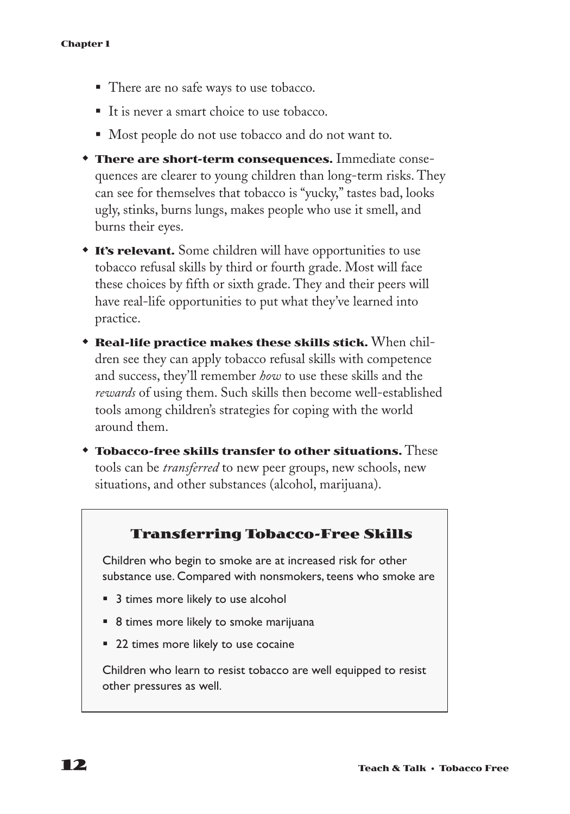- There are no safe ways to use tobacco.
- It is never a smart choice to use tobacco.
- Most people do not use tobacco and do not want to.
- **There are short-term consequences.** Immediate consequences are clearer to young children than long-term risks. They can see for themselves that tobacco is "yucky," tastes bad, looks ugly, stinks, burns lungs, makes people who use it smell, and burns their eyes.
- **\* It's relevant.** Some children will have opportunities to use tobacco refusal skills by third or fourth grade. Most will face these choices by fifth or sixth grade. They and their peers will have real-life opportunities to put what they've learned into practice.
- **\* Real-life practice makes these skills stick.** When children see they can apply tobacco refusal skills with competence and success, they'll remember *how* to use these skills and the *rewards* of using them. Such skills then become well-established tools among children's strategies for coping with the world around them.
- **\* Tobacco-free skills transfer to other situations.** These tools can be *transferred* to new peer groups, new schools, new situations, and other substances (alcohol, marijuana).

### **Transferring Tobacco-Free Skills**

Children who begin to smoke are at increased risk for other substance use. Compared with nonsmokers, teens who smoke are

- 3 times more likely to use alcohol
- 8 times more likely to smoke marijuana
- 22 times more likely to use cocaine

Children who learn to resist tobacco are well equipped to resist other pressures as well.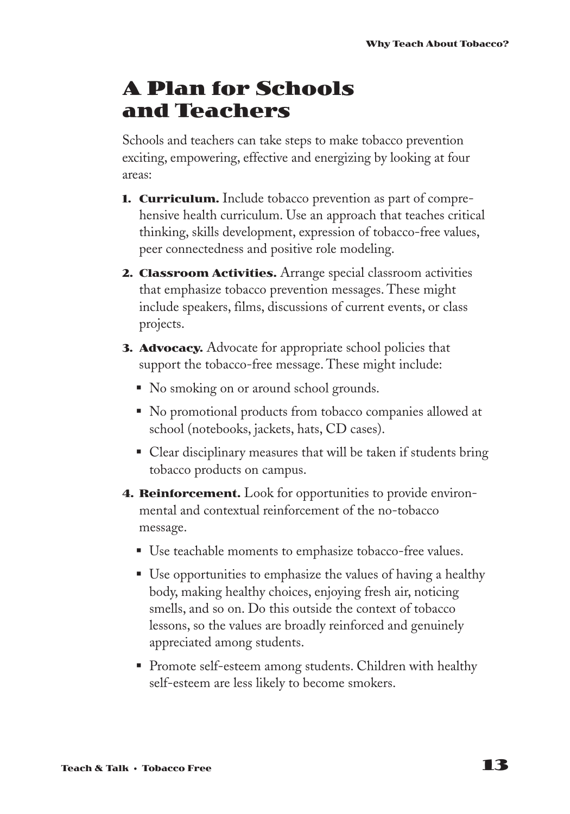# **A Plan for Schools and Teachers**

Schools and teachers can take steps to make tobacco prevention exciting, empowering, effective and energizing by looking at four areas:

- **1. Curriculum.** Include tobacco prevention as part of comprehensive health curriculum. Use an approach that teaches critical thinking, skills development, expression of tobacco-free values, peer connectedness and positive role modeling.
- **2. Classroom Activities.** Arrange special classroom activities that emphasize tobacco prevention messages. These might include speakers, films, discussions of current events, or class projects.
- **3. Advocacy.** Advocate for appropriate school policies that support the tobacco-free message. These might include:
	- No smoking on or around school grounds.
	- No promotional products from tobacco companies allowed at school (notebooks, jackets, hats, CD cases).
	- Clear disciplinary measures that will be taken if students bring tobacco products on campus.
- **4. Reinforcement.** Look for opportunities to provide environmental and contextual reinforcement of the no-tobacco message.
	- Use teachable moments to emphasize tobacco-free values.
	- Use opportunities to emphasize the values of having a healthy body, making healthy choices, enjoying fresh air, noticing smells, and so on. Do this outside the context of tobacco lessons, so the values are broadly reinforced and genuinely appreciated among students.
	- Promote self-esteem among students. Children with healthy self-esteem are less likely to become smokers.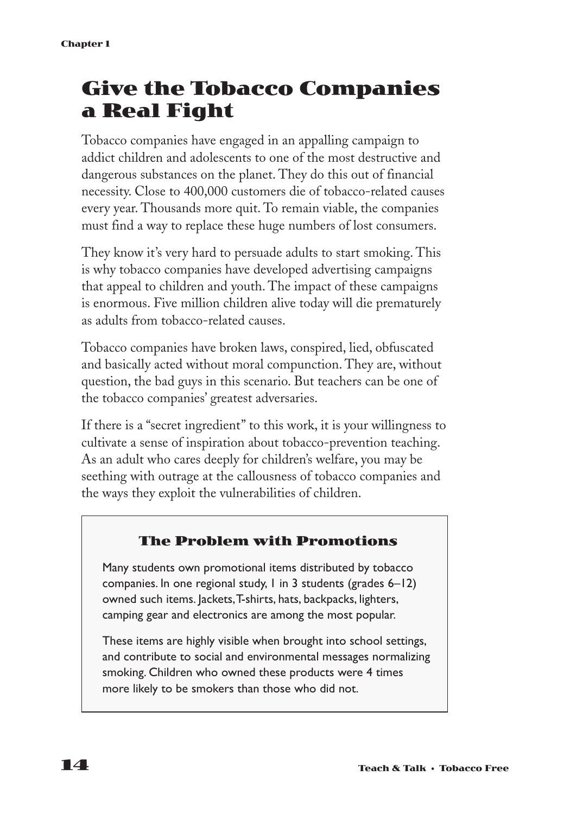# **Give the Tobacco Companies a Real Fight**

Tobacco companies have engaged in an appalling campaign to addict children and adolescents to one of the most destructive and dangerous substances on the planet. They do this out of financial necessity. Close to 400,000 customers die of tobacco-related causes every year. Thousands more quit. To remain viable, the companies must find a way to replace these huge numbers of lost consumers.

They know it's very hard to persuade adults to start smoking. This is why tobacco companies have developed advertising campaigns that appeal to children and youth. The impact of these campaigns is enormous. Five million children alive today will die prematurely as adults from tobacco-related causes.

Tobacco companies have broken laws, conspired, lied, obfuscated and basically acted without moral compunction. They are, without question, the bad guys in this scenario. But teachers can be one of the tobacco companies' greatest adversaries.

If there is a "secret ingredient" to this work, it is your willingness to cultivate a sense of inspiration about tobacco-prevention teaching. As an adult who cares deeply for children's welfare, you may be seething with outrage at the callousness of tobacco companies and the ways they exploit the vulnerabilities of children.

### **The Problem with Promotions**

Many students own promotional items distributed by tobacco companies. In one regional study, 1 in 3 students (grades 6–12) owned such items. Jackets,T-shirts, hats, backpacks, lighters, camping gear and electronics are among the most popular.

These items are highly visible when brought into school settings, and contribute to social and environmental messages normalizing smoking. Children who owned these products were 4 times more likely to be smokers than those who did not.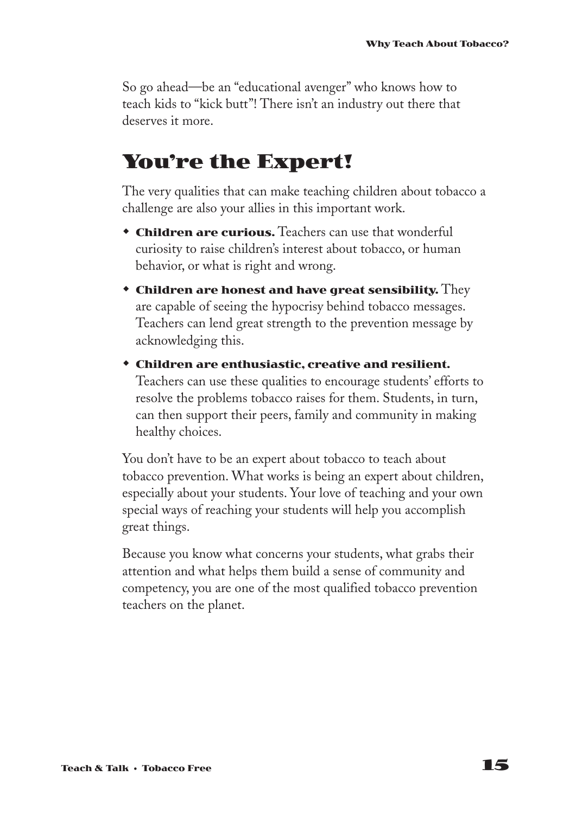So go ahead—be an "educational avenger" who knows how to teach kids to "kick butt"! There isn't an industry out there that deserves it more.

# **You're the Expert!**

The very qualities that can make teaching children about tobacco a challenge are also your allies in this important work.

- **\* Children are curious.** Teachers can use that wonderful curiosity to raise children's interest about tobacco, or human behavior, or what is right and wrong.
- w **Children are honest and have great sensibility.** They are capable of seeing the hypocrisy behind tobacco messages. Teachers can lend great strength to the prevention message by acknowledging this.
- w **Children are enthusiastic, creative and resilient.** Teachers can use these qualities to encourage students' efforts to resolve the problems tobacco raises for them. Students, in turn, can then support their peers, family and community in making healthy choices.

You don't have to be an expert about tobacco to teach about tobacco prevention. What works is being an expert about children, especially about your students. Your love of teaching and your own special ways of reaching your students will help you accomplish great things.

Because you know what concerns your students, what grabs their attention and what helps them build a sense of community and competency, you are one of the most qualified tobacco prevention teachers on the planet.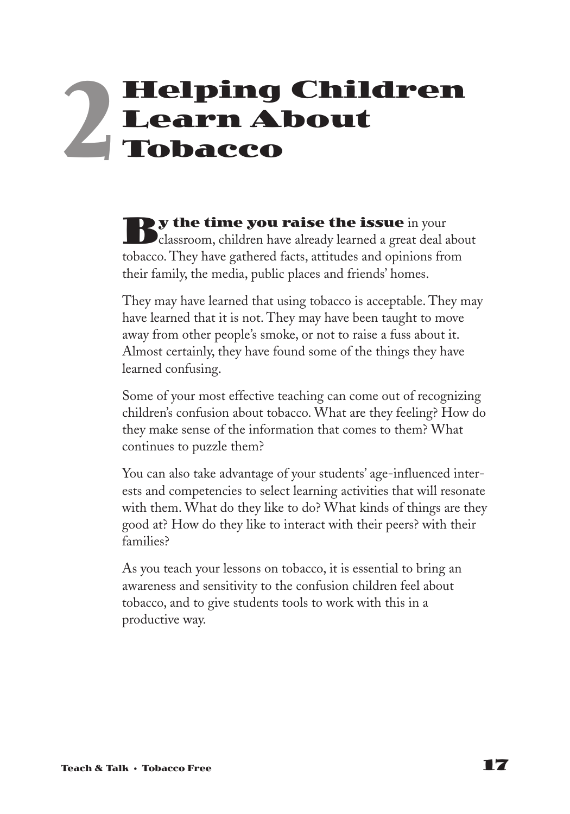# **Helping Children Learn About Tobacco 2**

**By the time you raise the issue** in your<br>classroom, children have already learned a great deal about tobacco. They have gathered facts, attitudes and opinions from their family, the media, public places and friends' homes.

They may have learned that using tobacco is acceptable. They may have learned that it is not. They may have been taught to move away from other people's smoke, or not to raise a fuss about it. Almost certainly, they have found some of the things they have learned confusing.

Some of your most effective teaching can come out of recognizing children's confusion about tobacco. What are they feeling? How do they make sense of the information that comes to them? What continues to puzzle them?

You can also take advantage of your students' age-influenced interests and competencies to select learning activities that will resonate with them. What do they like to do? What kinds of things are they good at? How do they like to interact with their peers? with their families?

As you teach your lessons on tobacco, it is essential to bring an awareness and sensitivity to the confusion children feel about tobacco, and to give students tools to work with this in a productive way.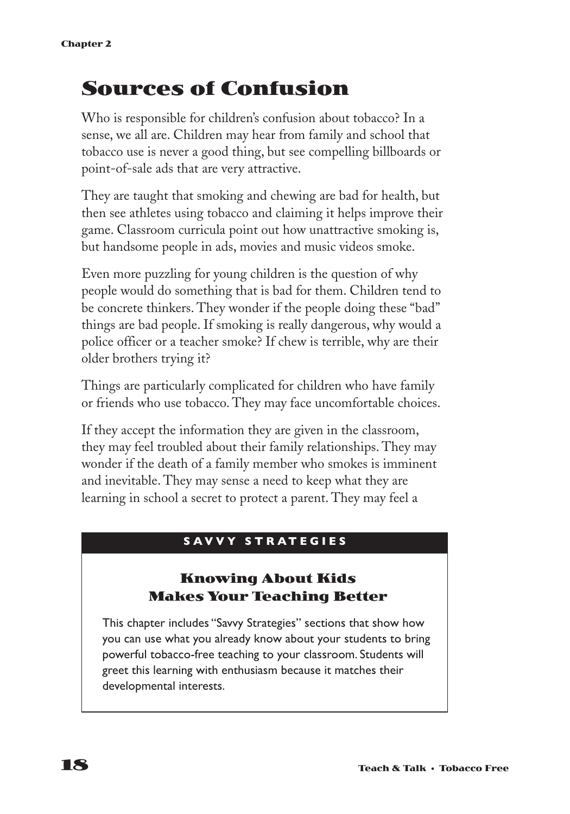# **Sources of Confusion**

Who is responsible for children's confusion about tobacco? In a sense, we all are. Children may hear from family and school that tobacco use is never a good thing, but see compelling billboards or point-of-sale ads that are very attractive.

They are taught that smoking and chewing are bad for health, but then see athletes using tobacco and claiming it helps improve their game. Classroom curricula point out how unattractive smoking is, but handsome people in ads, movies and music videos smoke.

Even more puzzling for young children is the question of why people would do something that is bad for them. Children tend to be concrete thinkers. They wonder if the people doing these "bad" things are bad people. If smoking is really dangerous, why would a police officer or a teacher smoke? If chew is terrible, why are their older brothers trying it?

Things are particularly complicated for children who have family or friends who use tobacco. They may face uncomfortable choices.

If they accept the information they are given in the classroom, they may feel troubled about their family relationships. They may wonder if the death of a family member who smokes is imminent and inevitable. They may sense a need to keep what they are learning in school a secret to protect a parent. They may feel a

### **S A VVY STRATEGIES**

### **Knowing About Kids Makes Your Teaching Better**

This chapter includes "Savvy Strategies" sections that show how you can use what you already know about your students to bring powerful tobacco-free teaching to your classroom. Students will greet this learning with enthusiasm because it matches their developmental interests.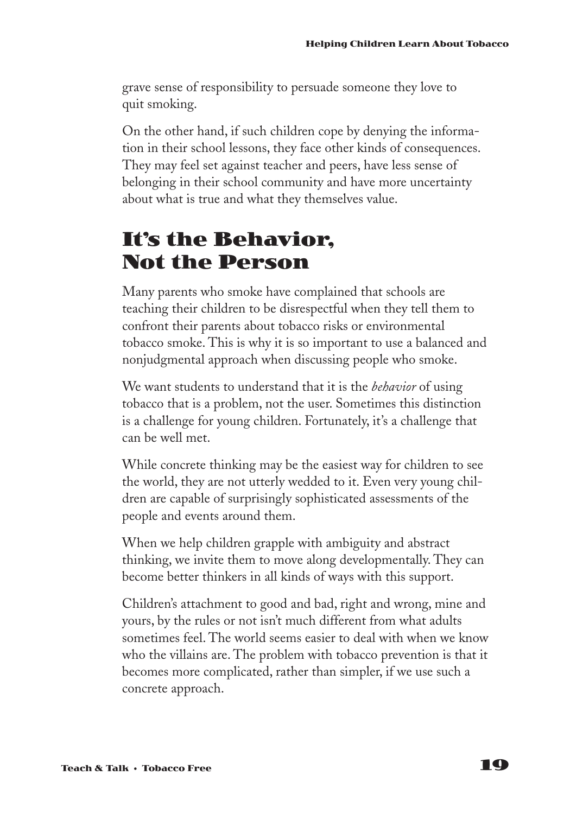grave sense of responsibility to persuade someone they love to quit smoking.

On the other hand, if such children cope by denying the information in their school lessons, they face other kinds of consequences. They may feel set against teacher and peers, have less sense of belonging in their school community and have more uncertainty about what is true and what they themselves value.

# **It's the Behavior, Not the Person**

Many parents who smoke have complained that schools are teaching their children to be disrespectful when they tell them to confront their parents about tobacco risks or environmental tobacco smoke. This is why it is so important to use a balanced and nonjudgmental approach when discussing people who smoke.

We want students to understand that it is the *behavior* of using tobacco that is a problem, not the user. Sometimes this distinction is a challenge for young children. Fortunately, it's a challenge that can be well met.

While concrete thinking may be the easiest way for children to see the world, they are not utterly wedded to it. Even very young children are capable of surprisingly sophisticated assessments of the people and events around them.

When we help children grapple with ambiguity and abstract thinking, we invite them to move along developmentally. They can become better thinkers in all kinds of ways with this support.

Children's attachment to good and bad, right and wrong, mine and yours, by the rules or not isn't much different from what adults sometimes feel. The world seems easier to deal with when we know who the villains are. The problem with tobacco prevention is that it becomes more complicated, rather than simpler, if we use such a concrete approach.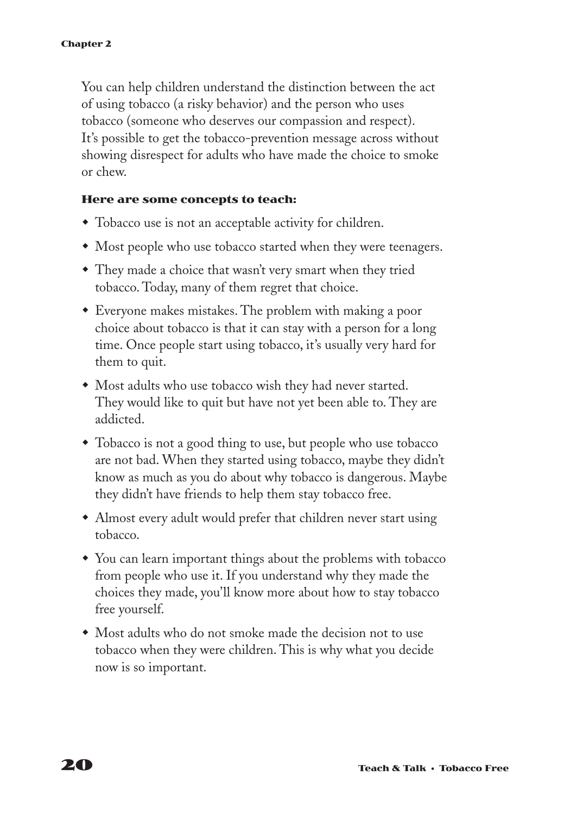You can help children understand the distinction between the act of using tobacco (a risky behavior) and the person who uses tobacco (someone who deserves our compassion and respect). It's possible to get the tobacco-prevention message across without showing disrespect for adults who have made the choice to smoke or chew.

#### **Here are some concepts to teach:**

- Tobacco use is not an acceptable activity for children.
- Most people who use tobacco started when they were teenagers.
- They made a choice that wasn't very smart when they tried tobacco. Today, many of them regret that choice.
- Everyone makes mistakes. The problem with making a poor choice about tobacco is that it can stay with a person for a long time. Once people start using tobacco, it's usually very hard for them to quit.
- Most adults who use tobacco wish they had never started. They would like to quit but have not yet been able to. They are addicted.
- Tobacco is not a good thing to use, but people who use tobacco are not bad. When they started using tobacco, maybe they didn't know as much as you do about why tobacco is dangerous. Maybe they didn't have friends to help them stay tobacco free.
- Almost every adult would prefer that children never start using tobacco.
- You can learn important things about the problems with tobacco from people who use it. If you understand why they made the choices they made, you'll know more about how to stay tobacco free yourself.
- Most adults who do not smoke made the decision not to use tobacco when they were children. This is why what you decide now is so important.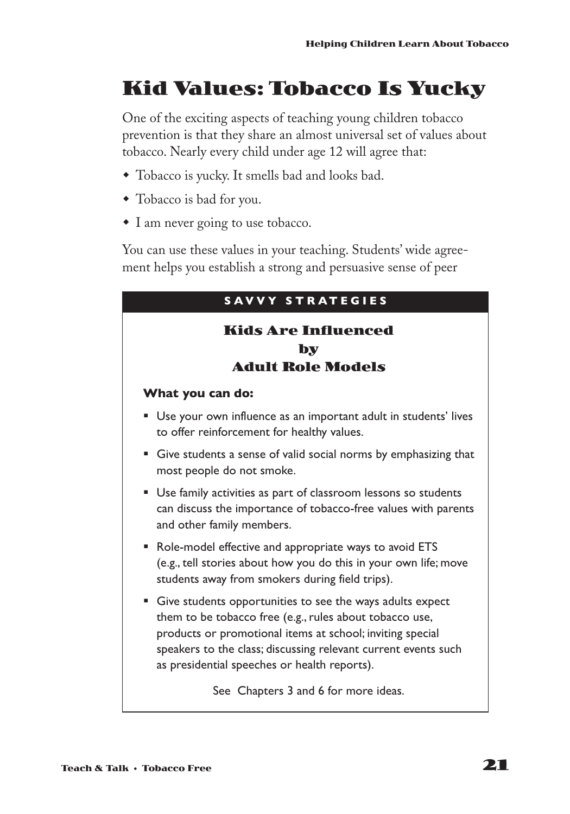# **Kid Values: Tobacco Is Yucky**

One of the exciting aspects of teaching young children tobacco prevention is that they share an almost universal set of values about tobacco. Nearly every child under age 12 will agree that:

- w Tobacco is yucky. It smells bad and looks bad.
- Tobacco is bad for you.
- $\bullet$  I am never going to use tobacco.

You can use these values in your teaching. Students' wide agreement helps you establish a strong and persuasive sense of peer

| <b>SAVVY STRATEGIES</b>                                                                                                                                                                                                                                                                                  |
|----------------------------------------------------------------------------------------------------------------------------------------------------------------------------------------------------------------------------------------------------------------------------------------------------------|
| <b>Kids Are Influenced</b><br>by<br><b>Adult Role Models</b>                                                                                                                                                                                                                                             |
| What you can do:                                                                                                                                                                                                                                                                                         |
| Use your own influence as an important adult in students' lives<br>٠<br>to offer reinforcement for healthy values.                                                                                                                                                                                       |
| Give students a sense of valid social norms by emphasizing that<br>ш<br>most people do not smoke.                                                                                                                                                                                                        |
| • Use family activities as part of classroom lessons so students<br>can discuss the importance of tobacco-free values with parents<br>and other family members.                                                                                                                                          |
| • Role-model effective and appropriate ways to avoid ETS<br>(e.g., tell stories about how you do this in your own life; move<br>students away from smokers during field trips).                                                                                                                          |
| Give students opportunities to see the ways adults expect<br>ш<br>them to be tobacco free (e.g., rules about tobacco use,<br>products or promotional items at school; inviting special<br>speakers to the class; discussing relevant current events such<br>as presidential speeches or health reports). |
| See Chapters 3 and 6 for more ideas.                                                                                                                                                                                                                                                                     |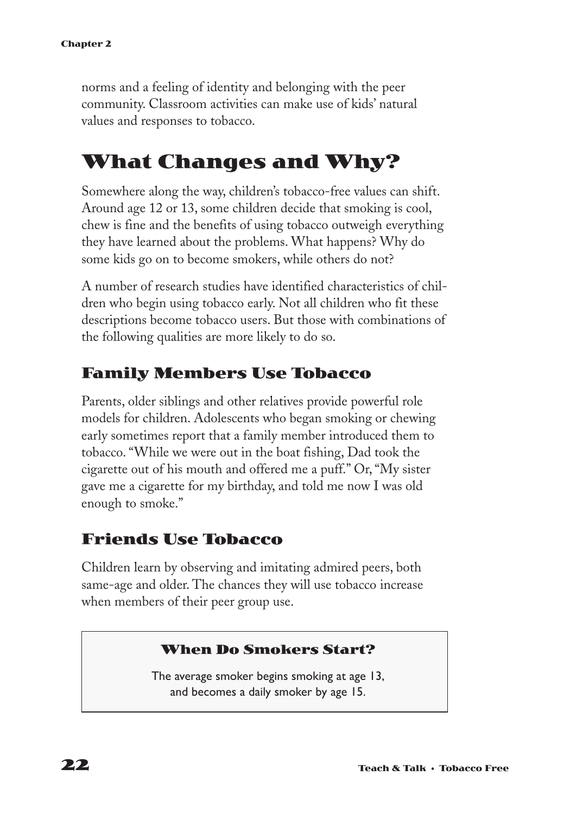norms and a feeling of identity and belonging with the peer community. Classroom activities can make use of kids' natural values and responses to tobacco.

# **What Changes and Why?**

Somewhere along the way, children's tobacco-free values can shift. Around age 12 or 13, some children decide that smoking is cool, chew is fine and the benefits of using tobacco outweigh everything they have learned about the problems. What happens? Why do some kids go on to become smokers, while others do not?

A number of research studies have identified characteristics of children who begin using tobacco early. Not all children who fit these descriptions become tobacco users. But those with combinations of the following qualities are more likely to do so.

### **Family Members Use Tobacco**

Parents, older siblings and other relatives provide powerful role models for children. Adolescents who began smoking or chewing early sometimes report that a family member introduced them to tobacco. "While we were out in the boat fishing, Dad took the cigarette out of his mouth and offered me a puff." Or, "My sister gave me a cigarette for my birthday, and told me now I was old enough to smoke."

### **Friends Use Tobacco**

Children learn by observing and imitating admired peers, both same-age and older. The chances they will use tobacco increase when members of their peer group use.

### **When Do Smokers Start?**

The average smoker begins smoking at age 13, and becomes a daily smoker by age 15.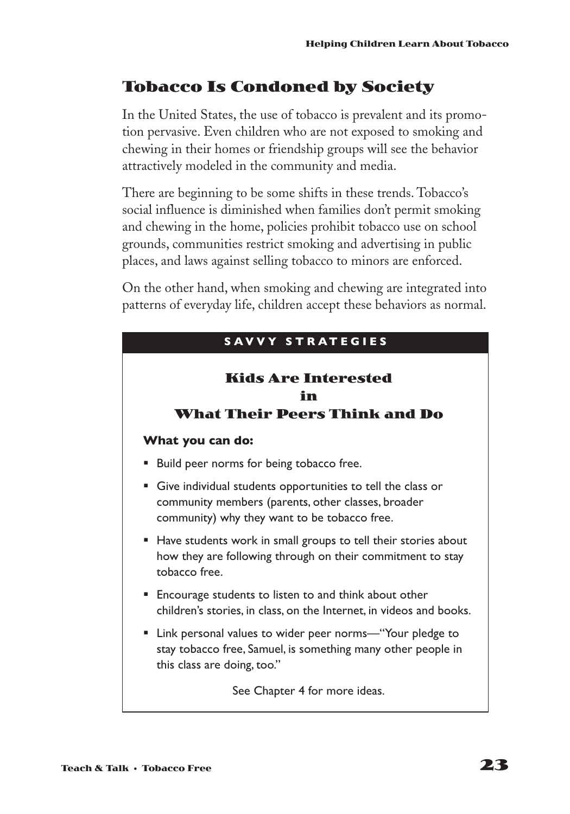### **Tobacco Is Condoned by Society**

In the United States, the use of tobacco is prevalent and its promotion pervasive. Even children who are not exposed to smoking and chewing in their homes or friendship groups will see the behavior attractively modeled in the community and media.

There are beginning to be some shifts in these trends. Tobacco's social influence is diminished when families don't permit smoking and chewing in the home, policies prohibit tobacco use on school grounds, communities restrict smoking and advertising in public places, and laws against selling tobacco to minors are enforced.

On the other hand, when smoking and chewing are integrated into patterns of everyday life, children accept these behaviors as normal.

| SAVVY STRATEGIES                                                                                                                                                           |
|----------------------------------------------------------------------------------------------------------------------------------------------------------------------------|
| <b>Kids Are Interested</b><br>in<br><b>What Their Peers Think and Do</b>                                                                                                   |
| What you can do:                                                                                                                                                           |
| Build peer norms for being tobacco free.<br>ш                                                                                                                              |
| Give individual students opportunities to tell the class or<br>ш<br>community members (parents, other classes, broader<br>community) why they want to be tobacco free.     |
| • Have students work in small groups to tell their stories about<br>how they are following through on their commitment to stay<br>tobacco free                             |
| Encourage students to listen to and think about other<br>m.<br>children's stories, in class, on the Internet, in videos and books.                                         |
| Link personal values to wider peer norms-"Your pledge to<br>and the control<br>stay tobacco free, Samuel, is something many other people in<br>this class are doing, too." |
| See Chapter 4 for more ideas.                                                                                                                                              |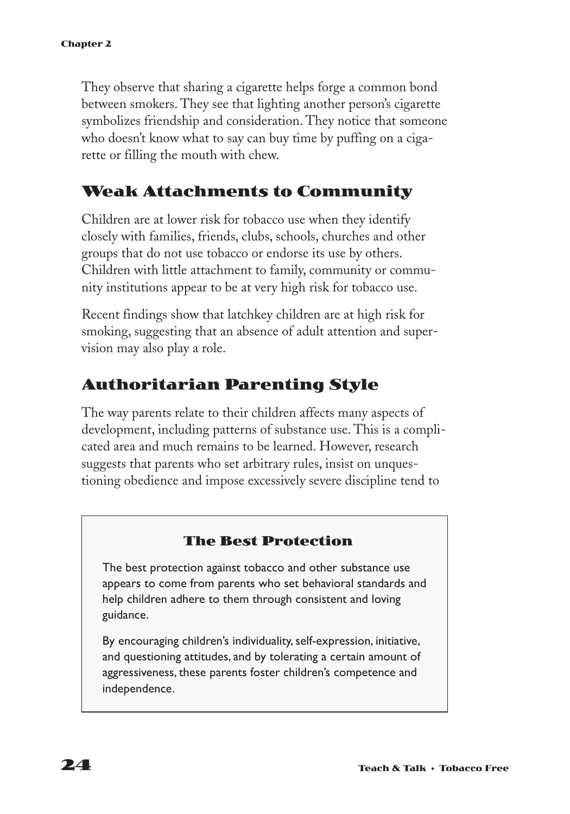They observe that sharing a cigarette helps forge a common bond between smokers. They see that lighting another person's cigarette symbolizes friendship and consideration. They notice that someone who doesn't know what to say can buy time by puffing on a cigarette or filling the mouth with chew.

### **Weak Attachments to Community**

Children are at lower risk for tobacco use when they identify closely with families, friends, clubs, schools, churches and other groups that do not use tobacco or endorse its use by others. Children with little attachment to family, community or community institutions appear to be at very high risk for tobacco use.

Recent findings show that latchkey children are at high risk for smoking, suggesting that an absence of adult attention and supervision may also play a role.

### **Authoritarian Parenting Style**

The way parents relate to their children affects many aspects of development, including patterns of substance use. This is a complicated area and much remains to be learned. However, research suggests that parents who set arbitrary rules, insist on unquestioning obedience and impose excessively severe discipline tend to

### **The Best Protection**

The best protection against tobacco and other substance use appears to come from parents who set behavioral standards and help children adhere to them through consistent and loving guidance.

By encouraging children's individuality, self-expression, initiative, and questioning attitudes, and by tolerating a certain amount of aggressiveness, these parents foster children's competence and independence.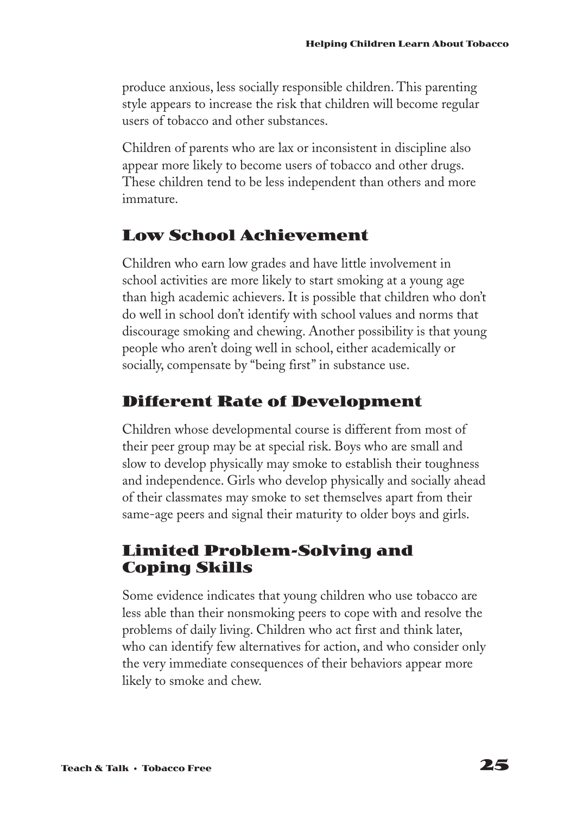produce anxious, less socially responsible children. This parenting style appears to increase the risk that children will become regular users of tobacco and other substances.

Children of parents who are lax or inconsistent in discipline also appear more likely to become users of tobacco and other drugs. These children tend to be less independent than others and more immature.

### **Low School Achievement**

Children who earn low grades and have little involvement in school activities are more likely to start smoking at a young age than high academic achievers. It is possible that children who don't do well in school don't identify with school values and norms that discourage smoking and chewing. Another possibility is that young people who aren't doing well in school, either academically or socially, compensate by "being first" in substance use.

# **Different Rate of Development**

Children whose developmental course is different from most of their peer group may be at special risk. Boys who are small and slow to develop physically may smoke to establish their toughness and independence. Girls who develop physically and socially ahead of their classmates may smoke to set themselves apart from their same-age peers and signal their maturity to older boys and girls.

### **Limited Problem-Solving and Coping Skills**

Some evidence indicates that young children who use tobacco are less able than their nonsmoking peers to cope with and resolve the problems of daily living. Children who act first and think later, who can identify few alternatives for action, and who consider only the very immediate consequences of their behaviors appear more likely to smoke and chew.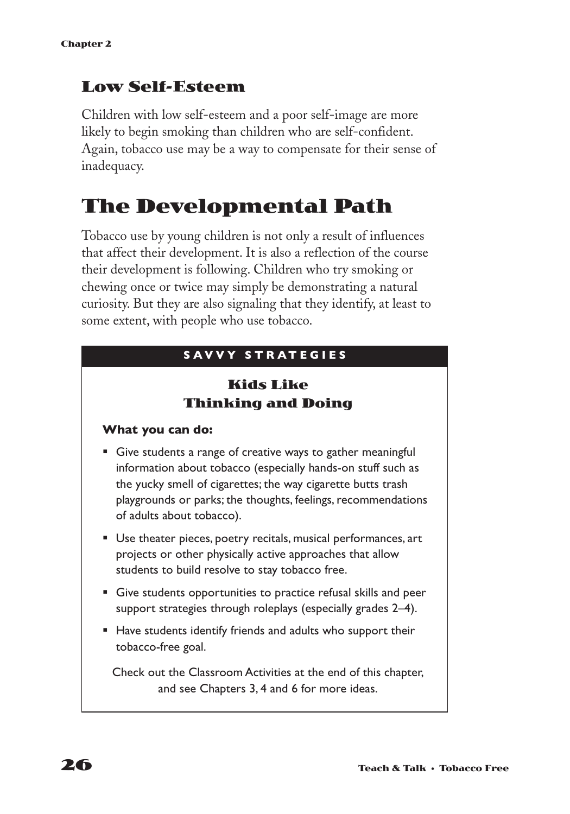### **Low Self-Esteem**

Children with low self-esteem and a poor self-image are more likely to begin smoking than children who are self-confident. Again, tobacco use may be a way to compensate for their sense of inadequacy.

# **The Developmental Path**

Tobacco use by young children is not only a result of influences that affect their development. It is also a reflection of the course their development is following. Children who try smoking or chewing once or twice may simply be demonstrating a natural curiosity. But they are also signaling that they identify, at least to some extent, with people who use tobacco.

### **S A VVY STRATEGIES**

### **Kids Like Thinking and Doing**

### **What you can do:**

- Give students a range of creative ways to gather meaningful information about tobacco (especially hands-on stuff such as the yucky smell of cigarettes; the way cigarette butts trash playgrounds or parks; the thoughts, feelings, recommendations of adults about tobacco).
- Use theater pieces, poetry recitals, musical performances, art projects or other physically active approaches that allow students to build resolve to stay tobacco free.
- § Give students opportunities to practice refusal skills and peer support strategies through roleplays (especially grades 2–4).
- Have students identify friends and adults who support their tobacco-free goal.

Check out the Classroom Activities at the end of this chapter, and see Chapters 3, 4 and 6 for more ideas.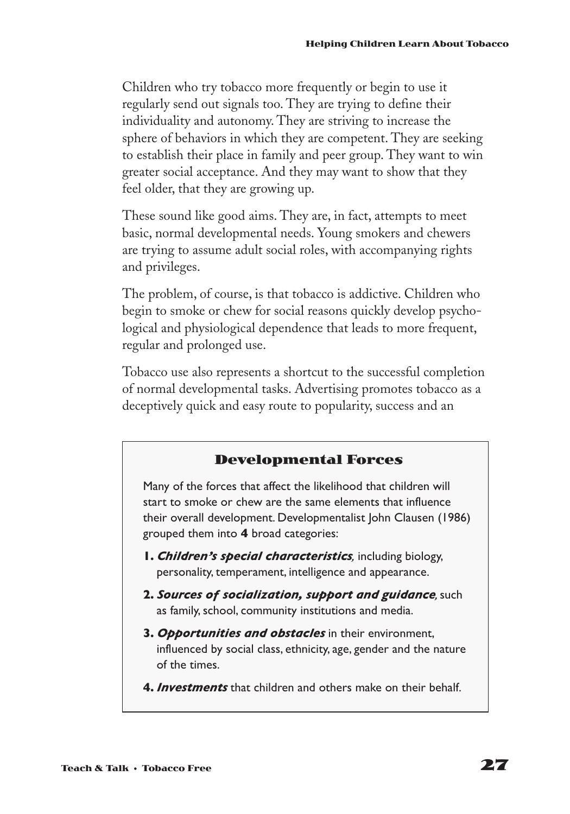Children who try tobacco more frequently or begin to use it regularly send out signals too. They are trying to define their individuality and autonomy. They are striving to increase the sphere of behaviors in which they are competent. They are seeking to establish their place in family and peer group. They want to win greater social acceptance. And they may want to show that they feel older, that they are growing up.

These sound like good aims. They are, in fact, attempts to meet basic, normal developmental needs. Young smokers and chewers are trying to assume adult social roles, with accompanying rights and privileges.

The problem, of course, is that tobacco is addictive. Children who begin to smoke or chew for social reasons quickly develop psychological and physiological dependence that leads to more frequent, regular and prolonged use.

Tobacco use also represents a shortcut to the successful completion of normal developmental tasks. Advertising promotes tobacco as a deceptively quick and easy route to popularity, success and an

### **Developmental Forces**

Many of the forces that affect the likelihood that children will start to smoke or chew are the same elements that influence their overall development. Developmentalist John Clausen (1986) grouped them into **4** broad categories:

- **1.** *Children's special characteristics,* including biology, personality, temperament, intelligence and appearance.
- **2.** *Sources of socialization, support and guidance,*such as family, school, community institutions and media.
- **3.** *Opportunities and obstacles* in their environment, influenced by social class, ethnicity, age, gender and the nature of the times.
- **4.** *Investments* that children and others make on their behalf.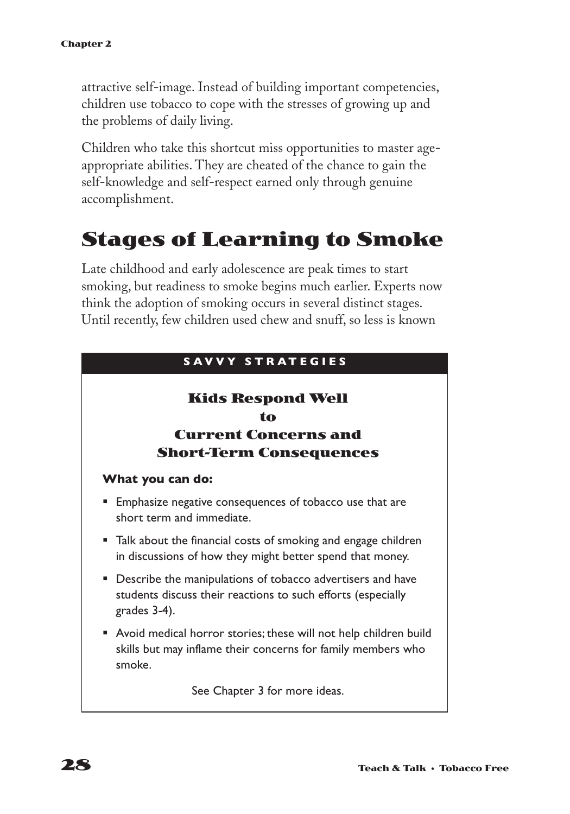attractive self-image. Instead of building important competencies, children use tobacco to cope with the stresses of growing up and the problems of daily living.

Children who take this shortcut miss opportunities to master ageappropriate abilities. They are cheated of the chance to gain the self-knowledge and self-respect earned only through genuine accomplishment.

# **Stages of Learning to Smoke**

Late childhood and early adolescence are peak times to start smoking, but readiness to smoke begins much earlier. Experts now think the adoption of smoking occurs in several distinct stages. Until recently, few children used chew and snuff, so less is known

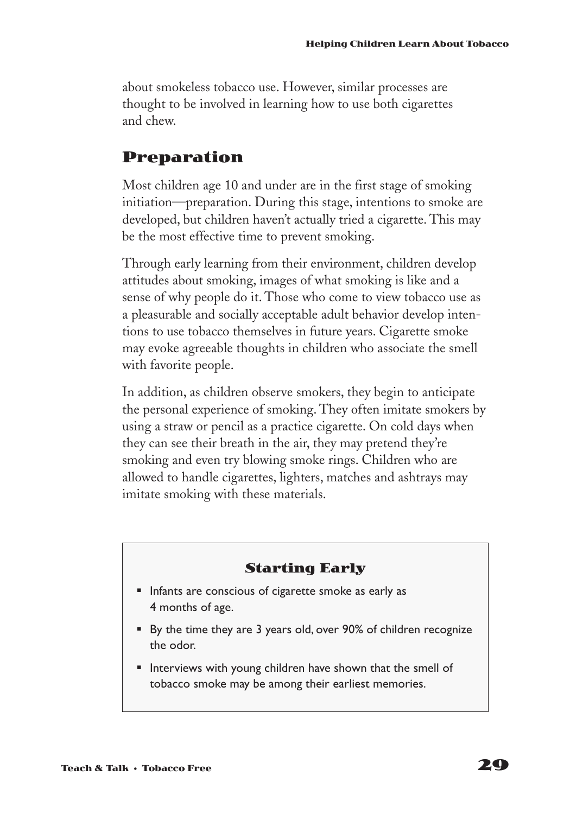about smokeless tobacco use. However, similar processes are thought to be involved in learning how to use both cigarettes and chew.

### **Preparation**

Most children age 10 and under are in the first stage of smoking initiation—preparation. During this stage, intentions to smoke are developed, but children haven't actually tried a cigarette. This may be the most effective time to prevent smoking.

Through early learning from their environment, children develop attitudes about smoking, images of what smoking is like and a sense of why people do it. Those who come to view tobacco use as a pleasurable and socially acceptable adult behavior develop intentions to use tobacco themselves in future years. Cigarette smoke may evoke agreeable thoughts in children who associate the smell with favorite people.

In addition, as children observe smokers, they begin to anticipate the personal experience of smoking. They often imitate smokers by using a straw or pencil as a practice cigarette. On cold days when they can see their breath in the air, they may pretend they're smoking and even try blowing smoke rings. Children who are allowed to handle cigarettes, lighters, matches and ashtrays may imitate smoking with these materials.

### **Starting Early**

- § Infants are conscious of cigarette smoke as early as 4 months of age.
- By the time they are 3 years old, over 90% of children recognize the odor.
- Interviews with young children have shown that the smell of tobacco smoke may be among their earliest memories.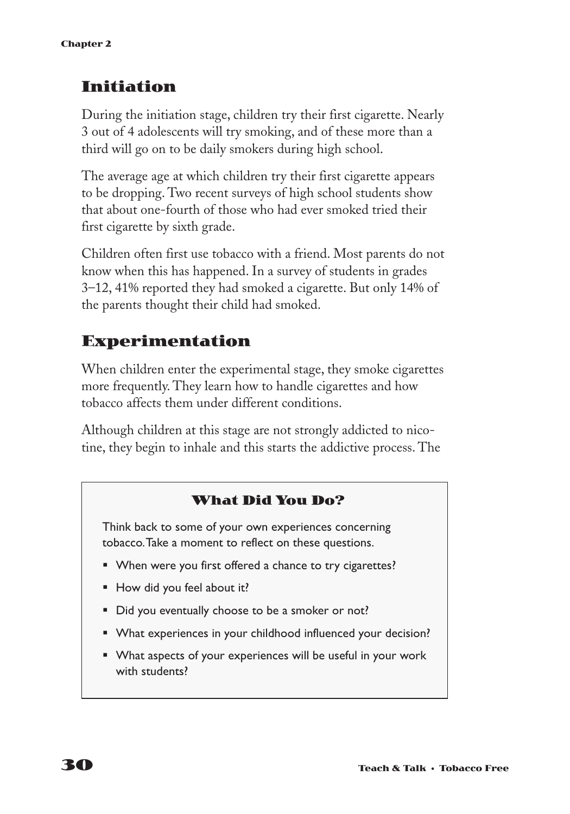# **Initiation**

During the initiation stage, children try their first cigarette. Nearly 3 out of 4 adolescents will try smoking, and of these more than a third will go on to be daily smokers during high school.

The average age at which children try their first cigarette appears to be dropping. Two recent surveys of high school students show that about one-fourth of those who had ever smoked tried their first cigarette by sixth grade.

Children often first use tobacco with a friend. Most parents do not know when this has happened. In a survey of students in grades 3–12, 41% reported they had smoked a cigarette. But only 14% of the parents thought their child had smoked.

# **Experimentation**

When children enter the experimental stage, they smoke cigarettes more frequently. They learn how to handle cigarettes and how tobacco affects them under different conditions.

Although children at this stage are not strongly addicted to nicotine, they begin to inhale and this starts the addictive process. The

### **What Did You Do?**

Think back to some of your own experiences concerning tobacco.Take a moment to reflect on these questions.

- When were you first offered a chance to try cigarettes?
- How did you feel about it?
- Did you eventually choose to be a smoker or not?
- What experiences in your childhood influenced your decision?
- What aspects of your experiences will be useful in your work with students?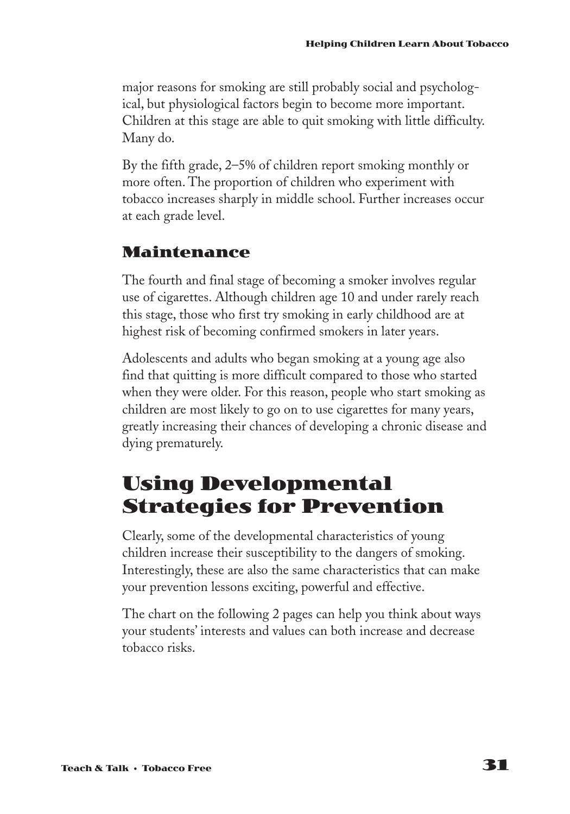major reasons for smoking are still probably social and psychological, but physiological factors begin to become more important. Children at this stage are able to quit smoking with little difficulty. Many do.

By the fifth grade, 2–5% of children report smoking monthly or more often. The proportion of children who experiment with tobacco increases sharply in middle school. Further increases occur at each grade level.

### **Maintenance**

The fourth and final stage of becoming a smoker involves regular use of cigarettes. Although children age 10 and under rarely reach this stage, those who first try smoking in early childhood are at highest risk of becoming confirmed smokers in later years.

Adolescents and adults who began smoking at a young age also find that quitting is more difficult compared to those who started when they were older. For this reason, people who start smoking as children are most likely to go on to use cigarettes for many years, greatly increasing their chances of developing a chronic disease and dying prematurely.

## **Using Developmental Strategies for Prevention**

Clearly, some of the developmental characteristics of young children increase their susceptibility to the dangers of smoking. Interestingly, these are also the same characteristics that can make your prevention lessons exciting, powerful and effective.

The chart on the following 2 pages can help you think about ways your students' interests and values can both increase and decrease tobacco risks.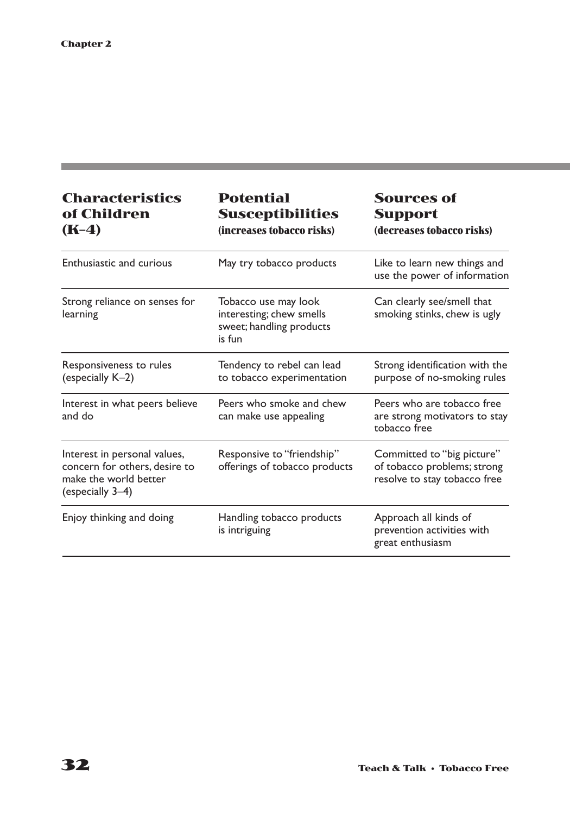and the state of the state of the state of the state of the state of the

| <b>Characteristics</b><br>of Children<br>$(K-4)$                                                           | <b>Potential</b><br><b>Susceptibilities</b><br>(increases tobacco risks)               | <b>Sources of</b><br><b>Support</b><br>(decreases tobacco risks)                          |
|------------------------------------------------------------------------------------------------------------|----------------------------------------------------------------------------------------|-------------------------------------------------------------------------------------------|
| Enthusiastic and curious                                                                                   | May try tobacco products                                                               | Like to learn new things and<br>use the power of information                              |
| Strong reliance on senses for<br>learning                                                                  | Tobacco use may look<br>interesting; chew smells<br>sweet; handling products<br>is fun | Can clearly see/smell that<br>smoking stinks, chew is ugly                                |
| Responsiveness to rules<br>(especially K-2)                                                                | Tendency to rebel can lead<br>to tobacco experimentation                               | Strong identification with the<br>purpose of no-smoking rules                             |
| Interest in what peers believe<br>and do                                                                   | Peers who smoke and chew<br>can make use appealing                                     | Peers who are tobacco free<br>are strong motivators to stay<br>tobacco free               |
| Interest in personal values,<br>concern for others, desire to<br>make the world better<br>(especially 3-4) | Responsive to "friendship"<br>offerings of tobacco products                            | Committed to "big picture"<br>of tobacco problems; strong<br>resolve to stay tobacco free |
| Enjoy thinking and doing                                                                                   | Handling tobacco products<br>is intriguing                                             | Approach all kinds of<br>prevention activities with<br>great enthusiasm                   |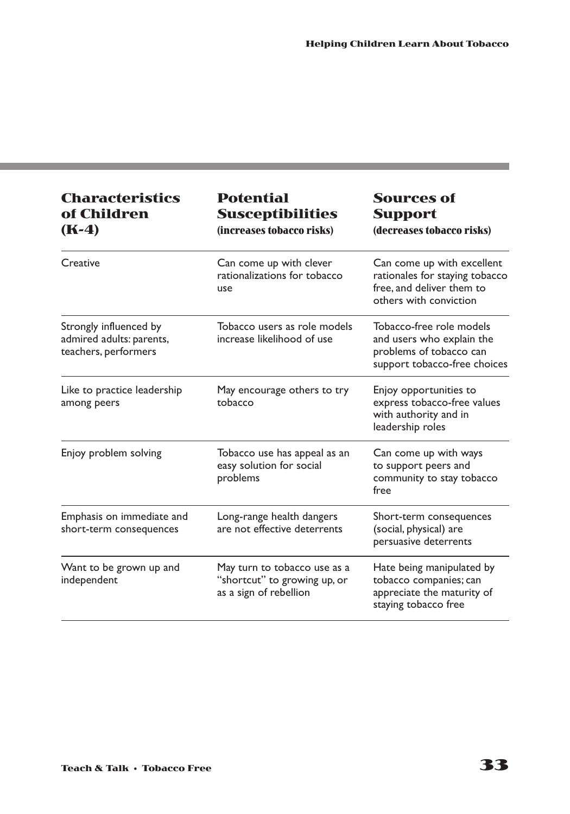| <b>Characteristics</b><br>of Children<br>$(K-4)$                           | <b>Potential</b><br><b>Susceptibilities</b><br>(increases tobacco risks)               | <b>Sources of</b><br><b>Support</b><br>(decreases tobacco risks)                                                    |
|----------------------------------------------------------------------------|----------------------------------------------------------------------------------------|---------------------------------------------------------------------------------------------------------------------|
| Creative                                                                   | Can come up with clever<br>rationalizations for tobacco<br>use                         | Can come up with excellent<br>rationales for staying tobacco<br>free, and deliver them to<br>others with conviction |
| Strongly influenced by<br>admired adults: parents,<br>teachers, performers | Tobacco users as role models<br>increase likelihood of use                             | Tobacco-free role models<br>and users who explain the<br>problems of tobacco can<br>support tobacco-free choices    |
| Like to practice leadership<br>among peers                                 | May encourage others to try<br>tobacco                                                 | Enjoy opportunities to<br>express tobacco-free values<br>with authority and in<br>leadership roles                  |
| Enjoy problem solving                                                      | Tobacco use has appeal as an<br>easy solution for social<br>problems                   | Can come up with ways<br>to support peers and<br>community to stay tobacco<br>free                                  |
| Emphasis on immediate and<br>short-term consequences                       | Long-range health dangers<br>are not effective deterrents                              | Short-term consequences<br>(social, physical) are<br>persuasive deterrents                                          |
| Want to be grown up and<br>independent                                     | May turn to tobacco use as a<br>"shortcut" to growing up, or<br>as a sign of rebellion | Hate being manipulated by<br>tobacco companies; can<br>appreciate the maturity of<br>staying tobacco free           |

a sa kabila sa kasang sa kabilang sa mga bayang nagsang nagsang ng mga magalang nagsang nagsang nagsang ng mga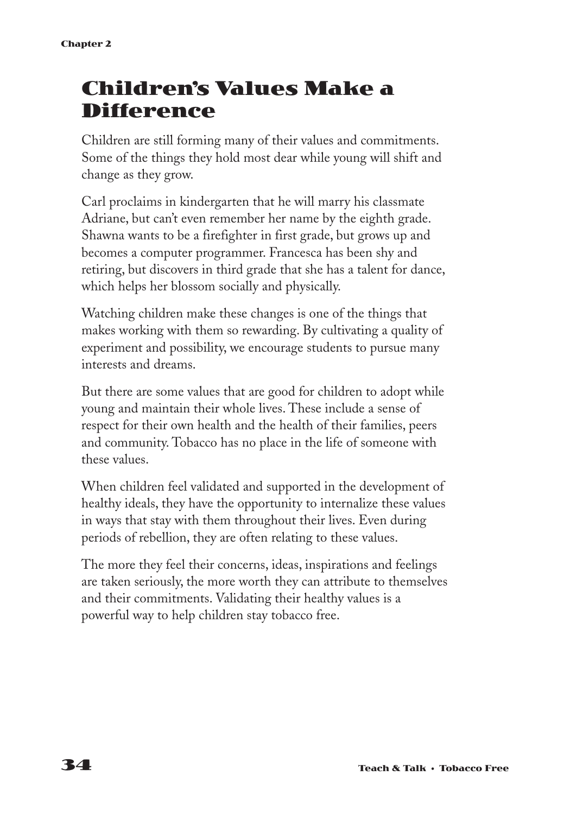## **Children's Values Make a Difference**

Children are still forming many of their values and commitments. Some of the things they hold most dear while young will shift and change as they grow.

Carl proclaims in kindergarten that he will marry his classmate Adriane, but can't even remember her name by the eighth grade. Shawna wants to be a firefighter in first grade, but grows up and becomes a computer programmer. Francesca has been shy and retiring, but discovers in third grade that she has a talent for dance, which helps her blossom socially and physically.

Watching children make these changes is one of the things that makes working with them so rewarding. By cultivating a quality of experiment and possibility, we encourage students to pursue many interests and dreams.

But there are some values that are good for children to adopt while young and maintain their whole lives. These include a sense of respect for their own health and the health of their families, peers and community. Tobacco has no place in the life of someone with these values.

When children feel validated and supported in the development of healthy ideals, they have the opportunity to internalize these values in ways that stay with them throughout their lives. Even during periods of rebellion, they are often relating to these values.

The more they feel their concerns, ideas, inspirations and feelings are taken seriously, the more worth they can attribute to themselves and their commitments. Validating their healthy values is a powerful way to help children stay tobacco free.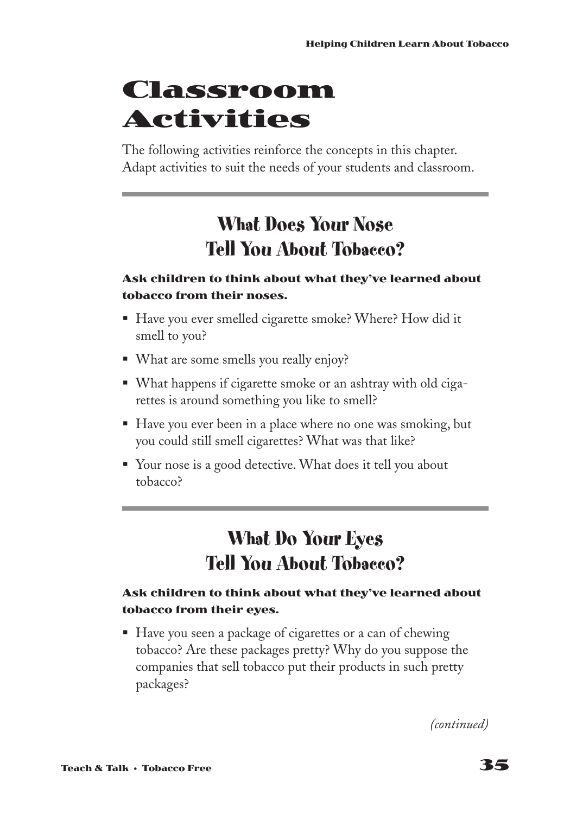## **Classroom Activities**

The following activities reinforce the concepts in this chapter. Adapt activities to suit the needs of your students and classroom.

## **What Does Your Nose Tell You About Tobacco?**

### **Ask children to think about what they've learned about tobacco from their noses.**

- Have you ever smelled cigarette smoke? Where? How did it smell to you?
- What are some smells you really enjoy?
- What happens if cigarette smoke or an ashtray with old cigarettes is around something you like to smell?
- Have you ever been in a place where no one was smoking, but you could still smell cigarettes? What was that like?
- Your nose is a good detective. What does it tell you about tobacco?

## **What Do Your Eyes Tell You About Tobacco?**

### **Ask children to think about what they've learned about tobacco from their eyes.**

■ Have you seen a package of cigarettes or a can of chewing tobacco? Are these packages pretty? Why do you suppose the companies that sell tobacco put their products in such pretty packages?

*(continued)*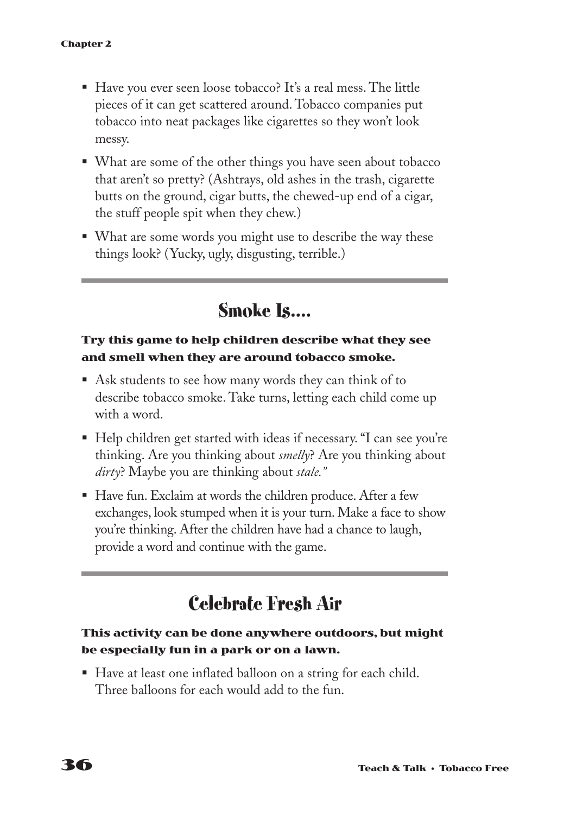- Have you ever seen loose tobacco? It's a real mess. The little pieces of it can get scattered around. Tobacco companies put tobacco into neat packages like cigarettes so they won't look messy.
- What are some of the other things you have seen about tobacco that aren't so pretty? (Ashtrays, old ashes in the trash, cigarette butts on the ground, cigar butts, the chewed-up end of a cigar, the stuff people spit when they chew.)
- What are some words you might use to describe the way these things look? (Yucky, ugly, disgusting, terrible.)

**Smoke Is....**

### **Try this game to help children describe what they see and smell when they are around tobacco smoke.**

- Ask students to see how many words they can think of to describe tobacco smoke. Take turns, letting each child come up with a word.
- Help children get started with ideas if necessary. "I can see you're thinking. Are you thinking about *smelly*? Are you thinking about *dirty*? Maybe you are thinking about *stale."*
- Have fun. Exclaim at words the children produce. After a few exchanges, look stumped when it is your turn. Make a face to show you're thinking. After the children have had a chance to laugh, provide a word and continue with the game.

## **Celebrate Fresh Air**

### **This activity can be done anywhere outdoors, but might be especially fun in a park or on a lawn.**

§ Have at least one inflated balloon on a string for each child. Three balloons for each would add to the fun.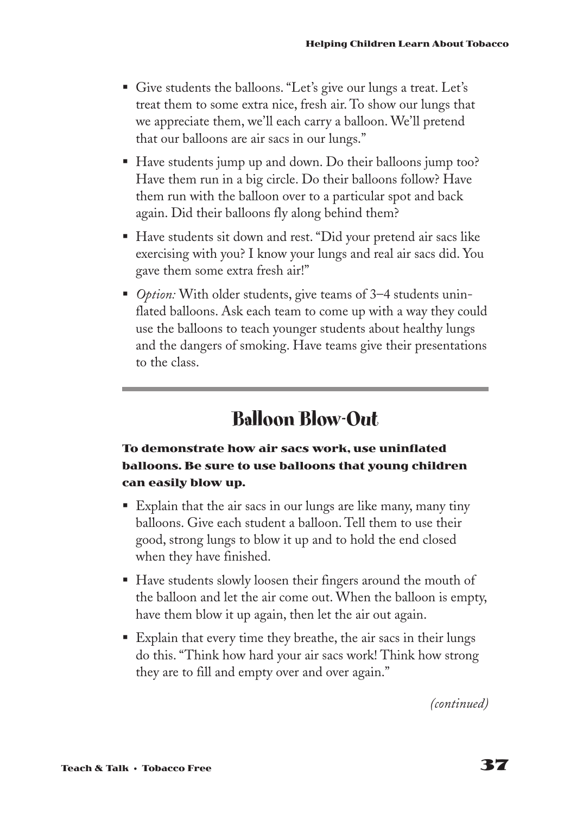- Give students the balloons. "Let's give our lungs a treat. Let's treat them to some extra nice, fresh air. To show our lungs that we appreciate them, we'll each carry a balloon. We'll pretend that our balloons are air sacs in our lungs."
- Have students jump up and down. Do their balloons jump too? Have them run in a big circle. Do their balloons follow? Have them run with the balloon over to a particular spot and back again. Did their balloons fly along behind them?
- Have students sit down and rest. "Did your pretend air sacs like exercising with you? I know your lungs and real air sacs did. You gave them some extra fresh air!"
- *Option:* With older students, give teams of 3–4 students uninflated balloons. Ask each team to come up with a way they could use the balloons to teach younger students about healthy lungs and the dangers of smoking. Have teams give their presentations to the class.

## **Balloon Blow-Out**

### **To demonstrate how air sacs work, use uninflated balloons. Be sure to use balloons that young children can easily blow up.**

- Explain that the air sacs in our lungs are like many, many tiny balloons. Give each student a balloon. Tell them to use their good, strong lungs to blow it up and to hold the end closed when they have finished.
- Have students slowly loosen their fingers around the mouth of the balloon and let the air come out. When the balloon is empty, have them blow it up again, then let the air out again.
- Explain that every time they breathe, the air sacs in their lungs do this. "Think how hard your air sacs work! Think how strong they are to fill and empty over and over again."

*(continued)*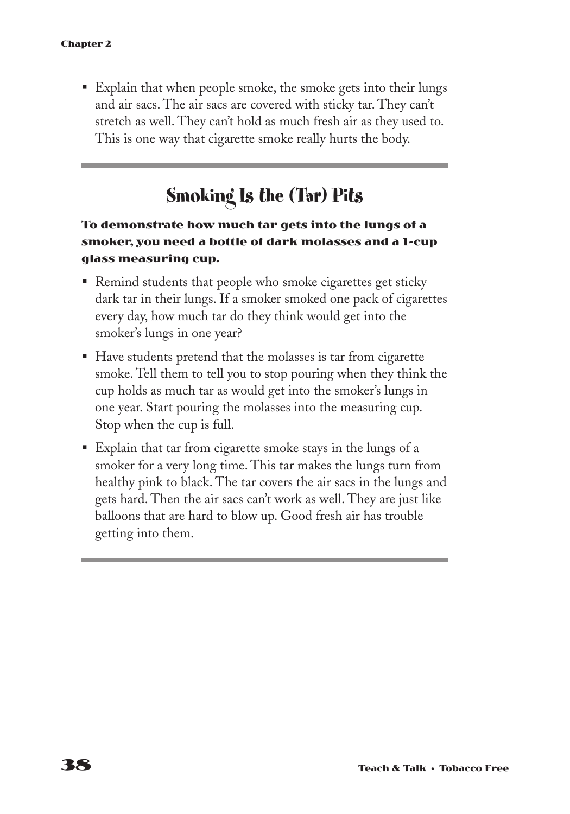■ Explain that when people smoke, the smoke gets into their lungs and air sacs. The air sacs are covered with sticky tar. They can't stretch as well. They can't hold as much fresh air as they used to. This is one way that cigarette smoke really hurts the body.

## **Smoking Is the (Tar) Pits**

### **To demonstrate how much tar gets into the lungs of a smoker, you need a bottle of dark molasses and a 1-cup glass measuring cup.**

- Remind students that people who smoke cigarettes get sticky dark tar in their lungs. If a smoker smoked one pack of cigarettes every day, how much tar do they think would get into the smoker's lungs in one year?
- Have students pretend that the molasses is tar from cigarette smoke. Tell them to tell you to stop pouring when they think the cup holds as much tar as would get into the smoker's lungs in one year. Start pouring the molasses into the measuring cup. Stop when the cup is full.
- Explain that tar from cigarette smoke stays in the lungs of a smoker for a very long time. This tar makes the lungs turn from healthy pink to black. The tar covers the air sacs in the lungs and gets hard. Then the air sacs can't work as well. They are just like balloons that are hard to blow up. Good fresh air has trouble getting into them.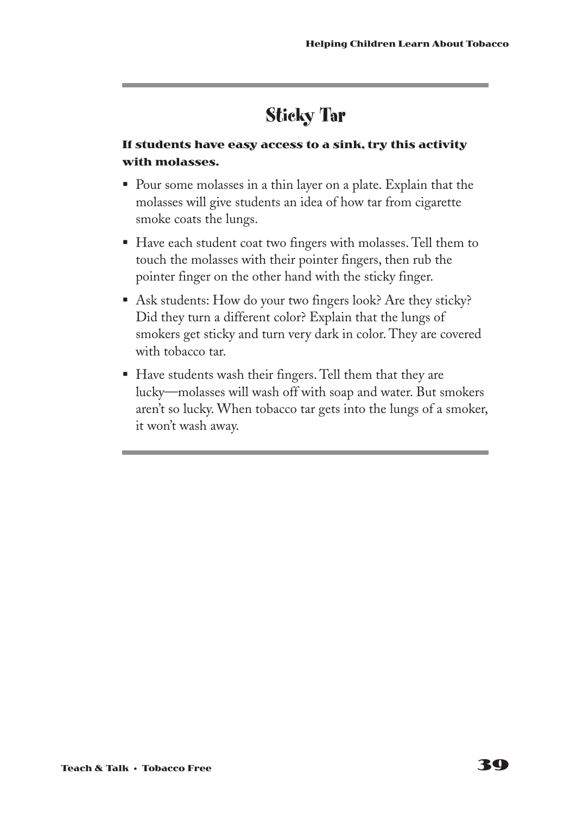## **Sticky Tar**

### **If students have easy access to a sink, try this activity with molasses.**

- § Pour some molasses in a thin layer on a plate. Explain that the molasses will give students an idea of how tar from cigarette smoke coats the lungs.
- § Have each student coat two fingers with molasses. Tell them to touch the molasses with their pointer fingers, then rub the pointer finger on the other hand with the sticky finger.
- Ask students: How do your two fingers look? Are they sticky? Did they turn a different color? Explain that the lungs of smokers get sticky and turn very dark in color. They are covered with tobacco tar.
- Have students wash their fingers. Tell them that they are lucky—molasses will wash off with soap and water. But smokers aren't so lucky. When tobacco tar gets into the lungs of a smoker, it won't wash away.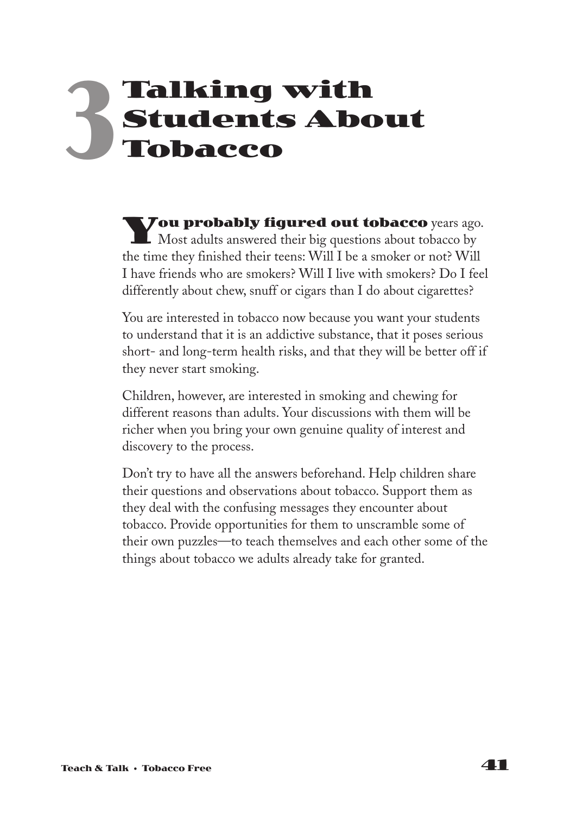## **Talking with Students About Tobacco 3**

**You probably figured out tobacco** years ago.<br>Most adults answered their big questions about tobacco by the time they finished their teens: Will I be a smoker or not? Will I have friends who are smokers? Will I live with smokers? Do I feel differently about chew, snuff or cigars than I do about cigarettes?

You are interested in tobacco now because you want your students to understand that it is an addictive substance, that it poses serious short- and long-term health risks, and that they will be better off if they never start smoking.

Children, however, are interested in smoking and chewing for different reasons than adults. Your discussions with them will be richer when you bring your own genuine quality of interest and discovery to the process.

Don't try to have all the answers beforehand. Help children share their questions and observations about tobacco. Support them as they deal with the confusing messages they encounter about tobacco. Provide opportunities for them to unscramble some of their own puzzles—to teach themselves and each other some of the things about tobacco we adults already take for granted.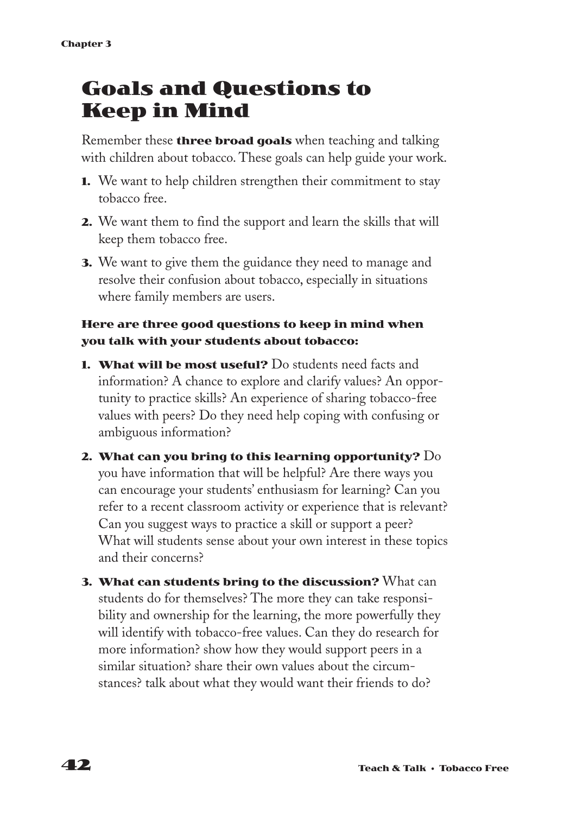## **Goals and Questions to Keep in Mind**

Remember these **three broad goals** when teaching and talking with children about tobacco. These goals can help guide your work.

- **1.** We want to help children strengthen their commitment to stay tobacco free.
- **2.** We want them to find the support and learn the skills that will keep them tobacco free.
- **3.** We want to give them the guidance they need to manage and resolve their confusion about tobacco, especially in situations where family members are users.

### **Here are three good questions to keep in mind when you talk with your students about tobacco:**

- **1. What will be most useful?** Do students need facts and information? A chance to explore and clarify values? An opportunity to practice skills? An experience of sharing tobacco-free values with peers? Do they need help coping with confusing or ambiguous information?
- **2. What can you bring to this learning opportunity?** Do you have information that will be helpful? Are there ways you can encourage your students' enthusiasm for learning? Can you refer to a recent classroom activity or experience that is relevant? Can you suggest ways to practice a skill or support a peer? What will students sense about your own interest in these topics and their concerns?
- **3. What can students bring to the discussion?** What can students do for themselves? The more they can take responsibility and ownership for the learning, the more powerfully they will identify with tobacco-free values. Can they do research for more information? show how they would support peers in a similar situation? share their own values about the circumstances? talk about what they would want their friends to do?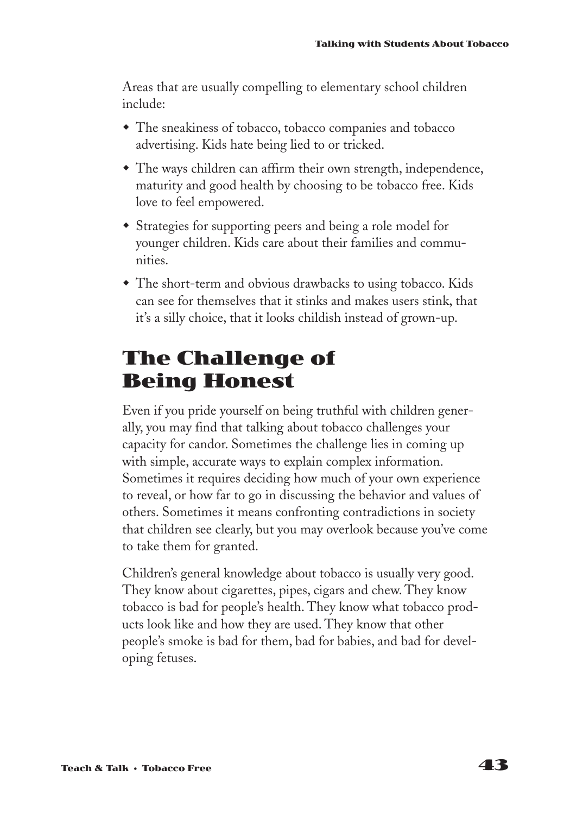Areas that are usually compelling to elementary school children include:

- The sneakiness of tobacco, tobacco companies and tobacco advertising. Kids hate being lied to or tricked.
- $\bullet$  The ways children can affirm their own strength, independence, maturity and good health by choosing to be tobacco free. Kids love to feel empowered.
- Strategies for supporting peers and being a role model for younger children. Kids care about their families and communities.
- The short-term and obvious drawbacks to using tobacco. Kids can see for themselves that it stinks and makes users stink, that it's a silly choice, that it looks childish instead of grown-up.

## **The Challenge of Being Honest**

Even if you pride yourself on being truthful with children generally, you may find that talking about tobacco challenges your capacity for candor. Sometimes the challenge lies in coming up with simple, accurate ways to explain complex information. Sometimes it requires deciding how much of your own experience to reveal, or how far to go in discussing the behavior and values of others. Sometimes it means confronting contradictions in society that children see clearly, but you may overlook because you've come to take them for granted.

Children's general knowledge about tobacco is usually very good. They know about cigarettes, pipes, cigars and chew. They know tobacco is bad for people's health. They know what tobacco products look like and how they are used. They know that other people's smoke is bad for them, bad for babies, and bad for developing fetuses.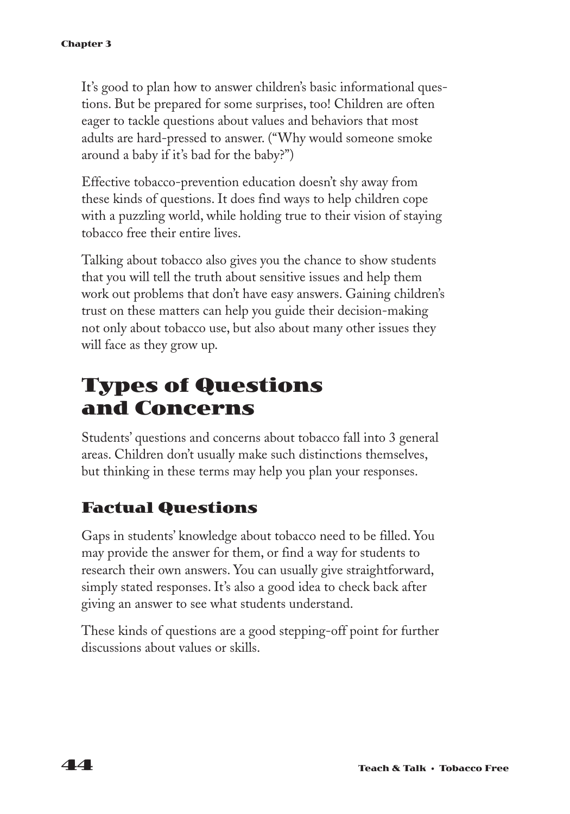It's good to plan how to answer children's basic informational questions. But be prepared for some surprises, too! Children are often eager to tackle questions about values and behaviors that most adults are hard-pressed to answer. ("Why would someone smoke around a baby if it's bad for the baby?")

Effective tobacco-prevention education doesn't shy away from these kinds of questions. It does find ways to help children cope with a puzzling world, while holding true to their vision of staying tobacco free their entire lives.

Talking about tobacco also gives you the chance to show students that you will tell the truth about sensitive issues and help them work out problems that don't have easy answers. Gaining children's trust on these matters can help you guide their decision-making not only about tobacco use, but also about many other issues they will face as they grow up.

## **Types of Questions and Concerns**

Students' questions and concerns about tobacco fall into 3 general areas. Children don't usually make such distinctions themselves, but thinking in these terms may help you plan your responses.

### **Factual Questions**

Gaps in students' knowledge about tobacco need to be filled. You may provide the answer for them, or find a way for students to research their own answers. You can usually give straightforward, simply stated responses. It's also a good idea to check back after giving an answer to see what students understand.

These kinds of questions are a good stepping-off point for further discussions about values or skills.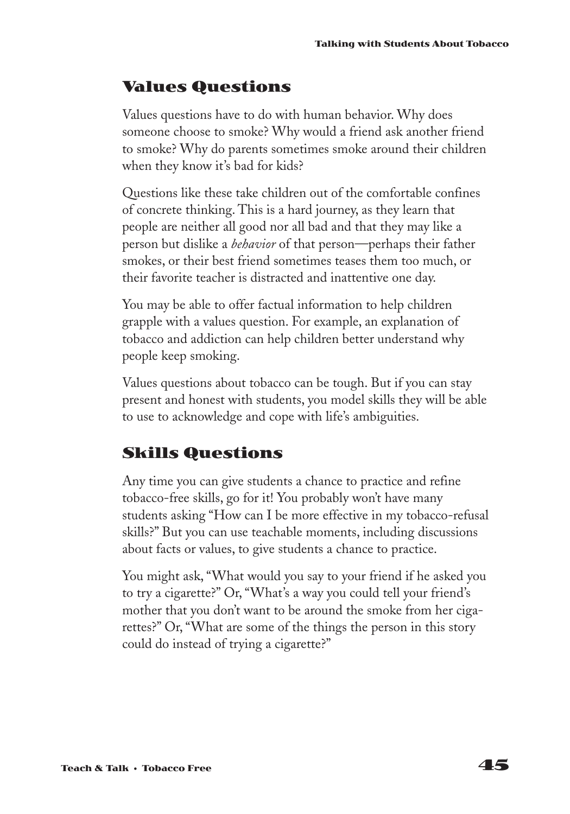### **Values Questions**

Values questions have to do with human behavior. Why does someone choose to smoke? Why would a friend ask another friend to smoke? Why do parents sometimes smoke around their children when they know it's bad for kids?

Questions like these take children out of the comfortable confines of concrete thinking. This is a hard journey, as they learn that people are neither all good nor all bad and that they may like a person but dislike a *behavior* of that person—perhaps their father smokes, or their best friend sometimes teases them too much, or their favorite teacher is distracted and inattentive one day.

You may be able to offer factual information to help children grapple with a values question. For example, an explanation of tobacco and addiction can help children better understand why people keep smoking.

Values questions about tobacco can be tough. But if you can stay present and honest with students, you model skills they will be able to use to acknowledge and cope with life's ambiguities.

### **Skills Questions**

Any time you can give students a chance to practice and refine tobacco-free skills, go for it! You probably won't have many students asking "How can I be more effective in my tobacco-refusal skills?" But you can use teachable moments, including discussions about facts or values, to give students a chance to practice.

You might ask, "What would you say to your friend if he asked you to try a cigarette?" Or, "What's a way you could tell your friend's mother that you don't want to be around the smoke from her cigarettes?" Or, "What are some of the things the person in this story could do instead of trying a cigarette?"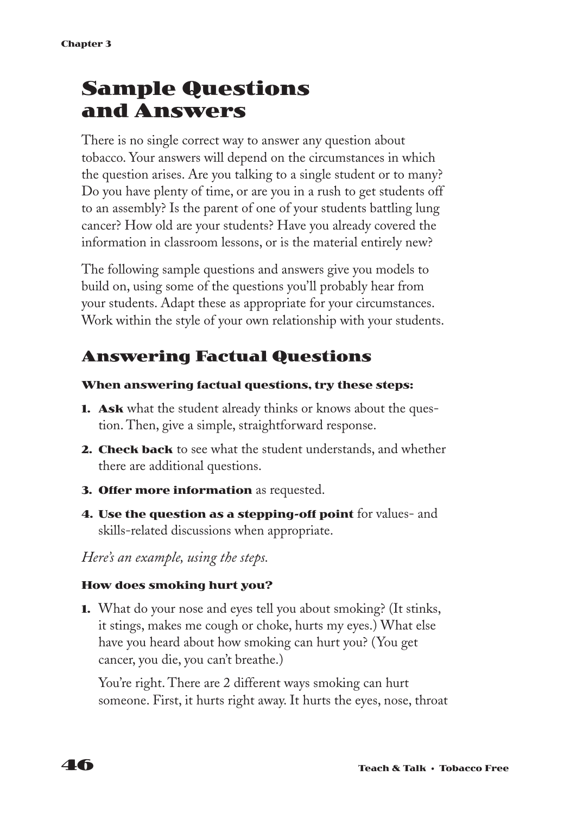## **Sample Questions and Answers**

There is no single correct way to answer any question about tobacco. Your answers will depend on the circumstances in which the question arises. Are you talking to a single student or to many? Do you have plenty of time, or are you in a rush to get students off to an assembly? Is the parent of one of your students battling lung cancer? How old are your students? Have you already covered the information in classroom lessons, or is the material entirely new?

The following sample questions and answers give you models to build on, using some of the questions you'll probably hear from your students. Adapt these as appropriate for your circumstances. Work within the style of your own relationship with your students.

### **Answering Factual Questions**

### **When answering factual questions, try these steps:**

- **1. Ask** what the student already thinks or knows about the question. Then, give a simple, straightforward response.
- **2. Check back** to see what the student understands, and whether there are additional questions.
- **3. Offer more information** as requested.
- **4. Use the question as a stepping-off point** for values- and skills-related discussions when appropriate.

*Here's an example, using the steps.*

### **How does smoking hurt you?**

**1.** What do your nose and eyes tell you about smoking? (It stinks, it stings, makes me cough or choke, hurts my eyes.) What else have you heard about how smoking can hurt you? (You get cancer, you die, you can't breathe.)

You're right. There are 2 different ways smoking can hurt someone. First, it hurts right away. It hurts the eyes, nose, throat

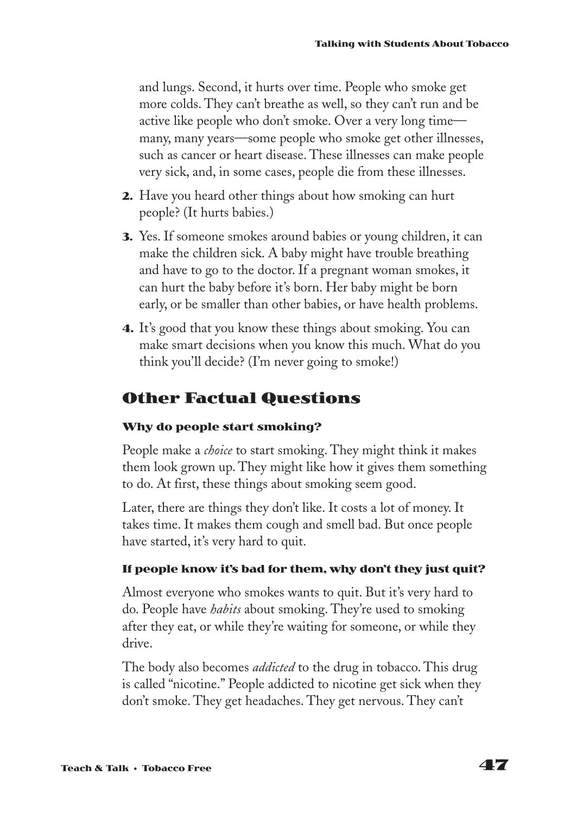and lungs. Second, it hurts over time. People who smoke get more colds. They can't breathe as well, so they can't run and be active like people who don't smoke. Over a very long time many, many years—some people who smoke get other illnesses, such as cancer or heart disease. These illnesses can make people very sick, and, in some cases, people die from these illnesses.

- **2.** Have you heard other things about how smoking can hurt people? (It hurts babies.)
- **3.** Yes. If someone smokes around babies or young children, it can make the children sick. A baby might have trouble breathing and have to go to the doctor. If a pregnant woman smokes, it can hurt the baby before it's born. Her baby might be born early, or be smaller than other babies, or have health problems.
- **4.** It's good that you know these things about smoking. You can make smart decisions when you know this much. What do you think you'll decide? (I'm never going to smoke!)

### **Other Factual Questions**

### **Why do people start smoking?**

People make a *choice* to start smoking. They might think it makes them look grown up. They might like how it gives them something to do. At first, these things about smoking seem good.

Later, there are things they don't like. It costs a lot of money. It takes time. It makes them cough and smell bad. But once people have started, it's very hard to quit.

### **If people know it's bad for them, why don't they just quit?**

Almost everyone who smokes wants to quit. But it's very hard to do. People have *habits* about smoking. They're used to smoking after they eat, or while they're waiting for someone, or while they drive.

The body also becomes *addicted* to the drug in tobacco. This drug is called "nicotine." People addicted to nicotine get sick when they don't smoke. They get headaches. They get nervous. They can't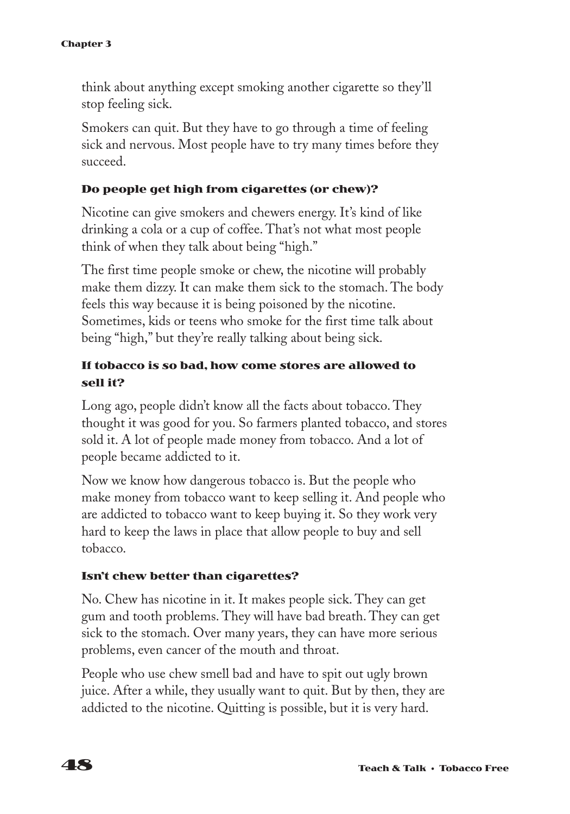think about anything except smoking another cigarette so they'll stop feeling sick.

Smokers can quit. But they have to go through a time of feeling sick and nervous. Most people have to try many times before they succeed.

### **Do people get high from cigarettes (or chew)?**

Nicotine can give smokers and chewers energy. It's kind of like drinking a cola or a cup of coffee. That's not what most people think of when they talk about being "high."

The first time people smoke or chew, the nicotine will probably make them dizzy. It can make them sick to the stomach. The body feels this way because it is being poisoned by the nicotine. Sometimes, kids or teens who smoke for the first time talk about being "high," but they're really talking about being sick.

### **If tobacco is so bad, how come stores are allowed to sell it?**

Long ago, people didn't know all the facts about tobacco. They thought it was good for you. So farmers planted tobacco, and stores sold it. A lot of people made money from tobacco. And a lot of people became addicted to it.

Now we know how dangerous tobacco is. But the people who make money from tobacco want to keep selling it. And people who are addicted to tobacco want to keep buying it. So they work very hard to keep the laws in place that allow people to buy and sell tobacco.

#### **Isn't chew better than cigarettes?**

No. Chew has nicotine in it. It makes people sick. They can get gum and tooth problems. They will have bad breath. They can get sick to the stomach. Over many years, they can have more serious problems, even cancer of the mouth and throat.

People who use chew smell bad and have to spit out ugly brown juice. After a while, they usually want to quit. But by then, they are addicted to the nicotine. Quitting is possible, but it is very hard.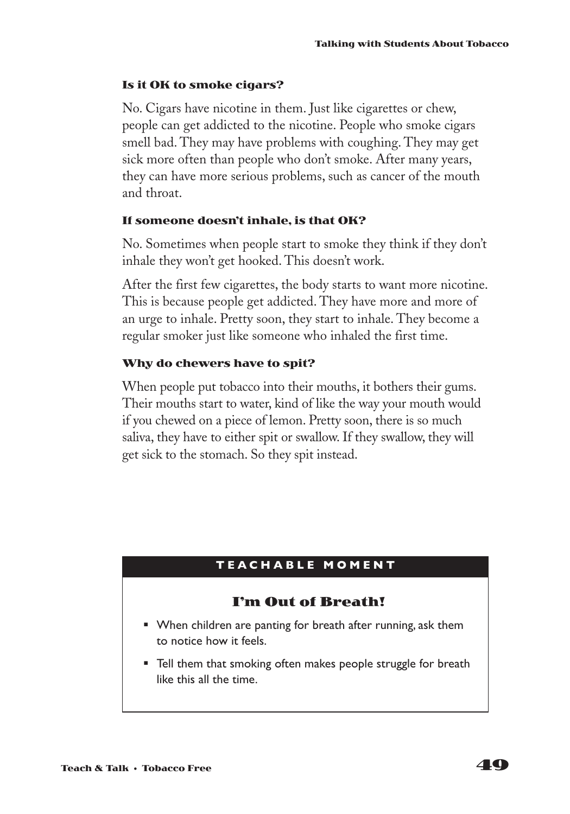#### **Is it OK to smoke cigars?**

No. Cigars have nicotine in them. Just like cigarettes or chew, people can get addicted to the nicotine. People who smoke cigars smell bad. They may have problems with coughing. They may get sick more often than people who don't smoke. After many years, they can have more serious problems, such as cancer of the mouth and throat.

### **If someone doesn't inhale, is that OK?**

No. Sometimes when people start to smoke they think if they don't inhale they won't get hooked. This doesn't work.

After the first few cigarettes, the body starts to want more nicotine. This is because people get addicted. They have more and more of an urge to inhale. Pretty soon, they start to inhale. They become a regular smoker just like someone who inhaled the first time.

### **Why do chewers have to spit?**

When people put tobacco into their mouths, it bothers their gums. Their mouths start to water, kind of like the way your mouth would if you chewed on a piece of lemon. Pretty soon, there is so much saliva, they have to either spit or swallow. If they swallow, they will get sick to the stomach. So they spit instead.

### **TEA CHABLE MOMENT**

### **I'm Out of Breath!**

- When children are panting for breath after running, ask them to notice how it feels.
- Tell them that smoking often makes people struggle for breath like this all the time.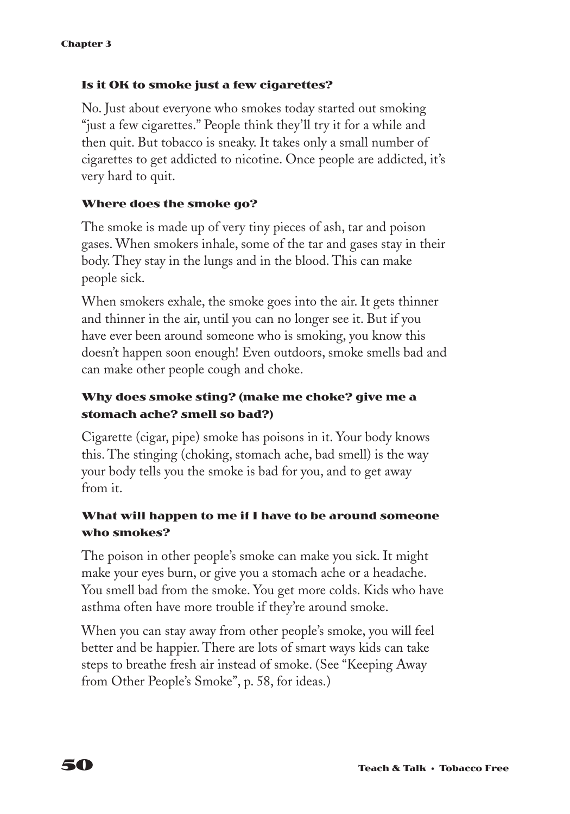### **Is it OK to smoke just a few cigarettes?**

No. Just about everyone who smokes today started out smoking "just a few cigarettes." People think they'll try it for a while and then quit. But tobacco is sneaky. It takes only a small number of cigarettes to get addicted to nicotine. Once people are addicted, it's very hard to quit.

### **Where does the smoke go?**

The smoke is made up of very tiny pieces of ash, tar and poison gases. When smokers inhale, some of the tar and gases stay in their body. They stay in the lungs and in the blood. This can make people sick.

When smokers exhale, the smoke goes into the air. It gets thinner and thinner in the air, until you can no longer see it. But if you have ever been around someone who is smoking, you know this doesn't happen soon enough! Even outdoors, smoke smells bad and can make other people cough and choke.

### **Why does smoke sting? (make me choke? give me a stomach ache? smell so bad?)**

Cigarette (cigar, pipe) smoke has poisons in it. Your body knows this. The stinging (choking, stomach ache, bad smell) is the way your body tells you the smoke is bad for you, and to get away from it.

### **What will happen to me if I have to be around someone who smokes?**

The poison in other people's smoke can make you sick. It might make your eyes burn, or give you a stomach ache or a headache. You smell bad from the smoke. You get more colds. Kids who have asthma often have more trouble if they're around smoke.

When you can stay away from other people's smoke, you will feel better and be happier. There are lots of smart ways kids can take steps to breathe fresh air instead of smoke. (See "Keeping Away from Other People's Smoke", p. 58, for ideas.)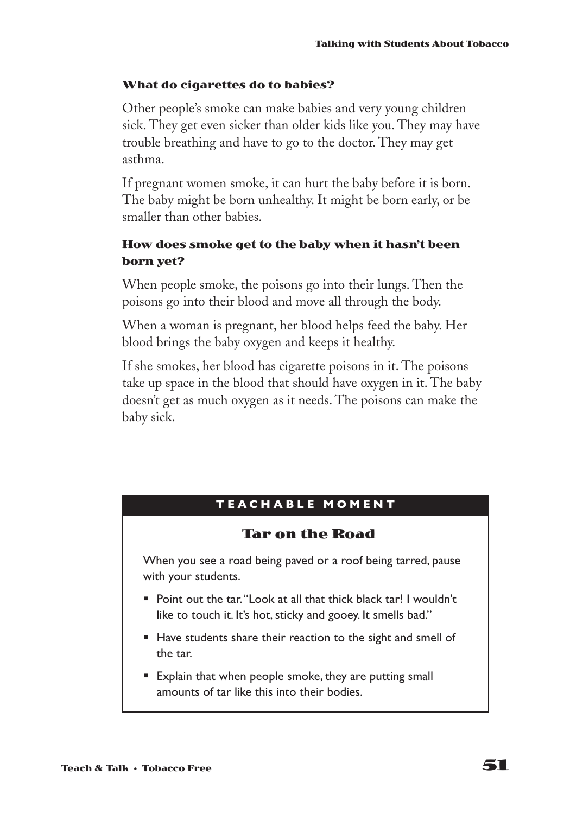### **What do cigarettes do to babies?**

Other people's smoke can make babies and very young children sick. They get even sicker than older kids like you. They may have trouble breathing and have to go to the doctor. They may get asthma.

If pregnant women smoke, it can hurt the baby before it is born. The baby might be born unhealthy. It might be born early, or be smaller than other babies.

### **How does smoke get to the baby when it hasn't been born yet?**

When people smoke, the poisons go into their lungs. Then the poisons go into their blood and move all through the body.

When a woman is pregnant, her blood helps feed the baby. Her blood brings the baby oxygen and keeps it healthy.

If she smokes, her blood has cigarette poisons in it. The poisons take up space in the blood that should have oxygen in it. The baby doesn't get as much oxygen as it needs. The poisons can make the baby sick.

### **TEA CHABLE MOMENT**

### **Tar on the Road**

When you see a road being paved or a roof being tarred, pause with your students.

- Point out the tar. "Look at all that thick black tar! I wouldn't like to touch it. It's hot, sticky and gooey. It smells bad."
- Have students share their reaction to the sight and smell of the tar.
- Explain that when people smoke, they are putting small amounts of tar like this into their bodies.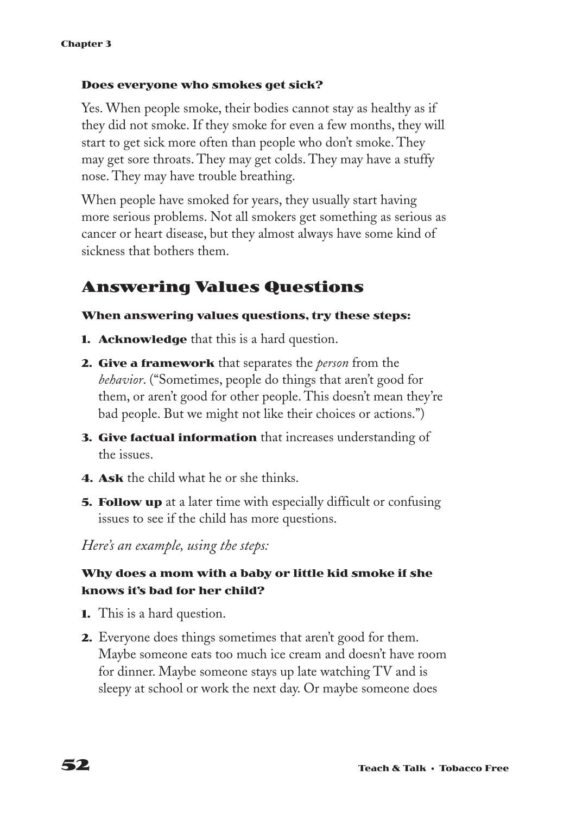#### **Does everyone who smokes get sick?**

Yes. When people smoke, their bodies cannot stay as healthy as if they did not smoke. If they smoke for even a few months, they will start to get sick more often than people who don't smoke. They may get sore throats. They may get colds. They may have a stuffy nose. They may have trouble breathing.

When people have smoked for years, they usually start having more serious problems. Not all smokers get something as serious as cancer or heart disease, but they almost always have some kind of sickness that bothers them.

### **Answering Values Questions**

#### **When answering values questions, try these steps:**

- **1. Acknowledge** that this is a hard question.
- **2. Give a framework** that separates the *person* from the *behavior*. ("Sometimes, people do things that aren't good for them, or aren't good for other people. This doesn't mean they're bad people. But we might not like their choices or actions.")
- **3. Give factual information** that increases understanding of the issues.
- **4. Ask** the child what he or she thinks.
- **5. Follow up** at a later time with especially difficult or confusing issues to see if the child has more questions.

*Here's an example, using the steps:*

### **Why does a mom with a baby or little kid smoke if she knows it's bad for her child?**

- **1.** This is a hard question.
- **2.** Everyone does things sometimes that aren't good for them. Maybe someone eats too much ice cream and doesn't have room for dinner. Maybe someone stays up late watching TV and is sleepy at school or work the next day. Or maybe someone does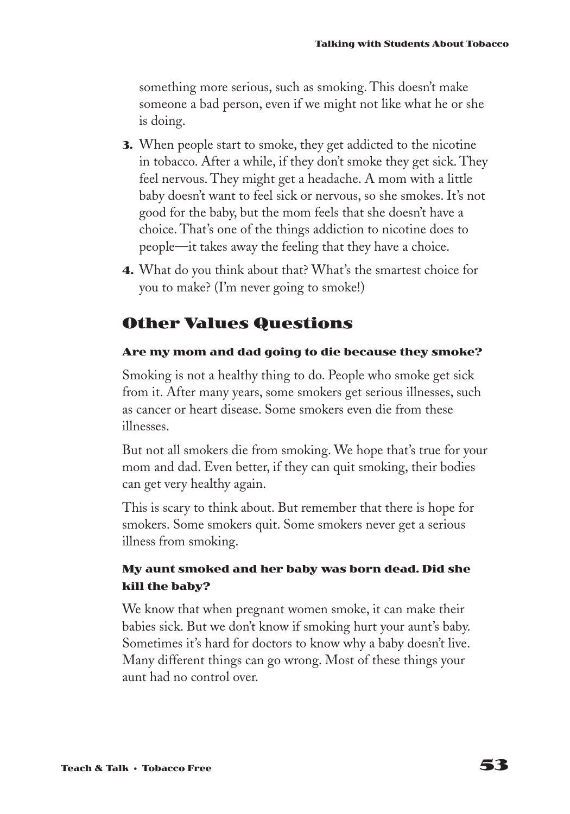something more serious, such as smoking. This doesn't make someone a bad person, even if we might not like what he or she is doing.

- **3.** When people start to smoke, they get addicted to the nicotine in tobacco. After a while, if they don't smoke they get sick. They feel nervous. They might get a headache. A mom with a little baby doesn't want to feel sick or nervous, so she smokes. It's not good for the baby, but the mom feels that she doesn't have a choice. That's one of the things addiction to nicotine does to people—it takes away the feeling that they have a choice.
- **4.** What do you think about that? What's the smartest choice for you to make? (I'm never going to smoke!)

### **Other Values Questions**

### **Are my mom and dad going to die because they smoke?**

Smoking is not a healthy thing to do. People who smoke get sick from it. After many years, some smokers get serious illnesses, such as cancer or heart disease. Some smokers even die from these illnesses.

But not all smokers die from smoking. We hope that's true for your mom and dad. Even better, if they can quit smoking, their bodies can get very healthy again.

This is scary to think about. But remember that there is hope for smokers. Some smokers quit. Some smokers never get a serious illness from smoking.

### **My aunt smoked and her baby was born dead. Did she kill the baby?**

We know that when pregnant women smoke, it can make their babies sick. But we don't know if smoking hurt your aunt's baby. Sometimes it's hard for doctors to know why a baby doesn't live. Many different things can go wrong. Most of these things your aunt had no control over.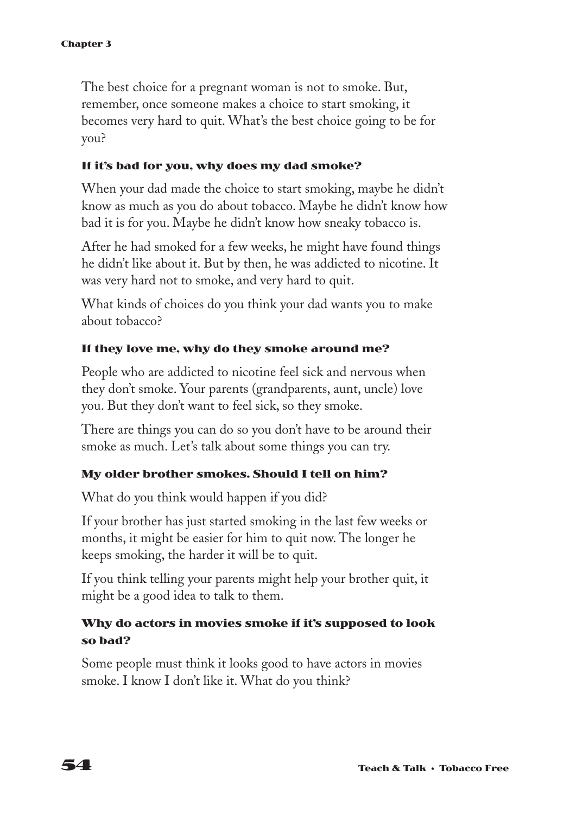The best choice for a pregnant woman is not to smoke. But, remember, once someone makes a choice to start smoking, it becomes very hard to quit. What's the best choice going to be for you?

### **If it's bad for you, why does my dad smoke?**

When your dad made the choice to start smoking, maybe he didn't know as much as you do about tobacco. Maybe he didn't know how bad it is for you. Maybe he didn't know how sneaky tobacco is.

After he had smoked for a few weeks, he might have found things he didn't like about it. But by then, he was addicted to nicotine. It was very hard not to smoke, and very hard to quit.

What kinds of choices do you think your dad wants you to make about tobacco?

### **If they love me, why do they smoke around me?**

People who are addicted to nicotine feel sick and nervous when they don't smoke. Your parents (grandparents, aunt, uncle) love you. But they don't want to feel sick, so they smoke.

There are things you can do so you don't have to be around their smoke as much. Let's talk about some things you can try.

#### **My older brother smokes. Should I tell on him?**

What do you think would happen if you did?

If your brother has just started smoking in the last few weeks or months, it might be easier for him to quit now. The longer he keeps smoking, the harder it will be to quit.

If you think telling your parents might help your brother quit, it might be a good idea to talk to them.

### **Why do actors in movies smoke if it's supposed to look so bad?**

Some people must think it looks good to have actors in movies smoke. I know I don't like it. What do you think?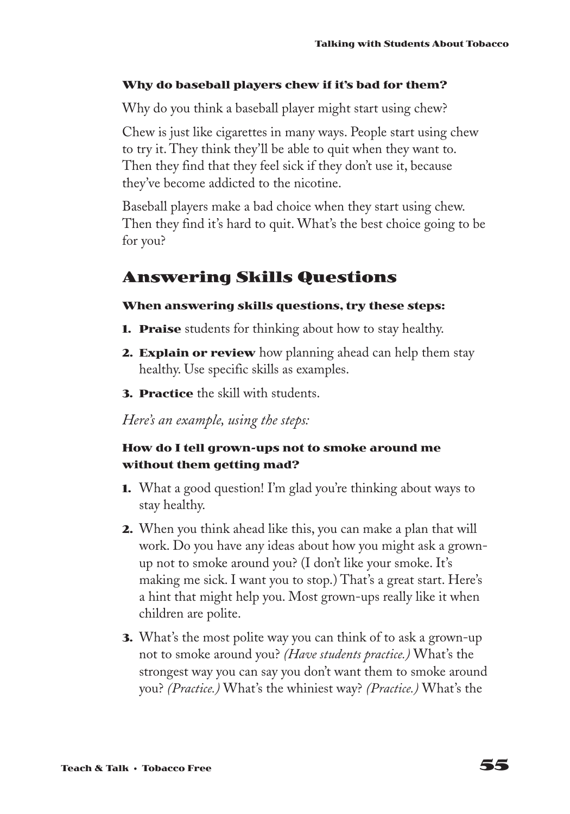#### **Why do baseball players chew if it's bad for them?**

Why do you think a baseball player might start using chew?

Chew is just like cigarettes in many ways. People start using chew to try it. They think they'll be able to quit when they want to. Then they find that they feel sick if they don't use it, because they've become addicted to the nicotine.

Baseball players make a bad choice when they start using chew. Then they find it's hard to quit. What's the best choice going to be for you?

### **Answering Skills Questions**

### **When answering skills questions, try these steps:**

- **1. Praise** students for thinking about how to stay healthy.
- **2. Explain or review** how planning ahead can help them stay healthy. Use specific skills as examples.
- **3. Practice** the skill with students.

*Here's an example, using the steps:*

### **How do I tell grown-ups not to smoke around me without them getting mad?**

- **1.** What a good question! I'm glad you're thinking about ways to stay healthy.
- **2.** When you think ahead like this, you can make a plan that will work. Do you have any ideas about how you might ask a grownup not to smoke around you? (I don't like your smoke. It's making me sick. I want you to stop.) That's a great start. Here's a hint that might help you. Most grown-ups really like it when children are polite.
- **3.** What's the most polite way you can think of to ask a grown-up not to smoke around you? *(Have students practice.)* What's the strongest way you can say you don't want them to smoke around you? *(Practice.)* What's the whiniest way? *(Practice.)* What's the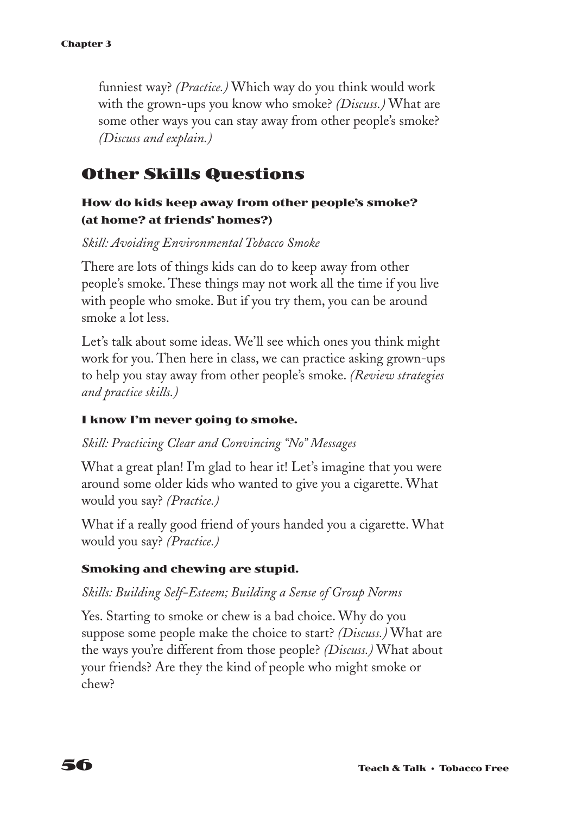funniest way? *(Practice.)* Which way do you think would work with the grown-ups you know who smoke? *(Discuss.)* What are some other ways you can stay away from other people's smoke? *(Discuss and explain.)*

### **Other Skills Questions**

### **How do kids keep away from other people's smoke? (at home? at friends' homes?)**

*Skill: Avoiding Environmental Tobacco Smoke*

There are lots of things kids can do to keep away from other people's smoke. These things may not work all the time if you live with people who smoke. But if you try them, you can be around smoke a lot less.

Let's talk about some ideas. We'll see which ones you think might work for you. Then here in class, we can practice asking grown-ups to help you stay away from other people's smoke. *(Review strategies and practice skills.)*

#### **I know I'm never going to smoke.**

*Skill: Practicing Clear and Convincing "No" Messages*

What a great plan! I'm glad to hear it! Let's imagine that you were around some older kids who wanted to give you a cigarette. What would you say? *(Practice.)*

What if a really good friend of yours handed you a cigarette. What would you say? *(Practice.)*

### **Smoking and chewing are stupid.**

### *Skills: Building Self-Esteem; Building a Sense of Group Norms*

Yes. Starting to smoke or chew is a bad choice. Why do you suppose some people make the choice to start? *(Discuss.)* What are the ways you're different from those people? *(Discuss.)* What about your friends? Are they the kind of people who might smoke or chew?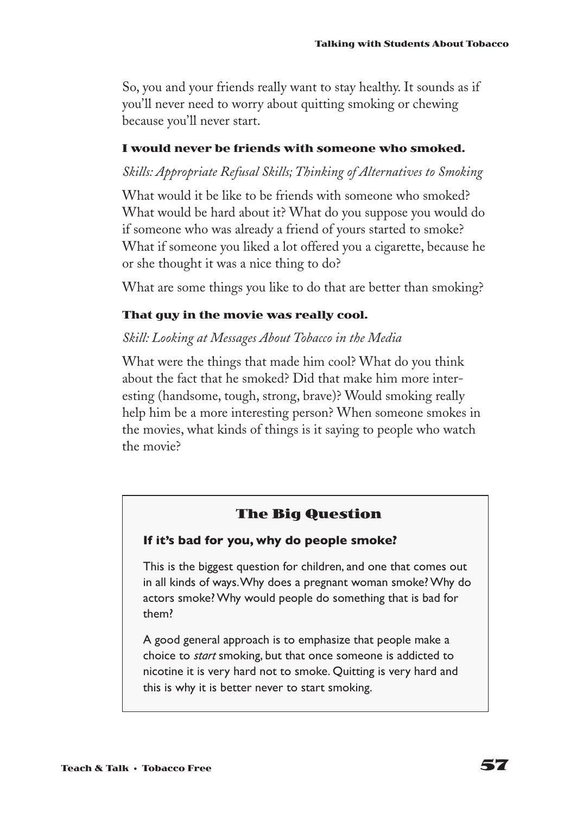So, you and your friends really want to stay healthy. It sounds as if you'll never need to worry about quitting smoking or chewing because you'll never start.

### **I would never be friends with someone who smoked.**

### *Skills: Appropriate Refusal Skills; Thinking of Alternatives to Smoking*

What would it be like to be friends with someone who smoked? What would be hard about it? What do you suppose you would do if someone who was already a friend of yours started to smoke? What if someone you liked a lot offered you a cigarette, because he or she thought it was a nice thing to do?

What are some things you like to do that are better than smoking?

### **That guy in the movie was really cool.**

### *Skill: Looking at Messages About Tobacco in the Media*

What were the things that made him cool? What do you think about the fact that he smoked? Did that make him more interesting (handsome, tough, strong, brave)? Would smoking really help him be a more interesting person? When someone smokes in the movies, what kinds of things is it saying to people who watch the movie?

### **The Big Question**

### **If it's bad for you, why do people smoke?**

This is the biggest question for children, and one that comes out in all kinds of ways.Why does a pregnant woman smoke? Why do actors smoke? Why would people do something that is bad for them?

A good general approach is to emphasize that people make a choice to *start* smoking, but that once someone is addicted to nicotine it is very hard not to smoke. Quitting is very hard and this is why it is better never to start smoking.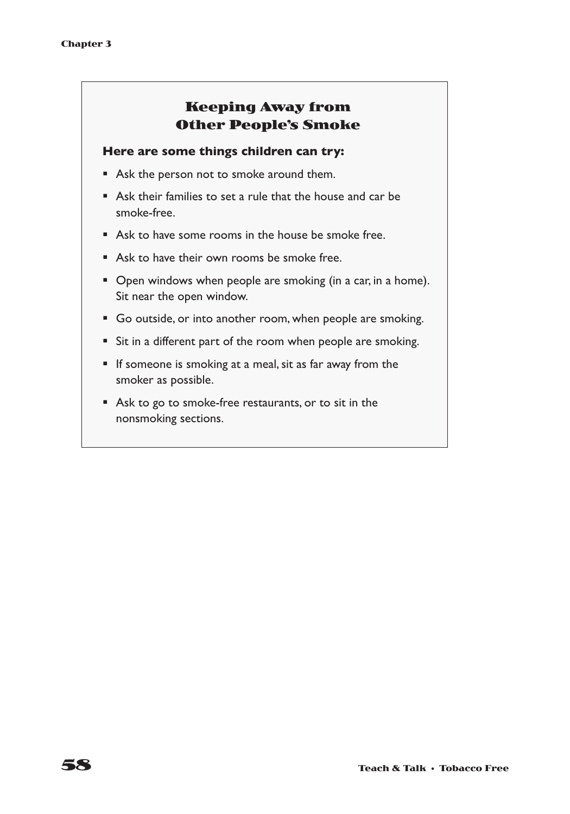### **Keeping Away from Other People's Smoke**

#### **Here are some things children can try:**

- Ask the person not to smoke around them.
- Ask their families to set a rule that the house and car be smoke-free.
- Ask to have some rooms in the house be smoke free.
- Ask to have their own rooms be smoke free.
- Open windows when people are smoking (in a car, in a home). Sit near the open window.
- Go outside, or into another room, when people are smoking.
- Sit in a different part of the room when people are smoking.
- If someone is smoking at a meal, sit as far away from the smoker as possible.
- Ask to go to smoke-free restaurants, or to sit in the nonsmoking sections.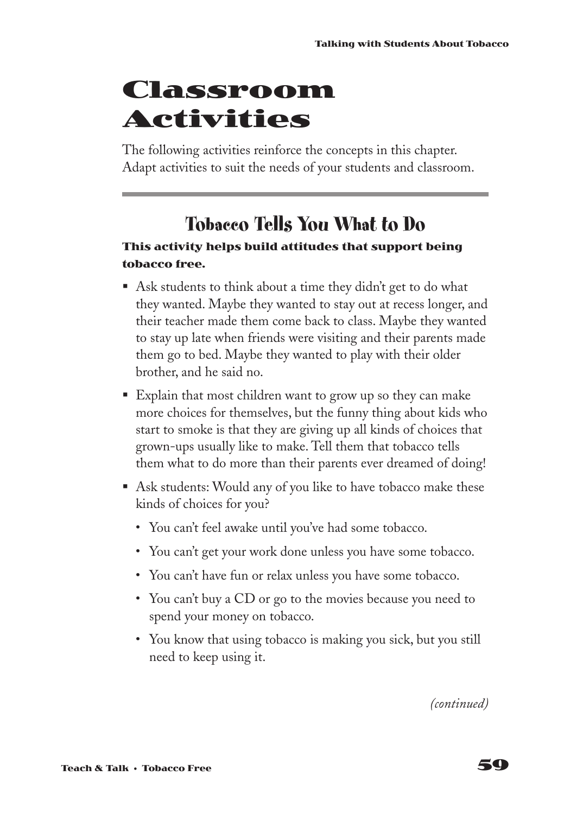## **Classroom Activities**

The following activities reinforce the concepts in this chapter. Adapt activities to suit the needs of your students and classroom.

## **Tobacco Tells You What to Do**

### **This activity helps build attitudes that support being tobacco free.**

- Ask students to think about a time they didn't get to do what they wanted. Maybe they wanted to stay out at recess longer, and their teacher made them come back to class. Maybe they wanted to stay up late when friends were visiting and their parents made them go to bed. Maybe they wanted to play with their older brother, and he said no.
- Explain that most children want to grow up so they can make more choices for themselves, but the funny thing about kids who start to smoke is that they are giving up all kinds of choices that grown-ups usually like to make. Tell them that tobacco tells them what to do more than their parents ever dreamed of doing!
- Ask students: Would any of you like to have tobacco make these kinds of choices for you?
	- You can't feel awake until you've had some tobacco.
	- You can't get your work done unless you have some tobacco.
	- You can't have fun or relax unless you have some tobacco.
	- You can't buy a CD or go to the movies because you need to spend your money on tobacco.
	- You know that using tobacco is making you sick, but you still need to keep using it.

*(continued)*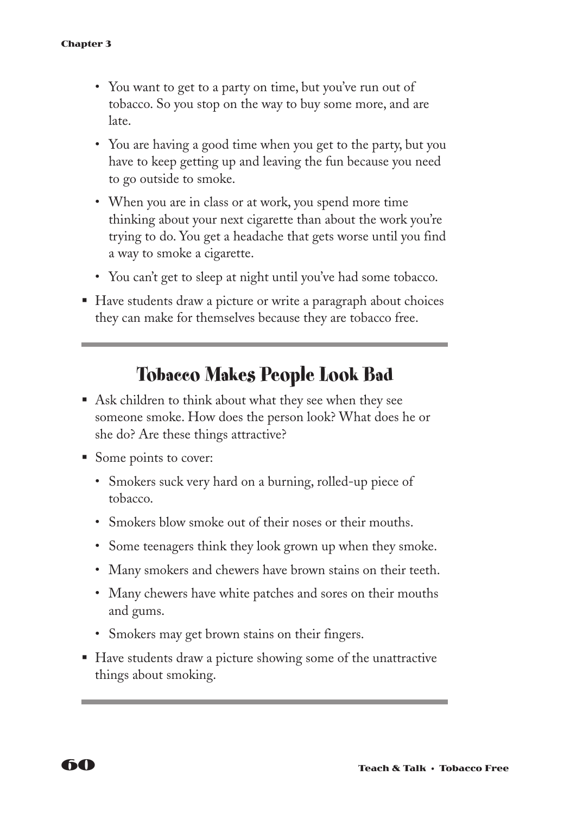- You want to get to a party on time, but you've run out of tobacco. So you stop on the way to buy some more, and are late.
- You are having a good time when you get to the party, but you have to keep getting up and leaving the fun because you need to go outside to smoke.
- When you are in class or at work, you spend more time thinking about your next cigarette than about the work you're trying to do. You get a headache that gets worse until you find a way to smoke a cigarette.
- You can't get to sleep at night until you've had some tobacco.
- Have students draw a picture or write a paragraph about choices they can make for themselves because they are tobacco free.

### **Tobacco Makes People Look Bad**

- Ask children to think about what they see when they see someone smoke. How does the person look? What does he or she do? Are these things attractive?
- Some points to cover:
	- Smokers suck very hard on a burning, rolled-up piece of tobacco.
	- Smokers blow smoke out of their noses or their mouths.
	- Some teenagers think they look grown up when they smoke.
	- Many smokers and chewers have brown stains on their teeth.
	- Many chewers have white patches and sores on their mouths and gums.
	- Smokers may get brown stains on their fingers.
- Have students draw a picture showing some of the unattractive things about smoking.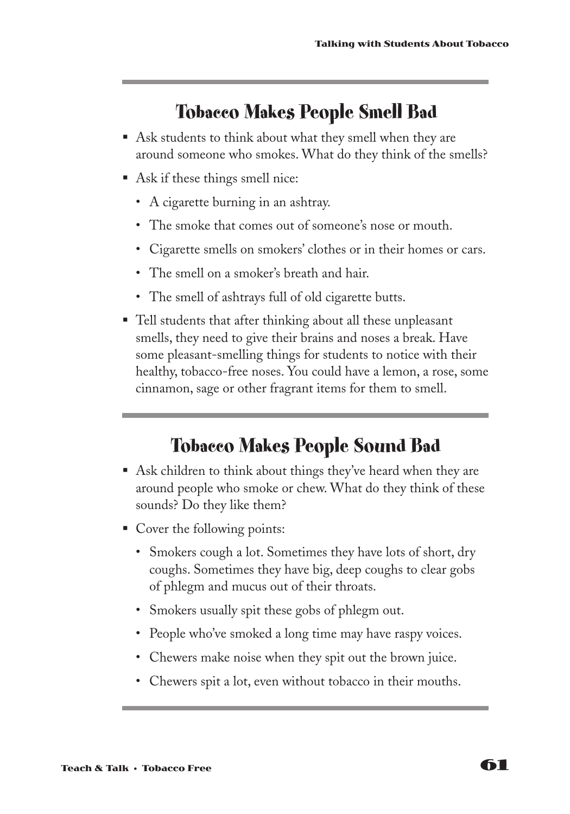### **Tobacco Makes People Smell Bad**

- Ask students to think about what they smell when they are around someone who smokes. What do they think of the smells?
- Ask if these things smell nice:
	- A cigarette burning in an ashtray.
	- The smoke that comes out of someone's nose or mouth.
	- Cigarette smells on smokers' clothes or in their homes or cars.
	- The smell on a smoker's breath and hair.
	- The smell of ashtrays full of old cigarette butts.
- Tell students that after thinking about all these unpleasant smells, they need to give their brains and noses a break. Have some pleasant-smelling things for students to notice with their healthy, tobacco-free noses. You could have a lemon, a rose, some cinnamon, sage or other fragrant items for them to smell.

### **Tobacco Makes People Sound Bad**

- Ask children to think about things they've heard when they are around people who smoke or chew. What do they think of these sounds? Do they like them?
- Cover the following points:
	- Smokers cough a lot. Sometimes they have lots of short, dry coughs. Sometimes they have big, deep coughs to clear gobs of phlegm and mucus out of their throats.
	- Smokers usually spit these gobs of phlegm out.
	- People who've smoked a long time may have raspy voices.
	- Chewers make noise when they spit out the brown juice.
	- Chewers spit a lot, even without tobacco in their mouths.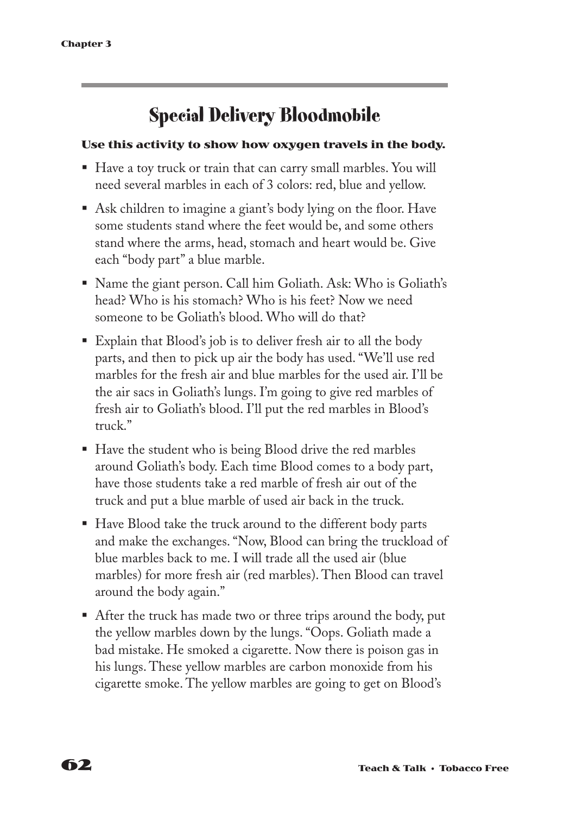## **Special Delivery Bloodmobile**

### **Use this activity to show how oxygen travels in the body.**

- Have a toy truck or train that can carry small marbles. You will need several marbles in each of 3 colors: red, blue and yellow.
- Ask children to imagine a giant's body lying on the floor. Have some students stand where the feet would be, and some others stand where the arms, head, stomach and heart would be. Give each "body part" a blue marble.
- § Name the giant person. Call him Goliath. Ask: Who is Goliath's head? Who is his stomach? Who is his feet? Now we need someone to be Goliath's blood. Who will do that?
- Explain that Blood's job is to deliver fresh air to all the body parts, and then to pick up air the body has used. "We'll use red marbles for the fresh air and blue marbles for the used air. I'll be the air sacs in Goliath's lungs. I'm going to give red marbles of fresh air to Goliath's blood. I'll put the red marbles in Blood's truck."
- Have the student who is being Blood drive the red marbles around Goliath's body. Each time Blood comes to a body part, have those students take a red marble of fresh air out of the truck and put a blue marble of used air back in the truck.
- Have Blood take the truck around to the different body parts and make the exchanges. "Now, Blood can bring the truckload of blue marbles back to me. I will trade all the used air (blue marbles) for more fresh air (red marbles). Then Blood can travel around the body again."
- After the truck has made two or three trips around the body, put the yellow marbles down by the lungs. "Oops. Goliath made a bad mistake. He smoked a cigarette. Now there is poison gas in his lungs. These yellow marbles are carbon monoxide from his cigarette smoke. The yellow marbles are going to get on Blood's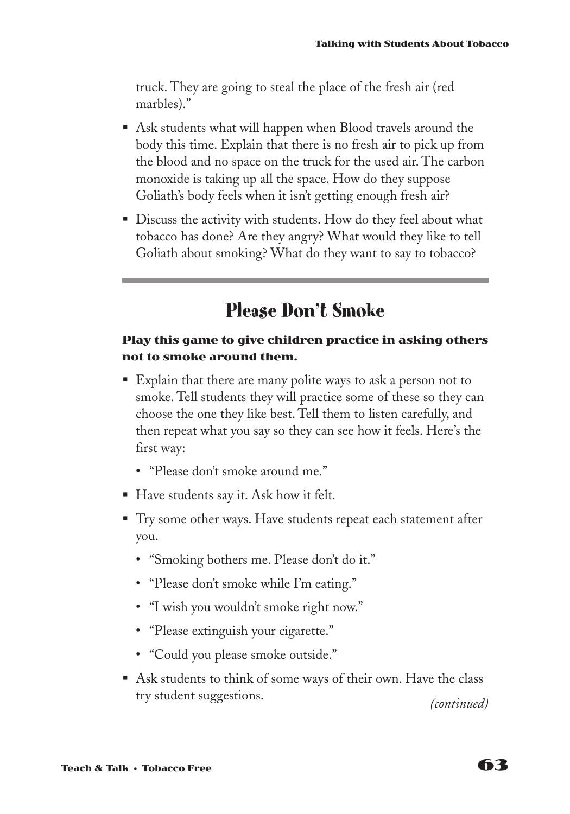truck. They are going to steal the place of the fresh air (red marbles)."

- Ask students what will happen when Blood travels around the body this time. Explain that there is no fresh air to pick up from the blood and no space on the truck for the used air. The carbon monoxide is taking up all the space. How do they suppose Goliath's body feels when it isn't getting enough fresh air?
- Discuss the activity with students. How do they feel about what tobacco has done? Are they angry? What would they like to tell Goliath about smoking? What do they want to say to tobacco?

### **Please Don't Smoke**

### **Play this game to give children practice in asking others not to smoke around them.**

- Explain that there are many polite ways to ask a person not to smoke. Tell students they will practice some of these so they can choose the one they like best. Tell them to listen carefully, and then repeat what you say so they can see how it feels. Here's the first way:
	- "Please don't smoke around me."
- Have students say it. Ask how it felt.
- Try some other ways. Have students repeat each statement after you.
	- "Smoking bothers me. Please don't do it."
	- "Please don't smoke while I'm eating."
	- "I wish you wouldn't smoke right now."
	- "Please extinguish your cigarette."
	- "Could you please smoke outside."
- Ask students to think of some ways of their own. Have the class try student suggestions. *(continued)*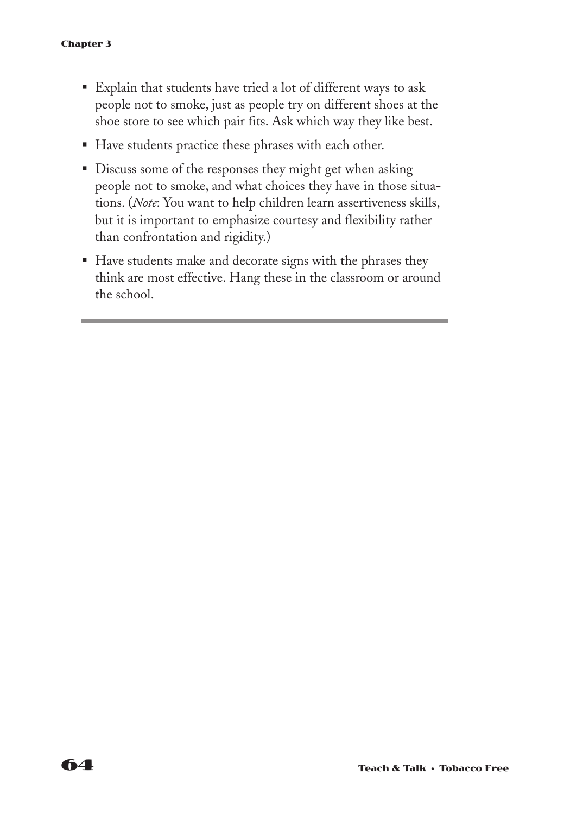- § Explain that students have tried a lot of different ways to ask people not to smoke, just as people try on different shoes at the shoe store to see which pair fits. Ask which way they like best.
- Have students practice these phrases with each other.
- Discuss some of the responses they might get when asking people not to smoke, and what choices they have in those situations. (*Note*: You want to help children learn assertiveness skills, but it is important to emphasize courtesy and flexibility rather than confrontation and rigidity.)
- Have students make and decorate signs with the phrases they think are most effective. Hang these in the classroom or around the school.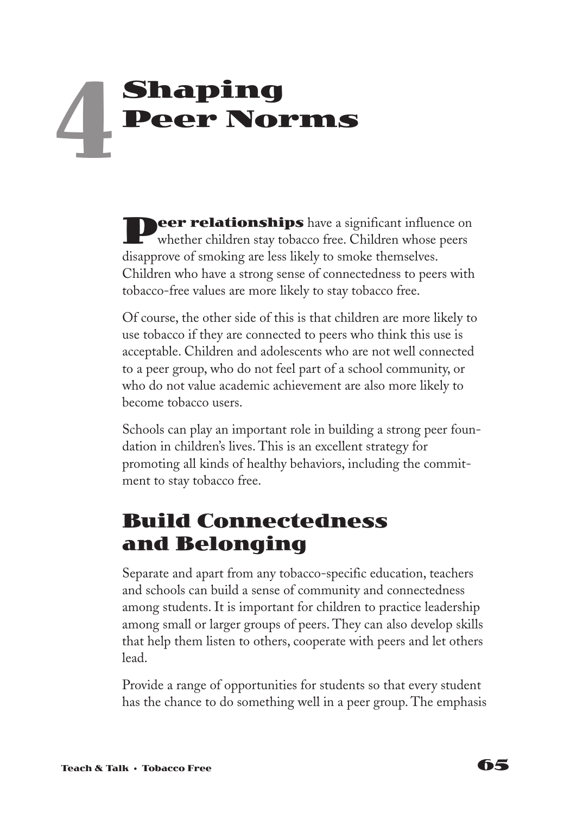# **Shaping Peer Norms 4**

**Peer relationships** have a significant influence on whether children stay tobacco free. Children whose peers disapprove of smoking are less likely to smoke themselves. Children who have a strong sense of connectedness to peers with tobacco-free values are more likely to stay tobacco free.

Of course, the other side of this is that children are more likely to use tobacco if they are connected to peers who think this use is acceptable. Children and adolescents who are not well connected to a peer group, who do not feel part of a school community, or who do not value academic achievement are also more likely to become tobacco users.

Schools can play an important role in building a strong peer foundation in children's lives. This is an excellent strategy for promoting all kinds of healthy behaviors, including the commitment to stay tobacco free.

## **Build Connectedness and Belonging**

Separate and apart from any tobacco-specific education, teachers and schools can build a sense of community and connectedness among students. It is important for children to practice leadership among small or larger groups of peers. They can also develop skills that help them listen to others, cooperate with peers and let others lead.

Provide a range of opportunities for students so that every student has the chance to do something well in a peer group. The emphasis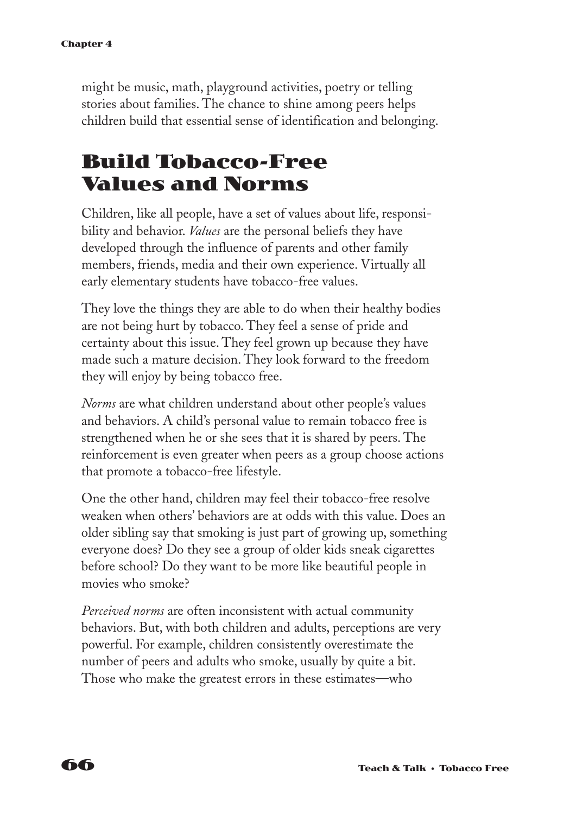might be music, math, playground activities, poetry or telling stories about families. The chance to shine among peers helps children build that essential sense of identification and belonging.

## **Build Tobacco-Free Values and Norms**

Children, like all people, have a set of values about life, responsibility and behavior. *Values* are the personal beliefs they have developed through the influence of parents and other family members, friends, media and their own experience. Virtually all early elementary students have tobacco-free values.

They love the things they are able to do when their healthy bodies are not being hurt by tobacco. They feel a sense of pride and certainty about this issue. They feel grown up because they have made such a mature decision. They look forward to the freedom they will enjoy by being tobacco free.

*Norms* are what children understand about other people's values and behaviors. A child's personal value to remain tobacco free is strengthened when he or she sees that it is shared by peers. The reinforcement is even greater when peers as a group choose actions that promote a tobacco-free lifestyle.

One the other hand, children may feel their tobacco-free resolve weaken when others' behaviors are at odds with this value. Does an older sibling say that smoking is just part of growing up, something everyone does? Do they see a group of older kids sneak cigarettes before school? Do they want to be more like beautiful people in movies who smoke?

*Perceived norms* are often inconsistent with actual community behaviors. But, with both children and adults, perceptions are very powerful. For example, children consistently overestimate the number of peers and adults who smoke, usually by quite a bit. Those who make the greatest errors in these estimates—who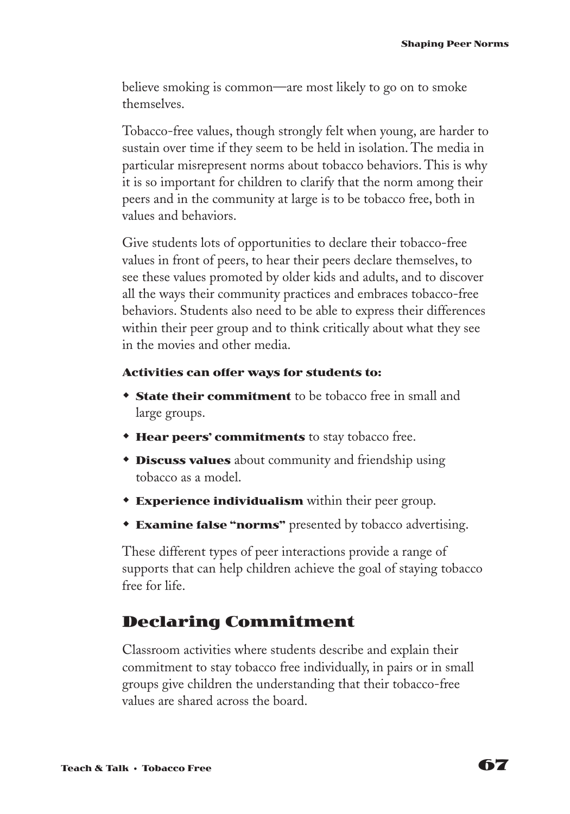believe smoking is common—are most likely to go on to smoke themselves.

Tobacco-free values, though strongly felt when young, are harder to sustain over time if they seem to be held in isolation. The media in particular misrepresent norms about tobacco behaviors. This is why it is so important for children to clarify that the norm among their peers and in the community at large is to be tobacco free, both in values and behaviors.

Give students lots of opportunities to declare their tobacco-free values in front of peers, to hear their peers declare themselves, to see these values promoted by older kids and adults, and to discover all the ways their community practices and embraces tobacco-free behaviors. Students also need to be able to express their differences within their peer group and to think critically about what they see in the movies and other media.

#### **Activities can offer ways for students to:**

- **State their commitment** to be tobacco free in small and large groups.
- **Hear peers' commitments** to stay tobacco free.
- **\* Discuss values** about community and friendship using tobacco as a model.
- **Experience individualism** within their peer group.
- **Examine false "norms"** presented by tobacco advertising.

These different types of peer interactions provide a range of supports that can help children achieve the goal of staying tobacco free for life.

### **Declaring Commitment**

Classroom activities where students describe and explain their commitment to stay tobacco free individually, in pairs or in small groups give children the understanding that their tobacco-free values are shared across the board.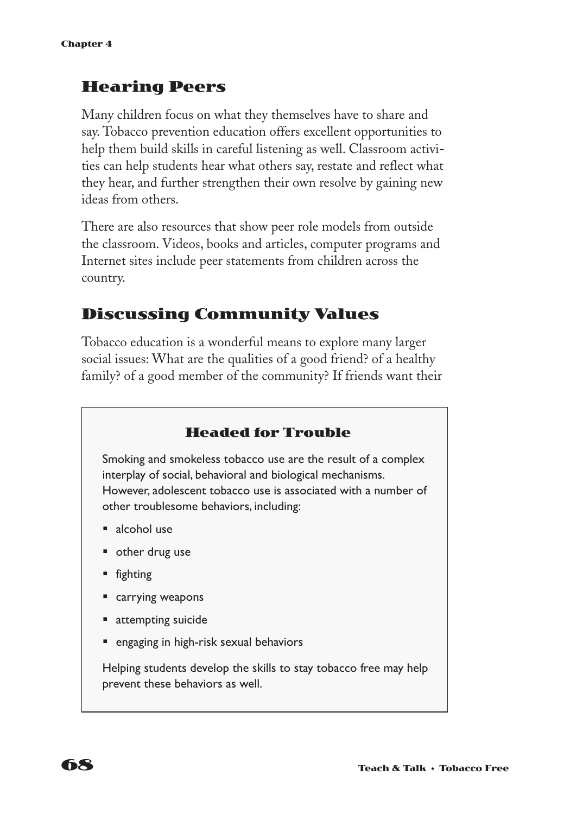### **Hearing Peers**

Many children focus on what they themselves have to share and say. Tobacco prevention education offers excellent opportunities to help them build skills in careful listening as well. Classroom activities can help students hear what others say, restate and reflect what they hear, and further strengthen their own resolve by gaining new ideas from others.

There are also resources that show peer role models from outside the classroom. Videos, books and articles, computer programs and Internet sites include peer statements from children across the country.

### **Discussing Community Values**

Tobacco education is a wonderful means to explore many larger social issues: What are the qualities of a good friend? of a healthy family? of a good member of the community? If friends want their

### **Headed for Trouble**

Smoking and smokeless tobacco use are the result of a complex interplay of social, behavioral and biological mechanisms. However, adolescent tobacco use is associated with a number of other troublesome behaviors, including:

- alcohol use
- other drug use
- fighting
- carrying weapons
- attempting suicide
- engaging in high-risk sexual behaviors

Helping students develop the skills to stay tobacco free may help prevent these behaviors as well.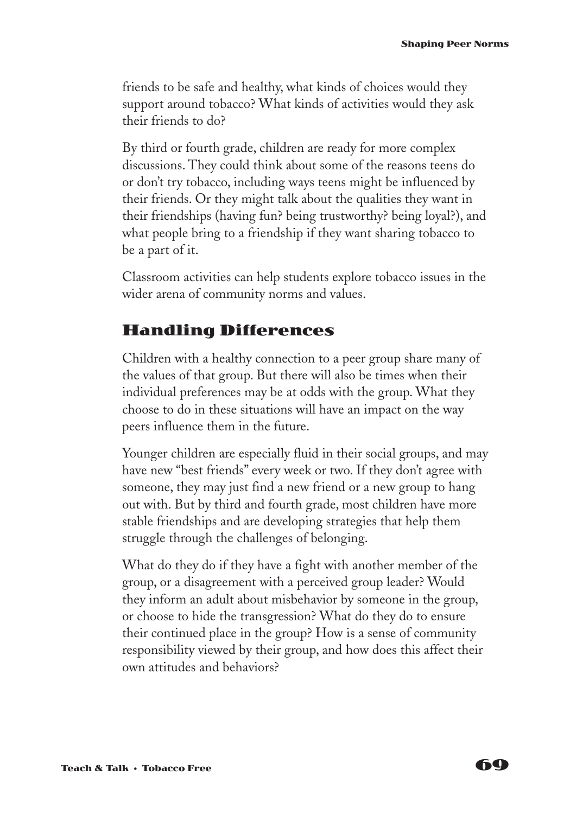friends to be safe and healthy, what kinds of choices would they support around tobacco? What kinds of activities would they ask their friends to do?

By third or fourth grade, children are ready for more complex discussions. They could think about some of the reasons teens do or don't try tobacco, including ways teens might be influenced by their friends. Or they might talk about the qualities they want in their friendships (having fun? being trustworthy? being loyal?), and what people bring to a friendship if they want sharing tobacco to be a part of it.

Classroom activities can help students explore tobacco issues in the wider arena of community norms and values.

### **Handling Differences**

Children with a healthy connection to a peer group share many of the values of that group. But there will also be times when their individual preferences may be at odds with the group. What they choose to do in these situations will have an impact on the way peers influence them in the future.

Younger children are especially fluid in their social groups, and may have new "best friends" every week or two. If they don't agree with someone, they may just find a new friend or a new group to hang out with. But by third and fourth grade, most children have more stable friendships and are developing strategies that help them struggle through the challenges of belonging.

What do they do if they have a fight with another member of the group, or a disagreement with a perceived group leader? Would they inform an adult about misbehavior by someone in the group, or choose to hide the transgression? What do they do to ensure their continued place in the group? How is a sense of community responsibility viewed by their group, and how does this affect their own attitudes and behaviors?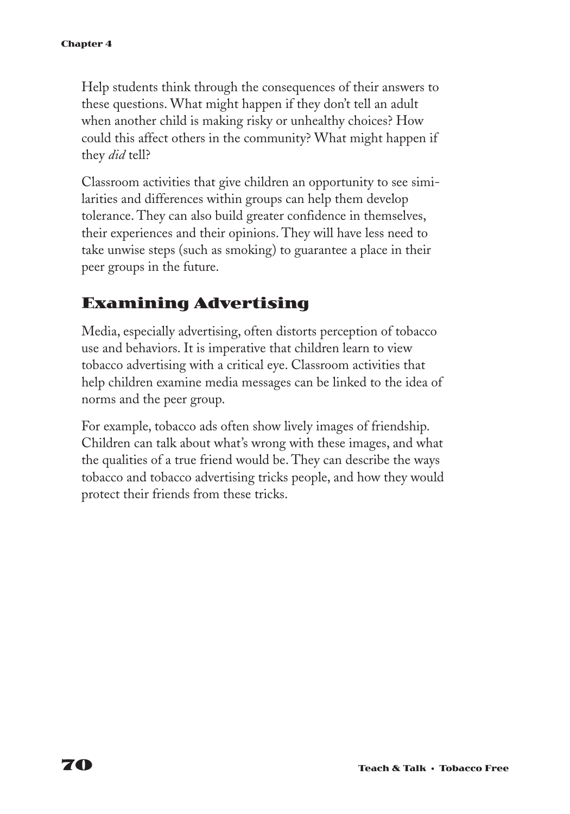Help students think through the consequences of their answers to these questions. What might happen if they don't tell an adult when another child is making risky or unhealthy choices? How could this affect others in the community? What might happen if they *did* tell?

Classroom activities that give children an opportunity to see similarities and differences within groups can help them develop tolerance. They can also build greater confidence in themselves, their experiences and their opinions. They will have less need to take unwise steps (such as smoking) to guarantee a place in their peer groups in the future.

### **Examining Advertising**

Media, especially advertising, often distorts perception of tobacco use and behaviors. It is imperative that children learn to view tobacco advertising with a critical eye. Classroom activities that help children examine media messages can be linked to the idea of norms and the peer group.

For example, tobacco ads often show lively images of friendship. Children can talk about what's wrong with these images, and what the qualities of a true friend would be. They can describe the ways tobacco and tobacco advertising tricks people, and how they would protect their friends from these tricks.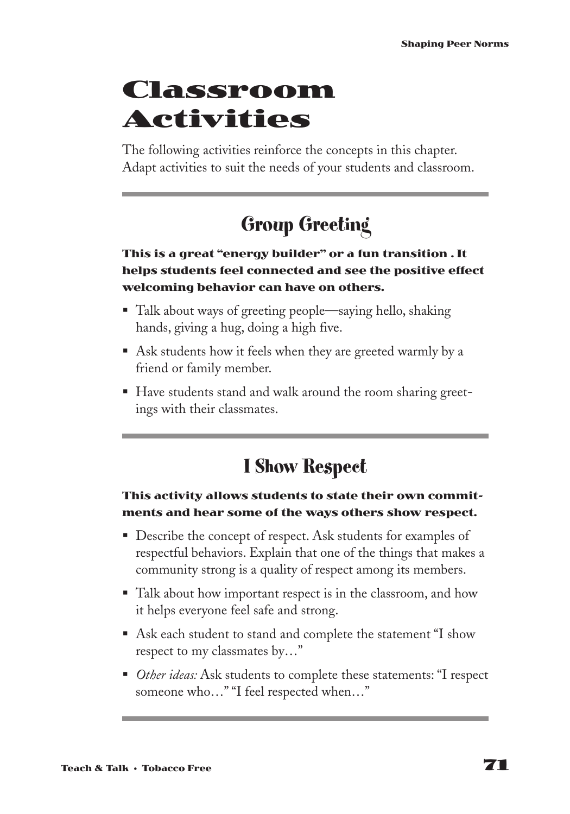# **Classroom Activities**

The following activities reinforce the concepts in this chapter. Adapt activities to suit the needs of your students and classroom.

# **Group Greeting**

#### **This is a great "energy builder" or a fun transition . It helps students feel connected and see the positive effect welcoming behavior can have on others.**

- Talk about ways of greeting people—saying hello, shaking hands, giving a hug, doing a high five.
- Ask students how it feels when they are greeted warmly by a friend or family member.
- Have students stand and walk around the room sharing greetings with their classmates.

### **I Show Respect**

#### **This activity allows students to state their own commitments and hear some of the ways others show respect.**

- Describe the concept of respect. Ask students for examples of respectful behaviors. Explain that one of the things that makes a community strong is a quality of respect among its members.
- Talk about how important respect is in the classroom, and how it helps everyone feel safe and strong.
- Ask each student to stand and complete the statement "I show respect to my classmates by…"
- *Other ideas:* Ask students to complete these statements: "I respect someone who…" "I feel respected when…"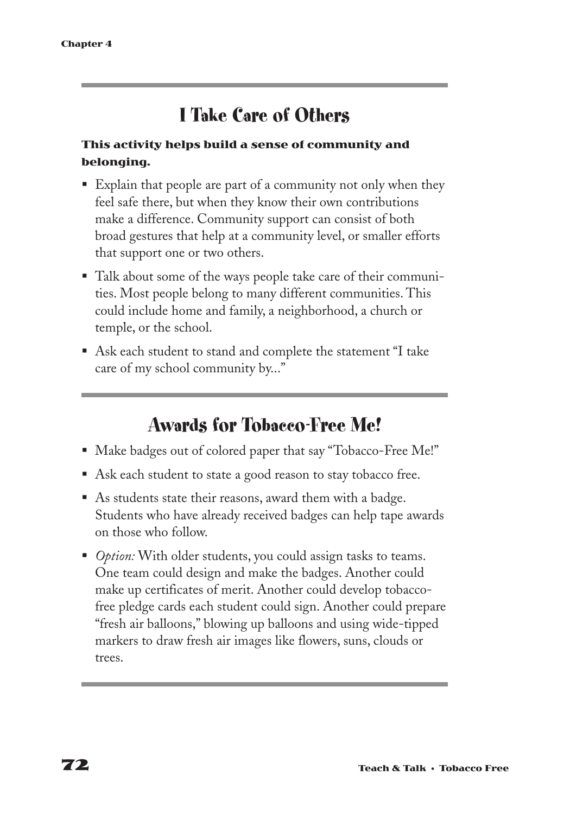### **I Take Care of Others**

#### **This activity helps build a sense of community and belonging.**

- Explain that people are part of a community not only when they feel safe there, but when they know their own contributions make a difference. Community support can consist of both broad gestures that help at a community level, or smaller efforts that support one or two others.
- Talk about some of the ways people take care of their communities. Most people belong to many different communities. This could include home and family, a neighborhood, a church or temple, or the school.
- Ask each student to stand and complete the statement "I take care of my school community by..."

### **Awards for Tobacco-Free Me!**

- Make badges out of colored paper that say "Tobacco-Free Me!"
- Ask each student to state a good reason to stay tobacco free.
- § As students state their reasons, award them with a badge. Students who have already received badges can help tape awards on those who follow.
- *Option:* With older students, you could assign tasks to teams. One team could design and make the badges. Another could make up certificates of merit. Another could develop tobaccofree pledge cards each student could sign. Another could prepare "fresh air balloons," blowing up balloons and using wide-tipped markers to draw fresh air images like flowers, suns, clouds or trees.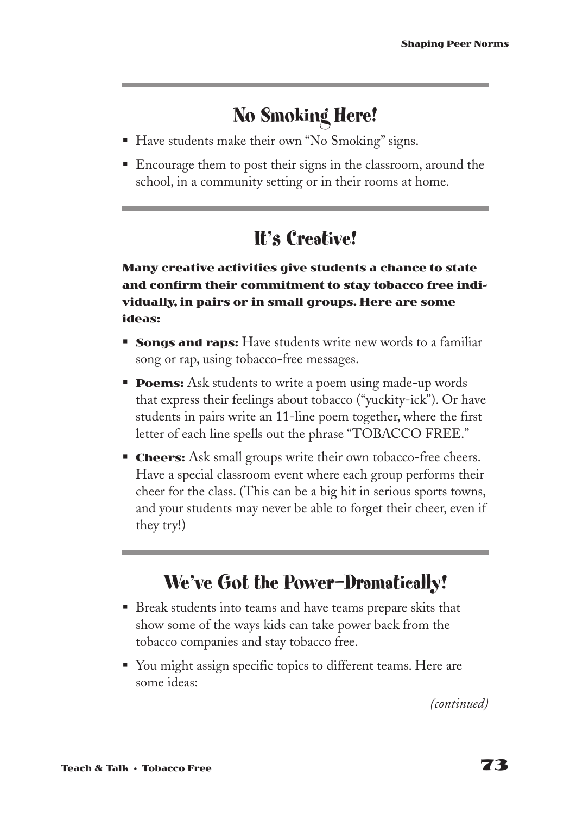### **No Smoking Here!**

- Have students make their own "No Smoking" signs.
- Encourage them to post their signs in the classroom, around the school, in a community setting or in their rooms at home.

### **It's Creative!**

**Many creative activities give students a chance to state and confirm their commitment to stay tobacco free individually, in pairs or in small groups. Here are some ideas:**

- **Songs and raps:** Have students write new words to a familiar song or rap, using tobacco-free messages.
- **Poems:** Ask students to write a poem using made-up words that express their feelings about tobacco ("yuckity-ick"). Or have students in pairs write an 11-line poem together, where the first letter of each line spells out the phrase "TOBACCO FREE."
- **Cheers:** Ask small groups write their own tobacco-free cheers. Have a special classroom event where each group performs their cheer for the class. (This can be a big hit in serious sports towns, and your students may never be able to forget their cheer, even if they try!)

### **We've Got the Power—Dramatically!**

- Break students into teams and have teams prepare skits that show some of the ways kids can take power back from the tobacco companies and stay tobacco free.
- You might assign specific topics to different teams. Here are some ideas:

*(continued)*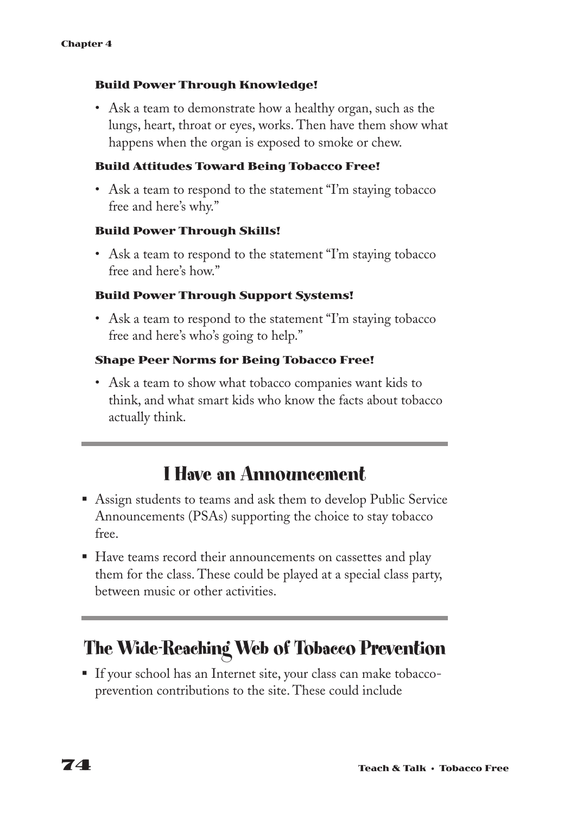#### **Build Power Through Knowledge!**

• Ask a team to demonstrate how a healthy organ, such as the lungs, heart, throat or eyes, works. Then have them show what happens when the organ is exposed to smoke or chew.

#### **Build Attitudes Toward Being Tobacco Free!**

• Ask a team to respond to the statement "I'm staying tobacco" free and here's why."

#### **Build Power Through Skills!**

• Ask a team to respond to the statement "I'm staying tobacco" free and here's how."

#### **Build Power Through Support Systems!**

• Ask a team to respond to the statement "I'm staying tobacco" free and here's who's going to help."

#### **Shape Peer Norms for Being Tobacco Free!**

• Ask a team to show what tobacco companies want kids to think, and what smart kids who know the facts about tobacco actually think.

### **I Have an Announcement**

- Assign students to teams and ask them to develop Public Service Announcements (PSAs) supporting the choice to stay tobacco free.
- Have teams record their announcements on cassettes and play them for the class. These could be played at a special class party, between music or other activities.

### **The Wide-Reaching Web of Tobacco Prevention**

§ If your school has an Internet site, your class can make tobaccoprevention contributions to the site. These could include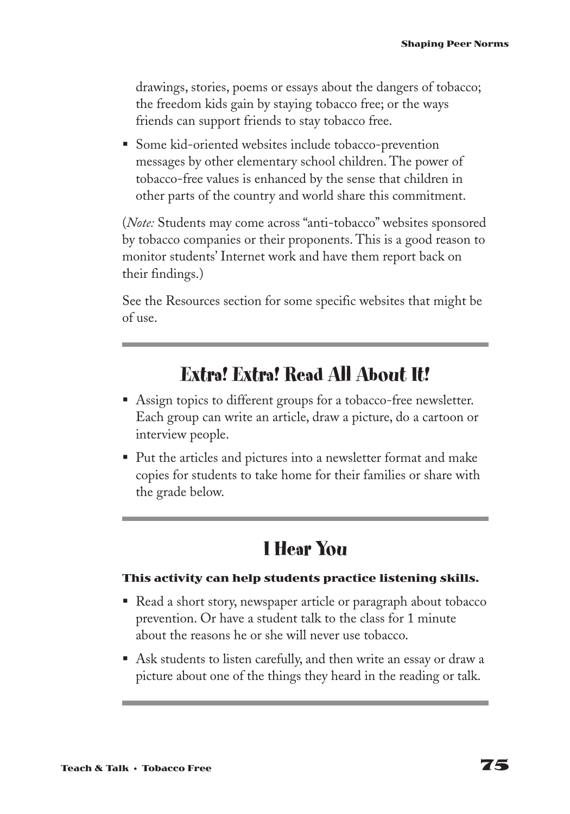drawings, stories, poems or essays about the dangers of tobacco; the freedom kids gain by staying tobacco free; or the ways friends can support friends to stay tobacco free.

§ Some kid-oriented websites include tobacco-prevention messages by other elementary school children. The power of tobacco-free values is enhanced by the sense that children in other parts of the country and world share this commitment.

(*Note:* Students may come across "anti-tobacco" websites sponsored by tobacco companies or their proponents. This is a good reason to monitor students' Internet work and have them report back on their findings.)

See the Resources section for some specific websites that might be of use.

### **Extra! Extra! Read All About It!**

- Assign topics to different groups for a tobacco-free newsletter. Each group can write an article, draw a picture, do a cartoon or interview people.
- Put the articles and pictures into a newsletter format and make copies for students to take home for their families or share with the grade below.

# **I Hear You**

#### **This activity can help students practice listening skills.**

- Read a short story, newspaper article or paragraph about tobacco prevention. Or have a student talk to the class for 1 minute about the reasons he or she will never use tobacco.
- Ask students to listen carefully, and then write an essay or draw a picture about one of the things they heard in the reading or talk.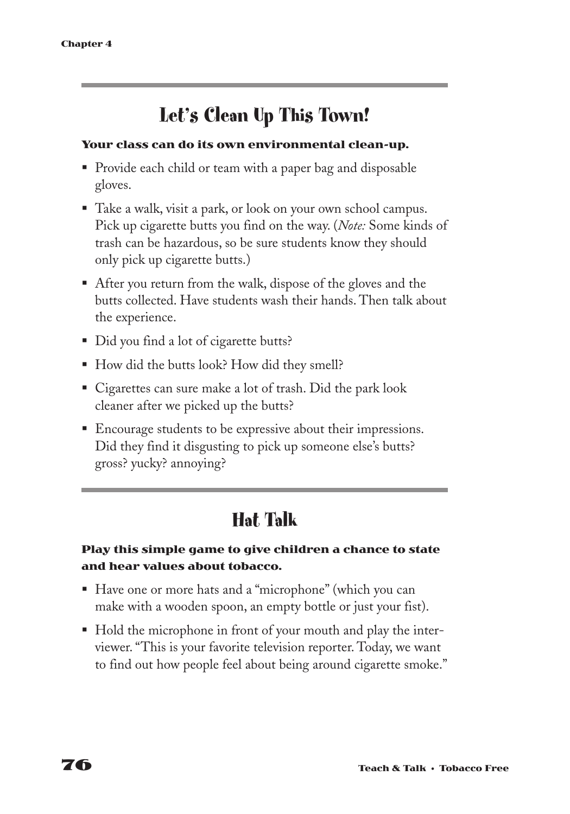# **Let's Clean Up This Town!**

#### **Your class can do its own environmental clean-up.**

- Provide each child or team with a paper bag and disposable gloves.
- Take a walk, visit a park, or look on your own school campus. Pick up cigarette butts you find on the way. (*Note:* Some kinds of trash can be hazardous, so be sure students know they should only pick up cigarette butts.)
- After you return from the walk, dispose of the gloves and the butts collected. Have students wash their hands. Then talk about the experience.
- Did you find a lot of cigarette butts?
- How did the butts look? How did they smell?
- Cigarettes can sure make a lot of trash. Did the park look cleaner after we picked up the butts?
- Encourage students to be expressive about their impressions. Did they find it disgusting to pick up someone else's butts? gross? yucky? annoying?

### **Hat Talk**

#### **Play this simple game to give children a chance to state and hear values about tobacco.**

- Have one or more hats and a "microphone" (which you can make with a wooden spoon, an empty bottle or just your fist).
- Hold the microphone in front of your mouth and play the interviewer. "This is your favorite television reporter. Today, we want to find out how people feel about being around cigarette smoke."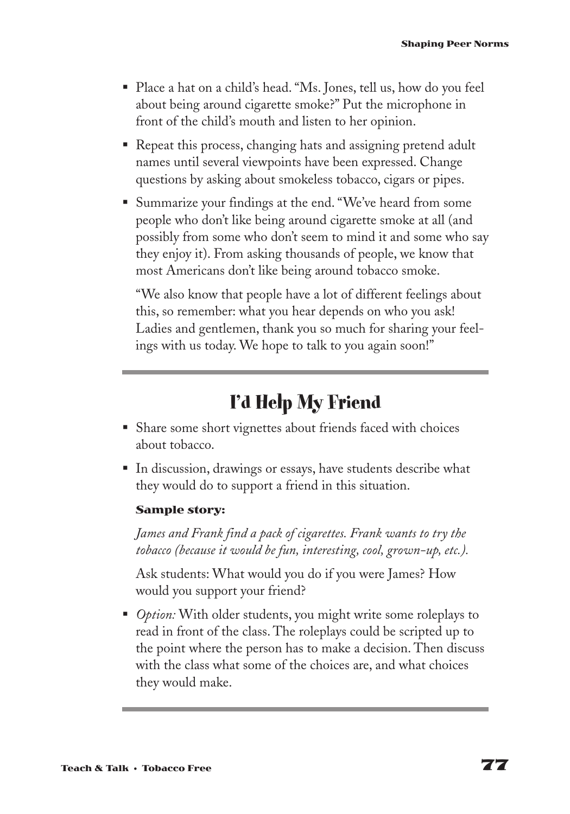- Place a hat on a child's head. "Ms. Jones, tell us, how do you feel about being around cigarette smoke?" Put the microphone in front of the child's mouth and listen to her opinion.
- Repeat this process, changing hats and assigning pretend adult names until several viewpoints have been expressed. Change questions by asking about smokeless tobacco, cigars or pipes.
- § Summarize your findings at the end. "We've heard from some people who don't like being around cigarette smoke at all (and possibly from some who don't seem to mind it and some who say they enjoy it). From asking thousands of people, we know that most Americans don't like being around tobacco smoke.

"We also know that people have a lot of different feelings about this, so remember: what you hear depends on who you ask! Ladies and gentlemen, thank you so much for sharing your feelings with us today. We hope to talk to you again soon!"

### **I'd Help My Friend**

- Share some short vignettes about friends faced with choices about tobacco.
- In discussion, drawings or essays, have students describe what they would do to support a friend in this situation.

#### **Sample story:**

*James and Frank find a pack of cigarettes. Frank wants to try the tobacco (because it would be fun, interesting, cool, grown-up, etc.).*

Ask students: What would you do if you were James? How would you support your friend?

■ *Option:* With older students, you might write some roleplays to read in front of the class. The roleplays could be scripted up to the point where the person has to make a decision. Then discuss with the class what some of the choices are, and what choices they would make.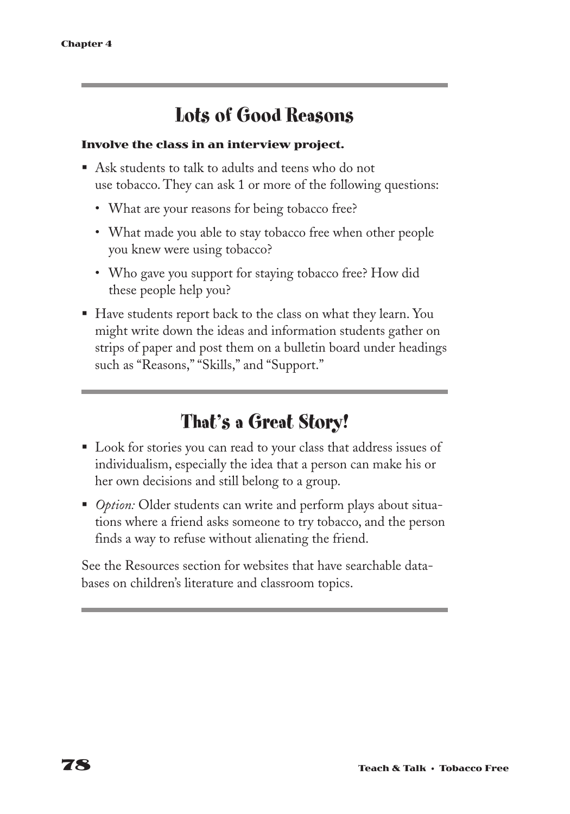### **Lots of Good Reasons**

#### **Involve the class in an interview project.**

- Ask students to talk to adults and teens who do not use tobacco. They can ask 1 or more of the following questions:
	- What are your reasons for being tobacco free?
	- What made you able to stay tobacco free when other people you knew were using tobacco?
	- Who gave you support for staying tobacco free? How did these people help you?
- Have students report back to the class on what they learn. You might write down the ideas and information students gather on strips of paper and post them on a bulletin board under headings such as "Reasons," "Skills," and "Support."

### **That's a Great Story!**

- Look for stories you can read to your class that address issues of individualism, especially the idea that a person can make his or her own decisions and still belong to a group.
- *Option:* Older students can write and perform plays about situations where a friend asks someone to try tobacco, and the person finds a way to refuse without alienating the friend.

See the Resources section for websites that have searchable databases on children's literature and classroom topics.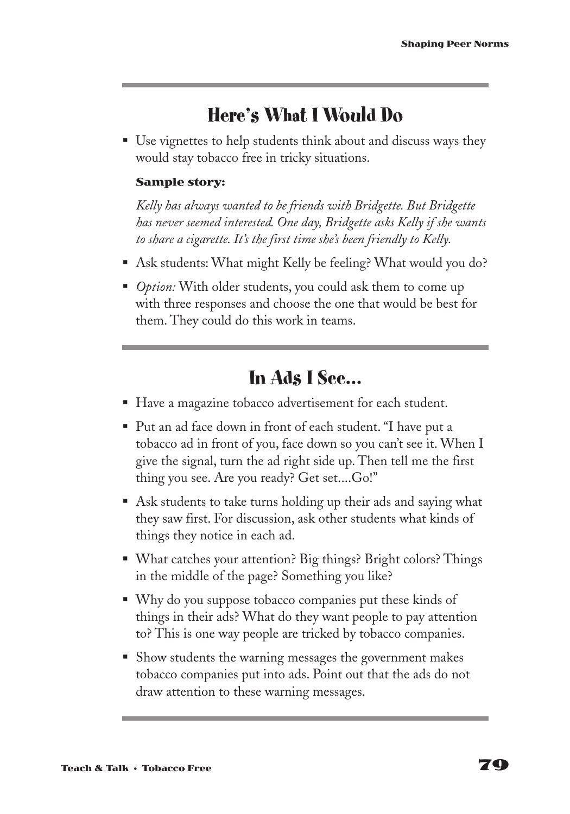### **Here's What I Would Do**

■ Use vignettes to help students think about and discuss ways they would stay tobacco free in tricky situations.

#### **Sample story:**

*Kelly has always wanted to be friends with Bridgette. But Bridgette has never seemed interested. One day, Bridgette asks Kelly if she wants to share a cigarette. It's the first time she's been friendly to Kelly.*

- Ask students: What might Kelly be feeling? What would you do?
- *Option:* With older students, you could ask them to come up with three responses and choose the one that would be best for them. They could do this work in teams.

### **In Ads I See…**

- Have a magazine tobacco advertisement for each student.
- Put an ad face down in front of each student. "I have put a tobacco ad in front of you, face down so you can't see it. When I give the signal, turn the ad right side up. Then tell me the first thing you see. Are you ready? Get set....Go!"
- Ask students to take turns holding up their ads and saying what they saw first. For discussion, ask other students what kinds of things they notice in each ad.
- What catches your attention? Big things? Bright colors? Things in the middle of the page? Something you like?
- Why do you suppose tobacco companies put these kinds of things in their ads? What do they want people to pay attention to? This is one way people are tricked by tobacco companies.
- Show students the warning messages the government makes tobacco companies put into ads. Point out that the ads do not draw attention to these warning messages.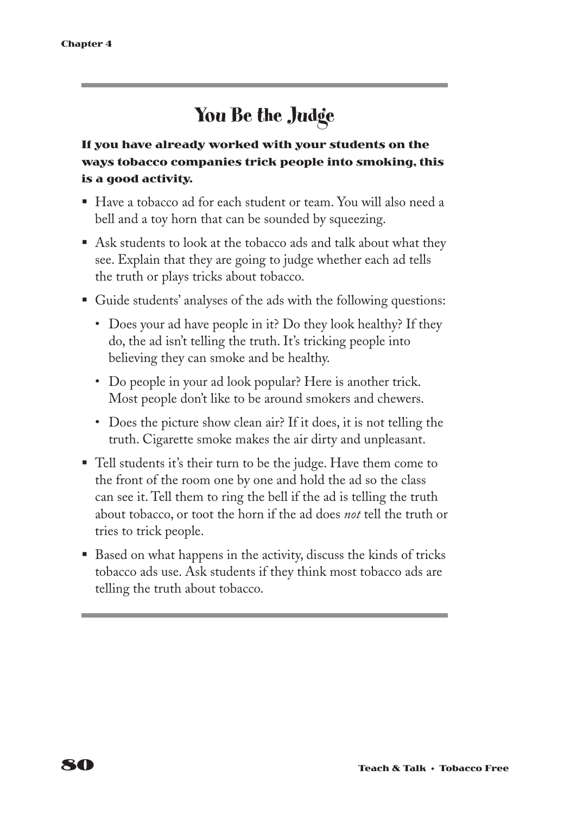### **You Be the Judge**

**If you have already worked with your students on the ways tobacco companies trick people into smoking, this is a good activity.**

- Have a tobacco ad for each student or team. You will also need a bell and a toy horn that can be sounded by squeezing.
- Ask students to look at the tobacco ads and talk about what they see. Explain that they are going to judge whether each ad tells the truth or plays tricks about tobacco.
- Guide students' analyses of the ads with the following questions:
	- Does your ad have people in it? Do they look healthy? If they do, the ad isn't telling the truth. It's tricking people into believing they can smoke and be healthy.
	- Do people in your ad look popular? Here is another trick. Most people don't like to be around smokers and chewers.
	- Does the picture show clean air? If it does, it is not telling the truth. Cigarette smoke makes the air dirty and unpleasant.
- Tell students it's their turn to be the judge. Have them come to the front of the room one by one and hold the ad so the class can see it. Tell them to ring the bell if the ad is telling the truth about tobacco, or toot the horn if the ad does *not* tell the truth or tries to trick people.
- Based on what happens in the activity, discuss the kinds of tricks tobacco ads use. Ask students if they think most tobacco ads are telling the truth about tobacco.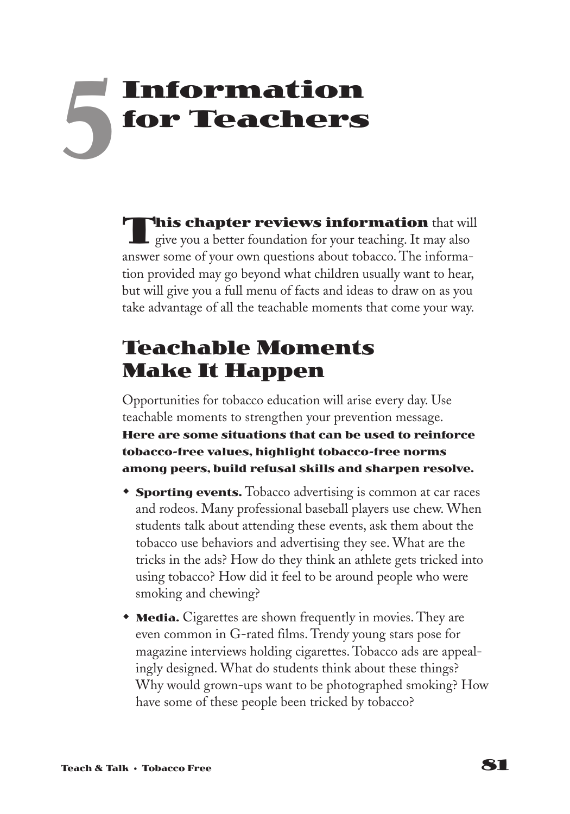# **Information for Teachers 5**

**This chapter reviews information** that will give you a better foundation for your teaching. It may also answer some of your own questions about tobacco. The information provided may go beyond what children usually want to hear, but will give you a full menu of facts and ideas to draw on as you take advantage of all the teachable moments that come your way.

### **Teachable Moments Make It Happen**

Opportunities for tobacco education will arise every day. Use teachable moments to strengthen your prevention message. **Here are some situations that can be used to reinforce tobacco-free values, highlight tobacco-free norms among peers, build refusal skills and sharpen resolve.**

- **Sporting events.** Tobacco advertising is common at car races and rodeos. Many professional baseball players use chew. When students talk about attending these events, ask them about the tobacco use behaviors and advertising they see. What are the tricks in the ads? How do they think an athlete gets tricked into using tobacco? How did it feel to be around people who were smoking and chewing?
- **Media.** Cigarettes are shown frequently in movies. They are even common in G-rated films. Trendy young stars pose for magazine interviews holding cigarettes. Tobacco ads are appealingly designed. What do students think about these things? Why would grown-ups want to be photographed smoking? How have some of these people been tricked by tobacco?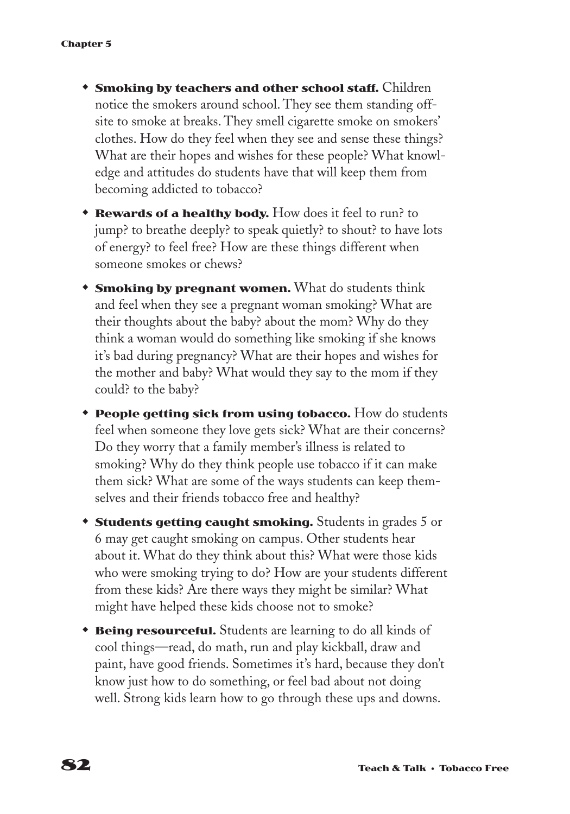- **\* Smoking by teachers and other school staff.** Children notice the smokers around school. They see them standing offsite to smoke at breaks. They smell cigarette smoke on smokers' clothes. How do they feel when they see and sense these things? What are their hopes and wishes for these people? What knowledge and attitudes do students have that will keep them from becoming addicted to tobacco?
- **Rewards of a healthy body.** How does it feel to run? to jump? to breathe deeply? to speak quietly? to shout? to have lots of energy? to feel free? How are these things different when someone smokes or chews?
- **Smoking by pregnant women.** What do students think and feel when they see a pregnant woman smoking? What are their thoughts about the baby? about the mom? Why do they think a woman would do something like smoking if she knows it's bad during pregnancy? What are their hopes and wishes for the mother and baby? What would they say to the mom if they could? to the baby?
- **People getting sick from using tobacco.** How do students feel when someone they love gets sick? What are their concerns? Do they worry that a family member's illness is related to smoking? Why do they think people use tobacco if it can make them sick? What are some of the ways students can keep themselves and their friends tobacco free and healthy?
- **Students getting caught smoking.** Students in grades 5 or 6 may get caught smoking on campus. Other students hear about it. What do they think about this? What were those kids who were smoking trying to do? How are your students different from these kids? Are there ways they might be similar? What might have helped these kids choose not to smoke?
- **Being resourceful.** Students are learning to do all kinds of cool things—read, do math, run and play kickball, draw and paint, have good friends. Sometimes it's hard, because they don't know just how to do something, or feel bad about not doing well. Strong kids learn how to go through these ups and downs.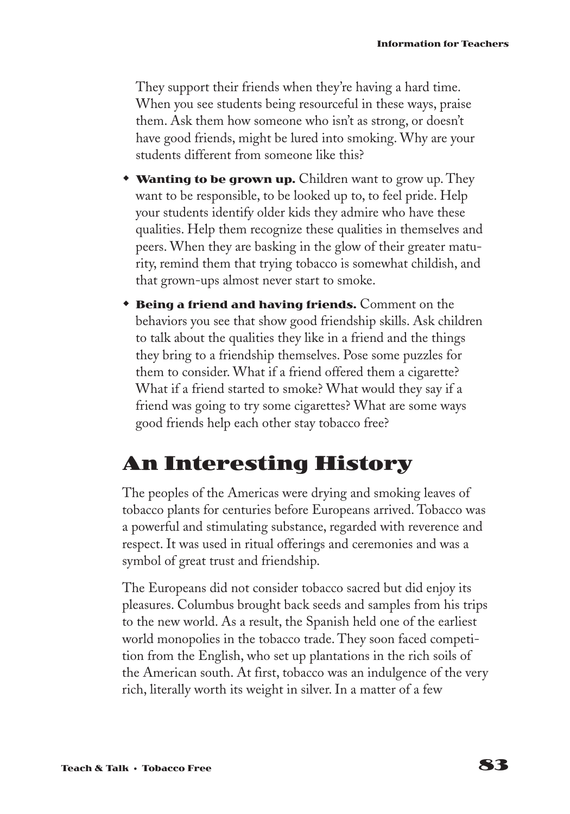They support their friends when they're having a hard time. When you see students being resourceful in these ways, praise them. Ask them how someone who isn't as strong, or doesn't have good friends, might be lured into smoking. Why are your students different from someone like this?

- **Wanting to be grown up.** Children want to grow up. They want to be responsible, to be looked up to, to feel pride. Help your students identify older kids they admire who have these qualities. Help them recognize these qualities in themselves and peers. When they are basking in the glow of their greater maturity, remind them that trying tobacco is somewhat childish, and that grown-ups almost never start to smoke.
- **Being a friend and having friends.** Comment on the behaviors you see that show good friendship skills. Ask children to talk about the qualities they like in a friend and the things they bring to a friendship themselves. Pose some puzzles for them to consider. What if a friend offered them a cigarette? What if a friend started to smoke? What would they say if a friend was going to try some cigarettes? What are some ways good friends help each other stay tobacco free?

### **An Interesting History**

The peoples of the Americas were drying and smoking leaves of tobacco plants for centuries before Europeans arrived. Tobacco was a powerful and stimulating substance, regarded with reverence and respect. It was used in ritual offerings and ceremonies and was a symbol of great trust and friendship.

The Europeans did not consider tobacco sacred but did enjoy its pleasures. Columbus brought back seeds and samples from his trips to the new world. As a result, the Spanish held one of the earliest world monopolies in the tobacco trade. They soon faced competition from the English, who set up plantations in the rich soils of the American south. At first, tobacco was an indulgence of the very rich, literally worth its weight in silver. In a matter of a few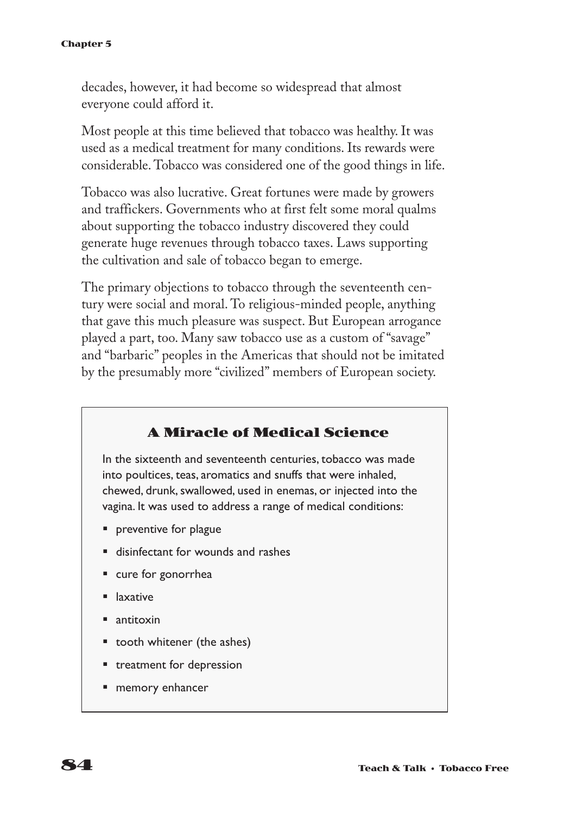decades, however, it had become so widespread that almost everyone could afford it.

Most people at this time believed that tobacco was healthy. It was used as a medical treatment for many conditions. Its rewards were considerable. Tobacco was considered one of the good things in life.

Tobacco was also lucrative. Great fortunes were made by growers and traffickers. Governments who at first felt some moral qualms about supporting the tobacco industry discovered they could generate huge revenues through tobacco taxes. Laws supporting the cultivation and sale of tobacco began to emerge.

The primary objections to tobacco through the seventeenth century were social and moral. To religious-minded people, anything that gave this much pleasure was suspect. But European arrogance played a part, too. Many saw tobacco use as a custom of "savage" and "barbaric" peoples in the Americas that should not be imitated by the presumably more "civilized" members of European society.

#### **A Miracle of Medical Science**

In the sixteenth and seventeenth centuries, tobacco was made into poultices, teas, aromatics and snuffs that were inhaled, chewed, drunk, swallowed, used in enemas, or injected into the vagina. It was used to address a range of medical conditions:

- preventive for plague
- disinfectant for wounds and rashes
- cure for gonorrhea
- laxative
- § antitoxin
- § tooth whitener (the ashes)
- treatment for depression
- memory enhancer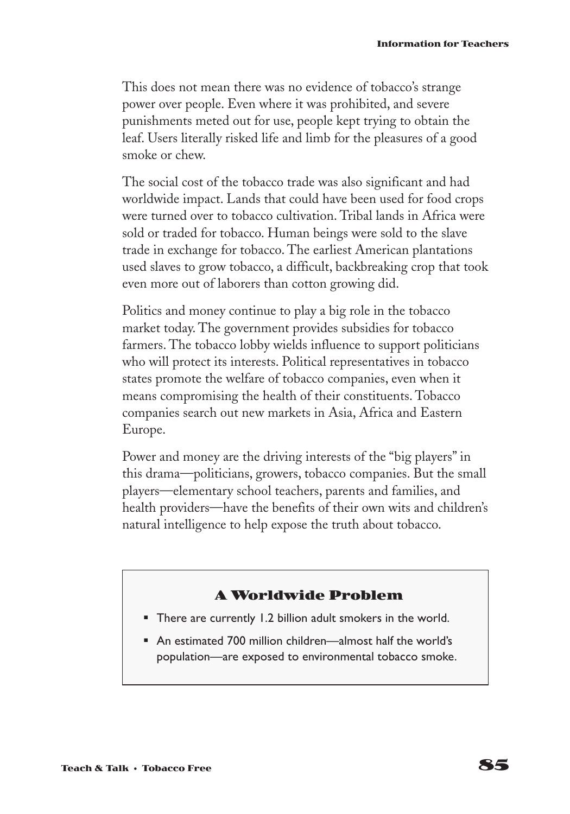This does not mean there was no evidence of tobacco's strange power over people. Even where it was prohibited, and severe punishments meted out for use, people kept trying to obtain the leaf. Users literally risked life and limb for the pleasures of a good smoke or chew.

The social cost of the tobacco trade was also significant and had worldwide impact. Lands that could have been used for food crops were turned over to tobacco cultivation. Tribal lands in Africa were sold or traded for tobacco. Human beings were sold to the slave trade in exchange for tobacco. The earliest American plantations used slaves to grow tobacco, a difficult, backbreaking crop that took even more out of laborers than cotton growing did.

Politics and money continue to play a big role in the tobacco market today. The government provides subsidies for tobacco farmers. The tobacco lobby wields influence to support politicians who will protect its interests. Political representatives in tobacco states promote the welfare of tobacco companies, even when it means compromising the health of their constituents. Tobacco companies search out new markets in Asia, Africa and Eastern Europe.

Power and money are the driving interests of the "big players" in this drama—politicians, growers, tobacco companies. But the small players—elementary school teachers, parents and families, and health providers—have the benefits of their own wits and children's natural intelligence to help expose the truth about tobacco.

#### **A Worldwide Problem**

- § There are currently 1.2 billion adult smokers in the world.
- An estimated 700 million children—almost half the world's population—are exposed to environmental tobacco smoke.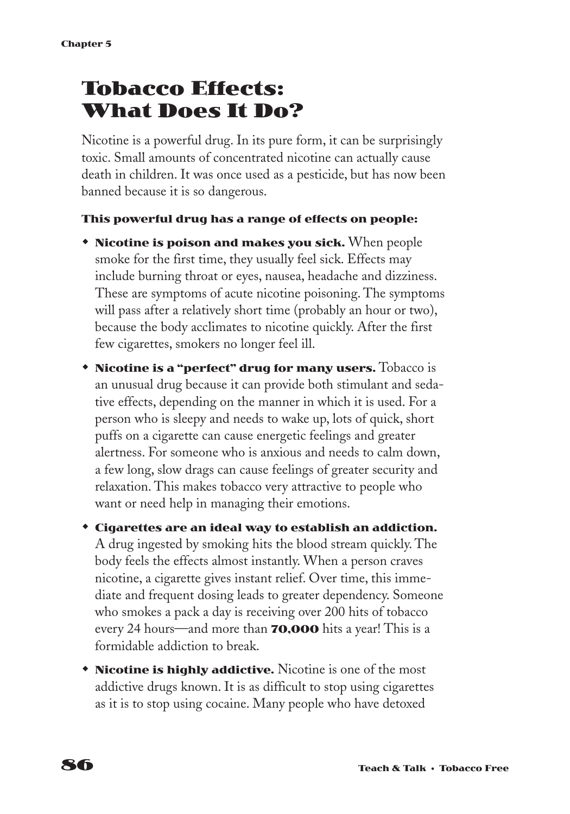### **Tobacco Effects: What Does It Do?**

Nicotine is a powerful drug. In its pure form, it can be surprisingly toxic. Small amounts of concentrated nicotine can actually cause death in children. It was once used as a pesticide, but has now been banned because it is so dangerous.

#### **This powerful drug has a range of effects on people:**

- **\*** Nicotine is poison and makes you sick. When people smoke for the first time, they usually feel sick. Effects may include burning throat or eyes, nausea, headache and dizziness. These are symptoms of acute nicotine poisoning. The symptoms will pass after a relatively short time (probably an hour or two), because the body acclimates to nicotine quickly. After the first few cigarettes, smokers no longer feel ill.
- **Nicotine is a "perfect" drug for many users.** Tobacco is an unusual drug because it can provide both stimulant and sedative effects, depending on the manner in which it is used. For a person who is sleepy and needs to wake up, lots of quick, short puffs on a cigarette can cause energetic feelings and greater alertness. For someone who is anxious and needs to calm down, a few long, slow drags can cause feelings of greater security and relaxation. This makes tobacco very attractive to people who want or need help in managing their emotions.
- **\*** Cigarettes are an ideal way to establish an addiction. A drug ingested by smoking hits the blood stream quickly. The body feels the effects almost instantly. When a person craves nicotine, a cigarette gives instant relief. Over time, this immediate and frequent dosing leads to greater dependency. Someone who smokes a pack a day is receiving over 200 hits of tobacco every 24 hours—and more than **70,000** hits a year! This is a formidable addiction to break.
- **\*** Nicotine is highly addictive. Nicotine is one of the most addictive drugs known. It is as difficult to stop using cigarettes as it is to stop using cocaine. Many people who have detoxed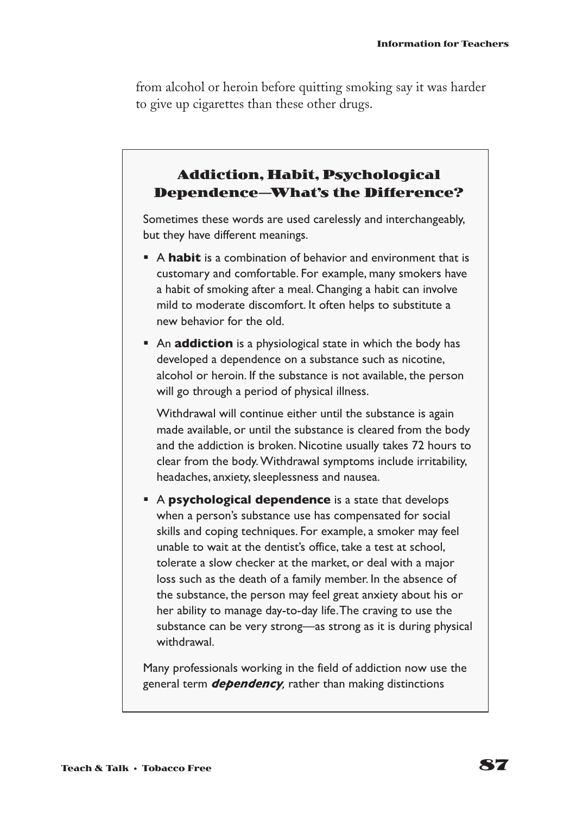from alcohol or heroin before quitting smoking say it was harder to give up cigarettes than these other drugs.

### **Addiction, Habit, Psychological Dependence—What's the Difference?**

Sometimes these words are used carelessly and interchangeably, but they have different meanings.

- **A habit** is a combination of behavior and environment that is customary and comfortable. For example, many smokers have a habit of smoking after a meal. Changing a habit can involve mild to moderate discomfort. It often helps to substitute a new behavior for the old.
- **An addiction** is a physiological state in which the body has developed a dependence on a substance such as nicotine, alcohol or heroin. If the substance is not available, the person will go through a period of physical illness.

Withdrawal will continue either until the substance is again made available, or until the substance is cleared from the body and the addiction is broken. Nicotine usually takes 72 hours to clear from the body. Withdrawal symptoms include irritability, headaches, anxiety, sleeplessness and nausea.

§ A **psychological dependence** is a state that develops when a person's substance use has compensated for social skills and coping techniques. For example, a smoker may feel unable to wait at the dentist's office, take a test at school, tolerate a slow checker at the market, or deal with a major loss such as the death of a family member. In the absence of the substance, the person may feel great anxiety about his or her ability to manage day-to-day life.The craving to use the substance can be very strong—as strong as it is during physical withdrawal.

Many professionals working in the field of addiction now use the general term *dependency,* rather than making distinctions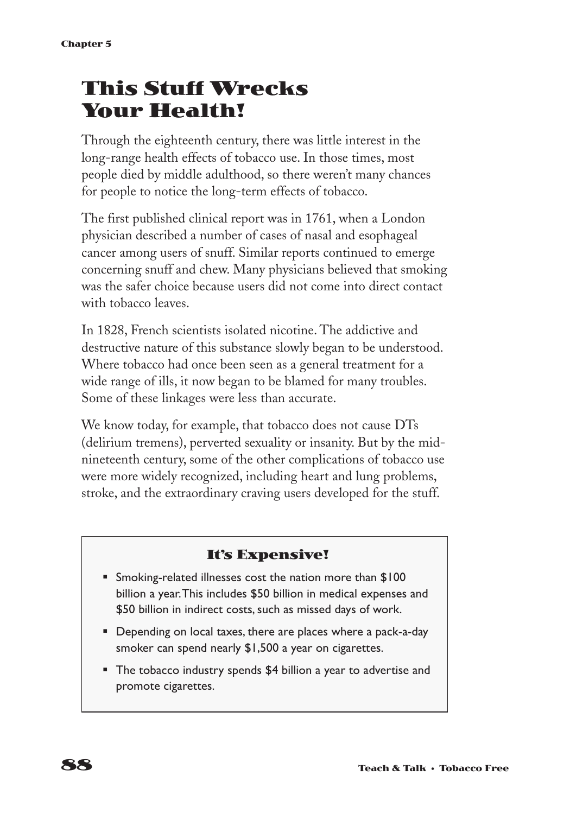# **This Stuff Wrecks Your Health!**

Through the eighteenth century, there was little interest in the long-range health effects of tobacco use. In those times, most people died by middle adulthood, so there weren't many chances for people to notice the long-term effects of tobacco.

The first published clinical report was in 1761, when a London physician described a number of cases of nasal and esophageal cancer among users of snuff. Similar reports continued to emerge concerning snuff and chew. Many physicians believed that smoking was the safer choice because users did not come into direct contact with tobacco leaves.

In 1828, French scientists isolated nicotine. The addictive and destructive nature of this substance slowly began to be understood. Where tobacco had once been seen as a general treatment for a wide range of ills, it now began to be blamed for many troubles. Some of these linkages were less than accurate.

We know today, for example, that tobacco does not cause DTs (delirium tremens), perverted sexuality or insanity. But by the midnineteenth century, some of the other complications of tobacco use were more widely recognized, including heart and lung problems, stroke, and the extraordinary craving users developed for the stuff.

### **It's Expensive!**

- Smoking-related illnesses cost the nation more than \$100 billion a year.This includes \$50 billion in medical expenses and \$50 billion in indirect costs, such as missed days of work.
- Depending on local taxes, there are places where a pack-a-day smoker can spend nearly \$1,500 a year on cigarettes.
- The tobacco industry spends \$4 billion a year to advertise and promote cigarettes.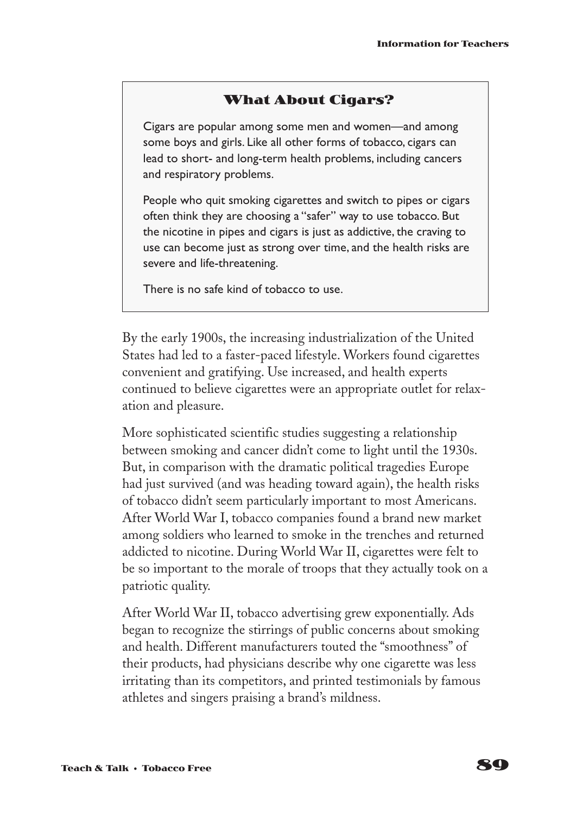#### **What About Cigars?**

Cigars are popular among some men and women—and among some boys and girls. Like all other forms of tobacco, cigars can lead to short- and long-term health problems, including cancers and respiratory problems.

People who quit smoking cigarettes and switch to pipes or cigars often think they are choosing a "safer" way to use tobacco. But the nicotine in pipes and cigars is just as addictive, the craving to use can become just as strong over time, and the health risks are severe and life-threatening.

There is no safe kind of tobacco to use.

By the early 1900s, the increasing industrialization of the United States had led to a faster-paced lifestyle. Workers found cigarettes convenient and gratifying. Use increased, and health experts continued to believe cigarettes were an appropriate outlet for relaxation and pleasure.

More sophisticated scientific studies suggesting a relationship between smoking and cancer didn't come to light until the 1930s. But, in comparison with the dramatic political tragedies Europe had just survived (and was heading toward again), the health risks of tobacco didn't seem particularly important to most Americans. After World War I, tobacco companies found a brand new market among soldiers who learned to smoke in the trenches and returned addicted to nicotine. During World War II, cigarettes were felt to be so important to the morale of troops that they actually took on a patriotic quality.

After World War II, tobacco advertising grew exponentially. Ads began to recognize the stirrings of public concerns about smoking and health. Different manufacturers touted the "smoothness" of their products, had physicians describe why one cigarette was less irritating than its competitors, and printed testimonials by famous athletes and singers praising a brand's mildness.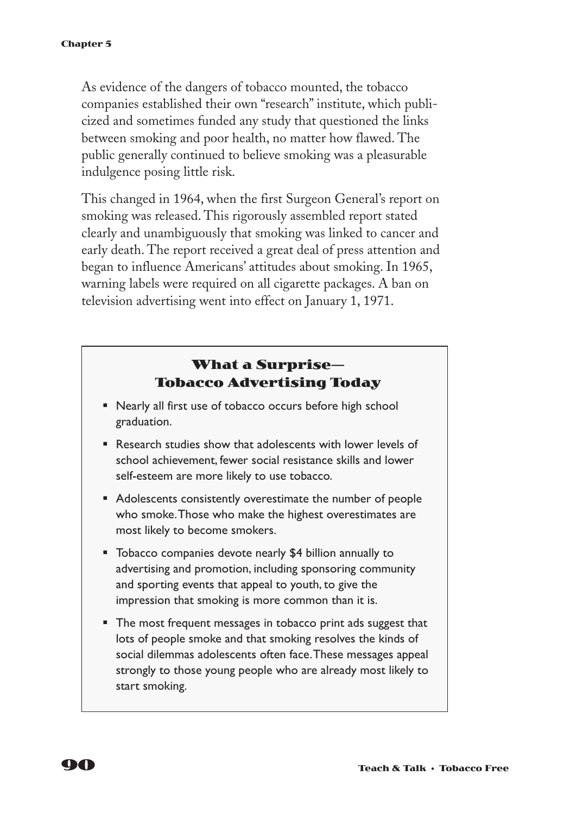As evidence of the dangers of tobacco mounted, the tobacco companies established their own "research" institute, which publicized and sometimes funded any study that questioned the links between smoking and poor health, no matter how flawed. The public generally continued to believe smoking was a pleasurable indulgence posing little risk.

This changed in 1964, when the first Surgeon General's report on smoking was released. This rigorously assembled report stated clearly and unambiguously that smoking was linked to cancer and early death. The report received a great deal of press attention and began to influence Americans' attitudes about smoking. In 1965, warning labels were required on all cigarette packages. A ban on television advertising went into effect on January 1, 1971.

### **What a Surprise— Tobacco Advertising Today**

- Nearly all first use of tobacco occurs before high school graduation.
- Research studies show that adolescents with lower levels of school achievement, fewer social resistance skills and lower self-esteem are more likely to use tobacco.
- Adolescents consistently overestimate the number of people who smoke.Those who make the highest overestimates are most likely to become smokers.
- Tobacco companies devote nearly \$4 billion annually to advertising and promotion, including sponsoring community and sporting events that appeal to youth, to give the impression that smoking is more common than it is.
- The most frequent messages in tobacco print ads suggest that lots of people smoke and that smoking resolves the kinds of social dilemmas adolescents often face.These messages appeal strongly to those young people who are already most likely to start smoking.

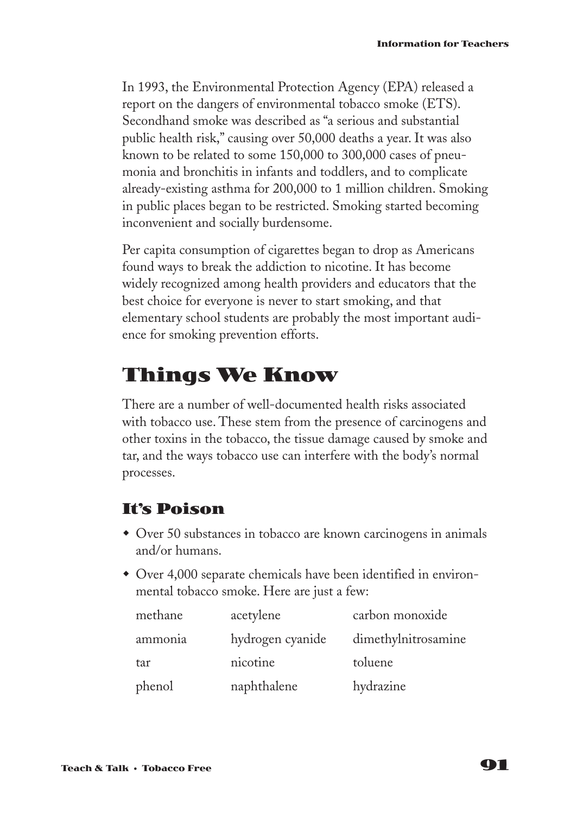In 1993, the Environmental Protection Agency (EPA) released a report on the dangers of environmental tobacco smoke (ETS). Secondhand smoke was described as "a serious and substantial public health risk," causing over 50,000 deaths a year. It was also known to be related to some 150,000 to 300,000 cases of pneumonia and bronchitis in infants and toddlers, and to complicate already-existing asthma for 200,000 to 1 million children. Smoking in public places began to be restricted. Smoking started becoming inconvenient and socially burdensome.

Per capita consumption of cigarettes began to drop as Americans found ways to break the addiction to nicotine. It has become widely recognized among health providers and educators that the best choice for everyone is never to start smoking, and that elementary school students are probably the most important audience for smoking prevention efforts.

### **Things We Know**

There are a number of well-documented health risks associated with tobacco use. These stem from the presence of carcinogens and other toxins in the tobacco, the tissue damage caused by smoke and tar, and the ways tobacco use can interfere with the body's normal processes.

### **It's Poison**

- Over 50 substances in tobacco are known carcinogens in animals and/or humans.
- Over 4,000 separate chemicals have been identified in environmental tobacco smoke. Here are just a few:

| methane | acetylene        | carbon monoxide     |
|---------|------------------|---------------------|
| ammonia | hydrogen cyanide | dimethylnitrosamine |
| tar     | nicotine         | toluene             |
| phenol  | naphthalene      | hydrazine           |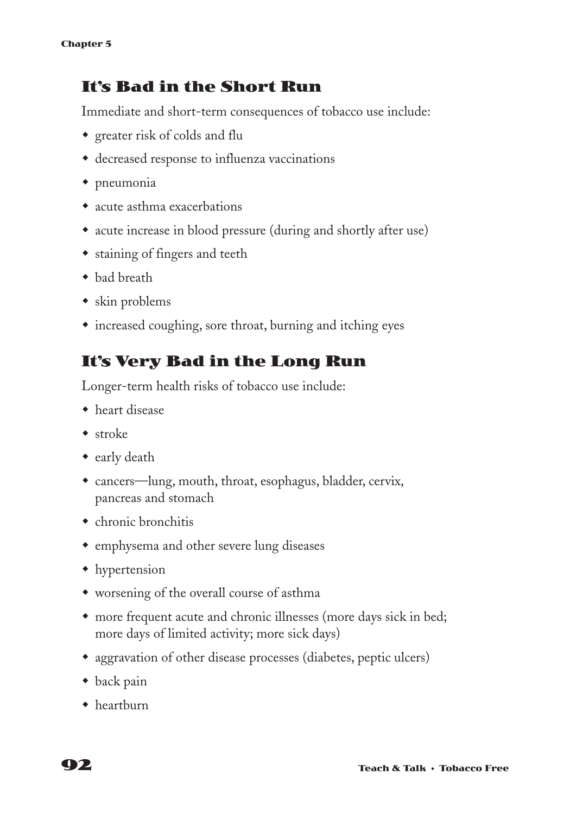### **It's Bad in the Short Run**

Immediate and short-term consequences of tobacco use include:

- $\bullet$  greater risk of colds and flu
- decreased response to influenza vaccinations
- $\bullet$  pneumonia
- acute asthma exacerbations
- acute increase in blood pressure (during and shortly after use)
- staining of fingers and teeth
- bad breath
- $\bullet$  skin problems
- increased coughing, sore throat, burning and itching eyes

### **It's Very Bad in the Long Run**

Longer-term health risks of tobacco use include:

- $\bullet$  heart disease
- $\bullet$  stroke
- $\bullet$  early death
- cancers—lung, mouth, throat, esophagus, bladder, cervix, pancreas and stomach
- $\bullet$  chronic bronchitis
- emphysema and other severe lung diseases
- $\bullet$  hypertension
- worsening of the overall course of asthma
- more frequent acute and chronic illnesses (more days sick in bed; more days of limited activity; more sick days)
- aggravation of other disease processes (diabetes, peptic ulcers)
- $\bullet$  back pain
- $\bullet$  heartburn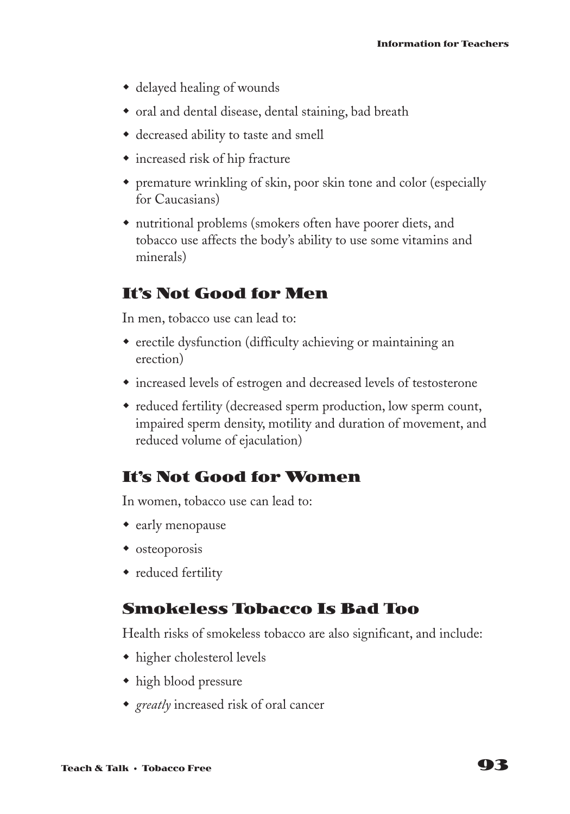- $\bullet$  delayed healing of wounds
- oral and dental disease, dental staining, bad breath
- decreased ability to taste and smell
- increased risk of hip fracture
- w premature wrinkling of skin, poor skin tone and color (especially for Caucasians)
- $\bullet$  nutritional problems (smokers often have poorer diets, and tobacco use affects the body's ability to use some vitamins and minerals)

### **It's Not Good for Men**

In men, tobacco use can lead to:

- erectile dysfunction (difficulty achieving or maintaining an erection)
- increased levels of estrogen and decreased levels of testosterone
- reduced fertility (decreased sperm production, low sperm count, impaired sperm density, motility and duration of movement, and reduced volume of ejaculation)

### **It's Not Good for Women**

In women, tobacco use can lead to:

- $\bullet$  early menopause
- $\bullet$  osteoporosis
- reduced fertility

#### **Smokeless Tobacco Is Bad Too**

Health risks of smokeless tobacco are also significant, and include:

- $\bullet$  higher cholesterol levels
- $\bullet$  high blood pressure
- *greatly* increased risk of oral cancer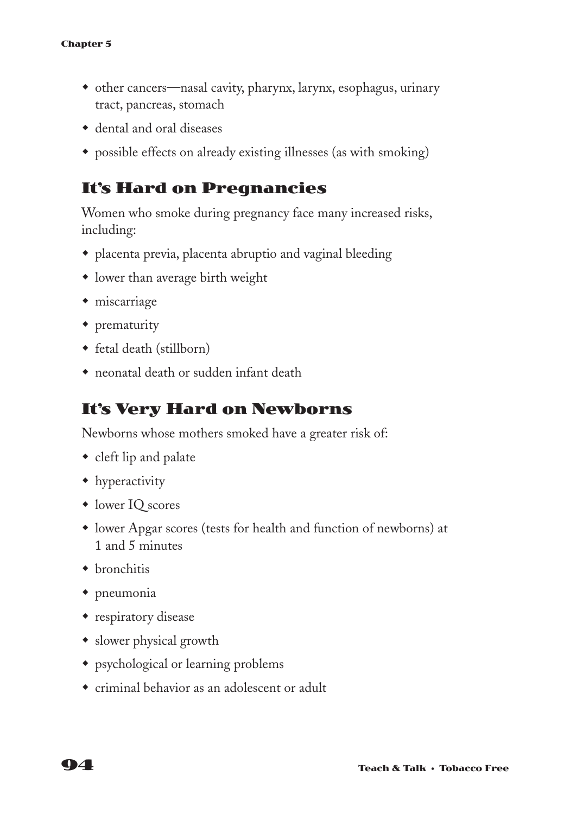- other cancers—nasal cavity, pharynx, larynx, esophagus, urinary tract, pancreas, stomach
- $\bullet$  dental and oral diseases
- possible effects on already existing illnesses (as with smoking)

### **It's Hard on Pregnancies**

Women who smoke during pregnancy face many increased risks, including:

- w placenta previa, placenta abruptio and vaginal bleeding
- $\bullet$  lower than average birth weight
- $\bullet$  miscarriage
- $\bullet$  prematurity
- fetal death (stillborn)
- $\bullet$  neonatal death or sudden infant death

### **It's Very Hard on Newborns**

Newborns whose mothers smoked have a greater risk of:

- $\bullet$  cleft lip and palate
- $\bullet$  hyperactivity
- lower IQ scores
- $\bullet$  lower Apgar scores (tests for health and function of newborns) at 1 and 5 minutes
- $\bullet$  bronchitis
- $\bullet$  pneumonia
- $\bullet$  respiratory disease
- slower physical growth
- psychological or learning problems
- $\bullet$  criminal behavior as an adolescent or adult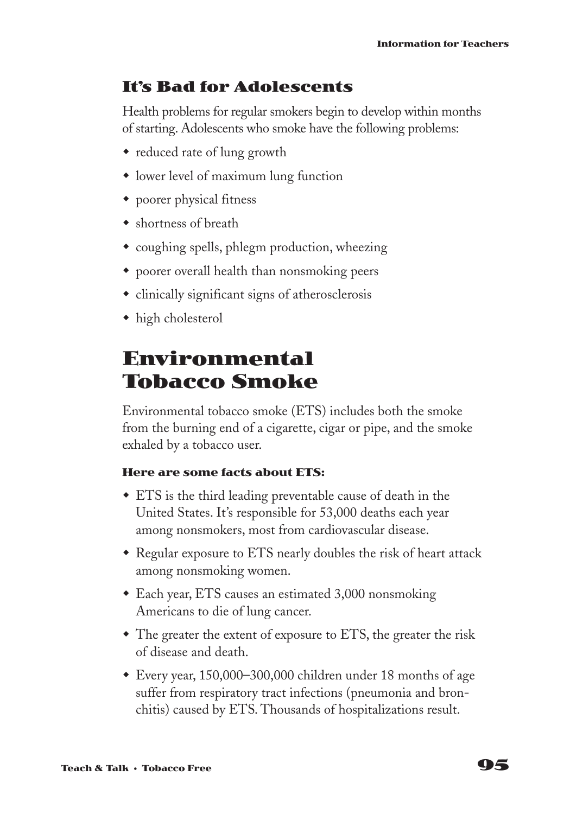### **It's Bad for Adolescents**

Health problems for regular smokers begin to develop within months of starting. Adolescents who smoke have the following problems:

- reduced rate of lung growth
- lower level of maximum lung function
- $\bullet$  poorer physical fitness
- $\bullet$  shortness of breath
- $\bullet$  coughing spells, phlegm production, wheezing
- w poorer overall health than nonsmoking peers
- $\bullet$  clinically significant signs of atherosclerosis
- $\bullet$  high cholesterol

### **Environmental Tobacco Smoke**

Environmental tobacco smoke (ETS) includes both the smoke from the burning end of a cigarette, cigar or pipe, and the smoke exhaled by a tobacco user.

#### **Here are some facts about ETS:**

- $\bullet$  ETS is the third leading preventable cause of death in the United States. It's responsible for 53,000 deaths each year among nonsmokers, most from cardiovascular disease.
- Regular exposure to ETS nearly doubles the risk of heart attack among nonsmoking women.
- $\bullet$  Each year, ETS causes an estimated 3,000 nonsmoking Americans to die of lung cancer.
- $\bullet$  The greater the extent of exposure to ETS, the greater the risk of disease and death.
- Every year,  $150,000-300,000$  children under 18 months of age suffer from respiratory tract infections (pneumonia and bronchitis) caused by ETS. Thousands of hospitalizations result.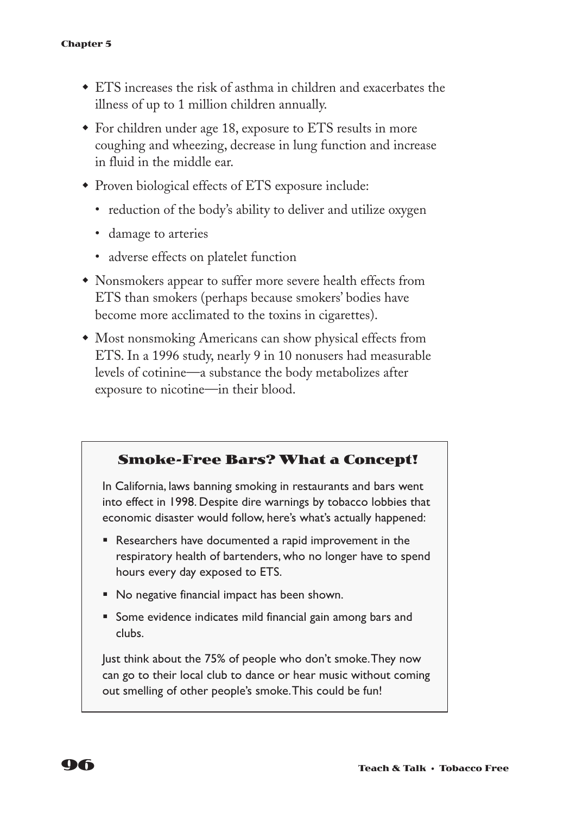- $\bullet$  ETS increases the risk of asthma in children and exacerbates the illness of up to 1 million children annually.
- $\bullet$  For children under age 18, exposure to ETS results in more coughing and wheezing, decrease in lung function and increase in fluid in the middle ear.
- Proven biological effects of ETS exposure include:
	- reduction of the body's ability to deliver and utilize oxygen
	- damage to arteries
	- adverse effects on platelet function
- w Nonsmokers appear to suffer more severe health effects from ETS than smokers (perhaps because smokers' bodies have become more acclimated to the toxins in cigarettes).
- Most nonsmoking Americans can show physical effects from ETS. In a 1996 study, nearly 9 in 10 nonusers had measurable levels of cotinine—a substance the body metabolizes after exposure to nicotine—in their blood.

#### **Smoke-Free Bars? What a Concept!**

In California, laws banning smoking in restaurants and bars went into effect in 1998. Despite dire warnings by tobacco lobbies that economic disaster would follow, here's what's actually happened:

- Researchers have documented a rapid improvement in the respiratory health of bartenders, who no longer have to spend hours every day exposed to ETS.
- No negative financial impact has been shown.
- Some evidence indicates mild financial gain among bars and clubs.

Just think about the 75% of people who don't smoke.They now can go to their local club to dance or hear music without coming out smelling of other people's smoke.This could be fun!

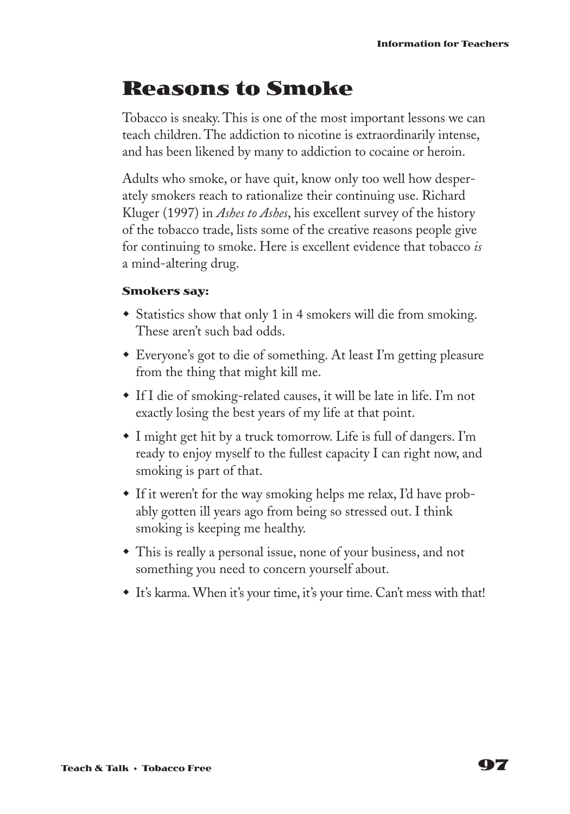# **Reasons to Smoke**

Tobacco is sneaky. This is one of the most important lessons we can teach children. The addiction to nicotine is extraordinarily intense, and has been likened by many to addiction to cocaine or heroin.

Adults who smoke, or have quit, know only too well how desperately smokers reach to rationalize their continuing use. Richard Kluger (1997) in *Ashes to Ashes*, his excellent survey of the history of the tobacco trade, lists some of the creative reasons people give for continuing to smoke. Here is excellent evidence that tobacco *is* a mind-altering drug.

#### **Smokers say:**

- Statistics show that only 1 in 4 smokers will die from smoking. These aren't such bad odds.
- Everyone's got to die of something. At least I'm getting pleasure from the thing that might kill me.
- $\bullet$  If I die of smoking-related causes, it will be late in life. I'm not exactly losing the best years of my life at that point.
- $\bullet$  I might get hit by a truck tomorrow. Life is full of dangers. I'm ready to enjoy myself to the fullest capacity I can right now, and smoking is part of that.
- $\bullet$  If it weren't for the way smoking helps me relax, I'd have probably gotten ill years ago from being so stressed out. I think smoking is keeping me healthy.
- This is really a personal issue, none of your business, and not something you need to concern yourself about.
- w It's karma. When it's your time, it's your time. Can't mess with that!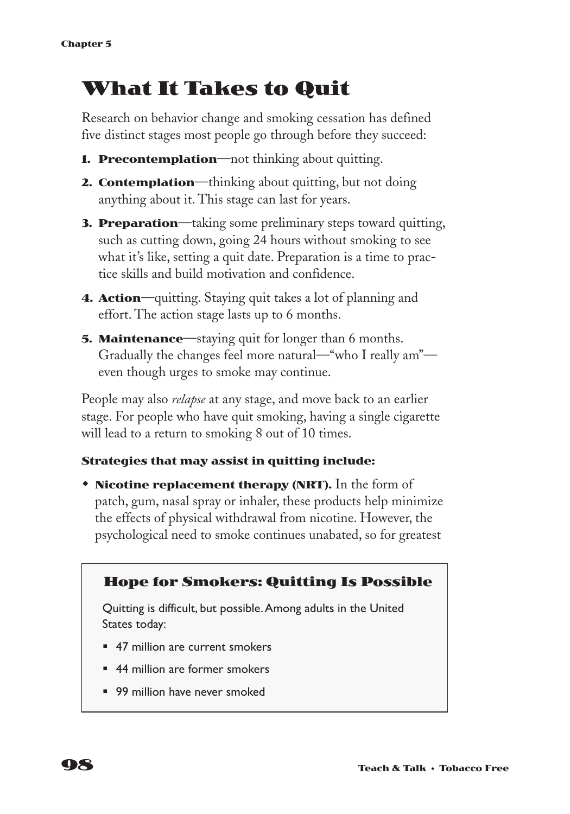# **What It Takes to Quit**

Research on behavior change and smoking cessation has defined five distinct stages most people go through before they succeed:

- **1. Precontemplation**—not thinking about quitting.
- **2. Contemplation**—thinking about quitting, but not doing anything about it. This stage can last for years.
- **3. Preparation**—taking some preliminary steps toward quitting, such as cutting down, going 24 hours without smoking to see what it's like, setting a quit date. Preparation is a time to practice skills and build motivation and confidence.
- **4. Action**—quitting. Staying quit takes a lot of planning and effort. The action stage lasts up to 6 months.
- **5. Maintenance**—staying quit for longer than 6 months. Gradually the changes feel more natural—"who I really am" even though urges to smoke may continue.

People may also *relapse* at any stage, and move back to an earlier stage. For people who have quit smoking, having a single cigarette will lead to a return to smoking 8 out of 10 times.

#### **Strategies that may assist in quitting include:**

**\* Nicotine replacement therapy (NRT).** In the form of patch, gum, nasal spray or inhaler, these products help minimize the effects of physical withdrawal from nicotine. However, the psychological need to smoke continues unabated, so for greatest



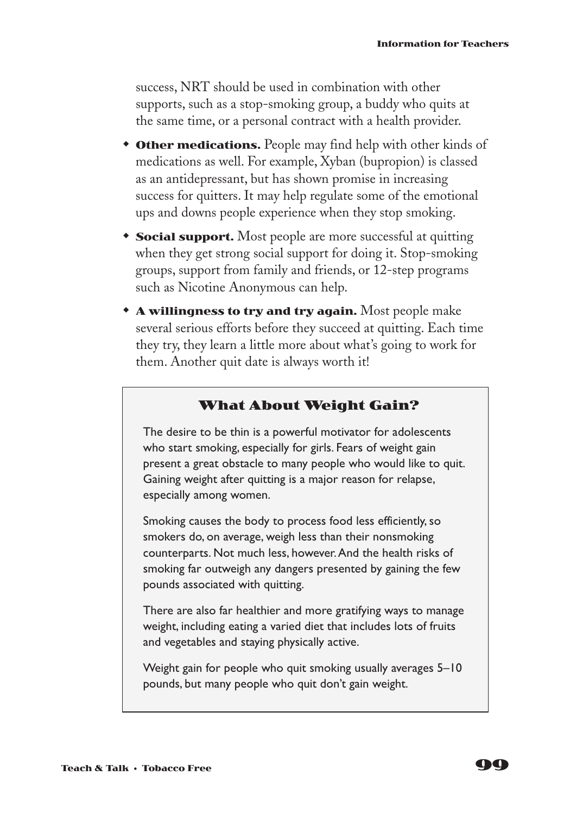success, NRT should be used in combination with other supports, such as a stop-smoking group, a buddy who quits at the same time, or a personal contract with a health provider.

- **\* Other medications.** People may find help with other kinds of medications as well. For example, Xyban (bupropion) is classed as an antidepressant, but has shown promise in increasing success for quitters. It may help regulate some of the emotional ups and downs people experience when they stop smoking.
- **Social support.** Most people are more successful at quitting when they get strong social support for doing it. Stop-smoking groups, support from family and friends, or 12-step programs such as Nicotine Anonymous can help.
- **\* A willingness to try and try again.** Most people make several serious efforts before they succeed at quitting. Each time they try, they learn a little more about what's going to work for them. Another quit date is always worth it!

#### **What About Weight Gain?**

The desire to be thin is a powerful motivator for adolescents who start smoking, especially for girls. Fears of weight gain present a great obstacle to many people who would like to quit. Gaining weight after quitting is a major reason for relapse, especially among women.

Smoking causes the body to process food less efficiently, so smokers do, on average, weigh less than their nonsmoking counterparts. Not much less, however.And the health risks of smoking far outweigh any dangers presented by gaining the few pounds associated with quitting.

There are also far healthier and more gratifying ways to manage weight, including eating a varied diet that includes lots of fruits and vegetables and staying physically active.

Weight gain for people who quit smoking usually averages 5–10 pounds, but many people who quit don't gain weight.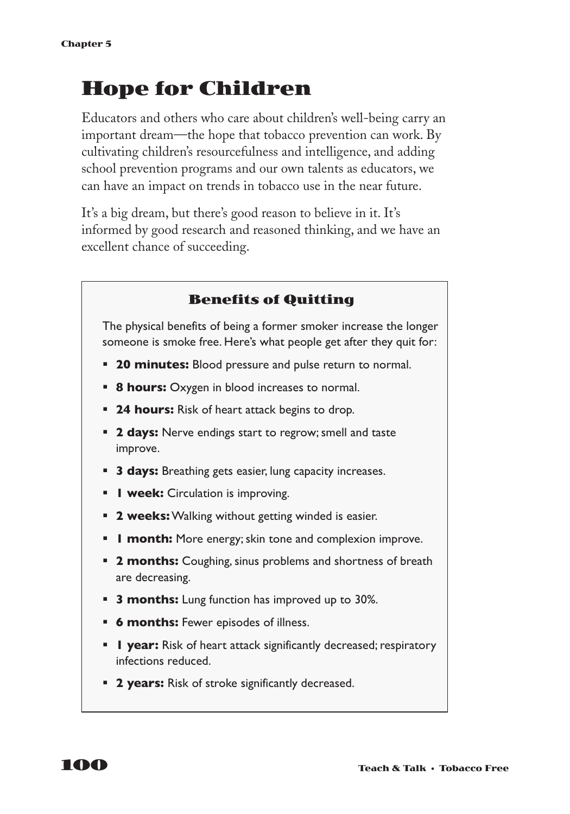# **Hope for Children**

Educators and others who care about children's well-being carry an important dream—the hope that tobacco prevention can work. By cultivating children's resourcefulness and intelligence, and adding school prevention programs and our own talents as educators, we can have an impact on trends in tobacco use in the near future.

It's a big dream, but there's good reason to believe in it. It's informed by good research and reasoned thinking, and we have an excellent chance of succeeding.



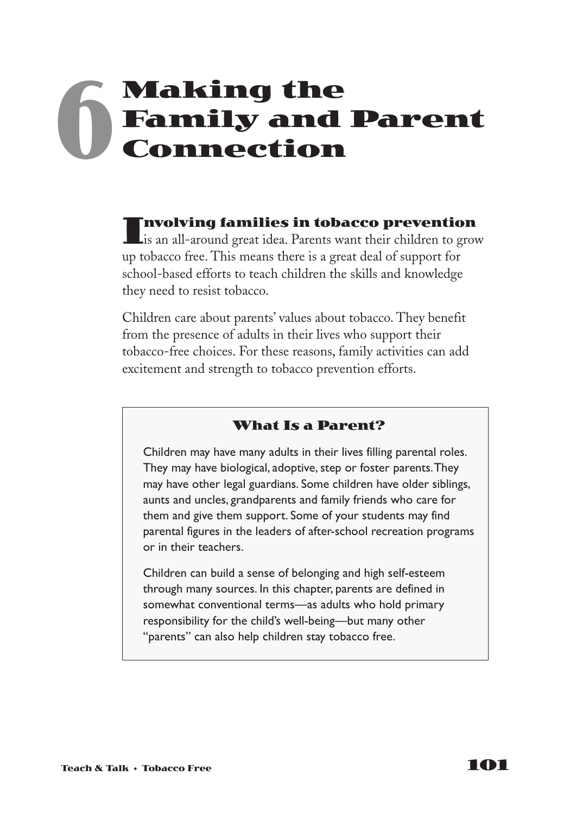# **Making the Family and Parent Connection 6**

Involving families in tobacco prevention<br>
is an all-around great idea. Parents want their children to grow up tobacco free. This means there is a great deal of support for school-based efforts to teach children the skills and knowledge they need to resist tobacco.

Children care about parents' values about tobacco. They benefit from the presence of adults in their lives who support their tobacco-free choices. For these reasons, family activities can add excitement and strength to tobacco prevention efforts.

### **What Is a Parent?**

Children may have many adults in their lives filling parental roles. They may have biological, adoptive, step or foster parents.They may have other legal guardians. Some children have older siblings, aunts and uncles, grandparents and family friends who care for them and give them support. Some of your students may find parental figures in the leaders of after-school recreation programs or in their teachers.

Children can build a sense of belonging and high self-esteem through many sources. In this chapter, parents are defined in somewhat conventional terms—as adults who hold primary responsibility for the child's well-being—but many other "parents" can also help children stay tobacco free.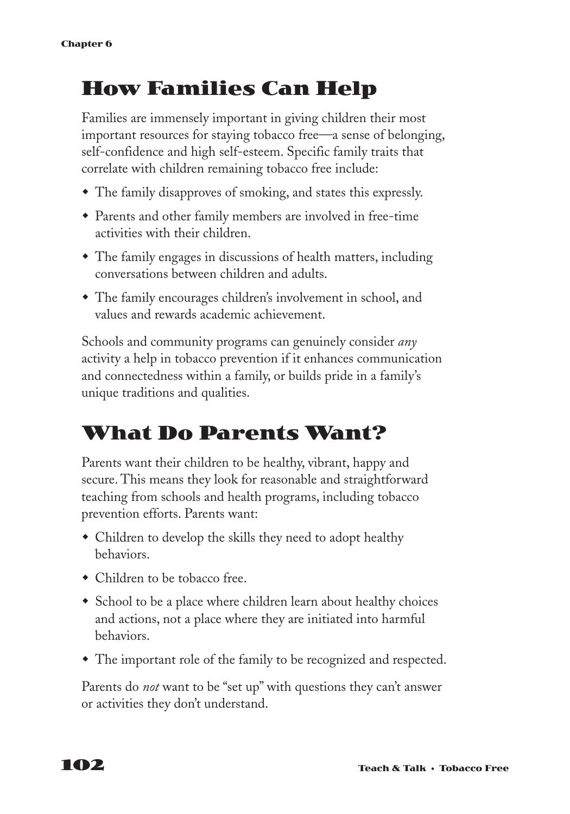# **How Families Can Help**

Families are immensely important in giving children their most important resources for staying tobacco free—a sense of belonging, self-confidence and high self-esteem. Specific family traits that correlate with children remaining tobacco free include:

- The family disapproves of smoking, and states this expressly.
- w Parents and other family members are involved in free-time activities with their children.
- The family engages in discussions of health matters, including conversations between children and adults.
- The family encourages children's involvement in school, and values and rewards academic achievement.

Schools and community programs can genuinely consider *any* activity a help in tobacco prevention if it enhances communication and connectedness within a family, or builds pride in a family's unique traditions and qualities.

### **What Do Parents Want?**

Parents want their children to be healthy, vibrant, happy and secure. This means they look for reasonable and straightforward teaching from schools and health programs, including tobacco prevention efforts. Parents want:

- Children to develop the skills they need to adopt healthy behaviors.
- Children to be tobacco free.
- School to be a place where children learn about healthy choices and actions, not a place where they are initiated into harmful behaviors.
- The important role of the family to be recognized and respected.

Parents do *not* want to be "set up" with questions they can't answer or activities they don't understand.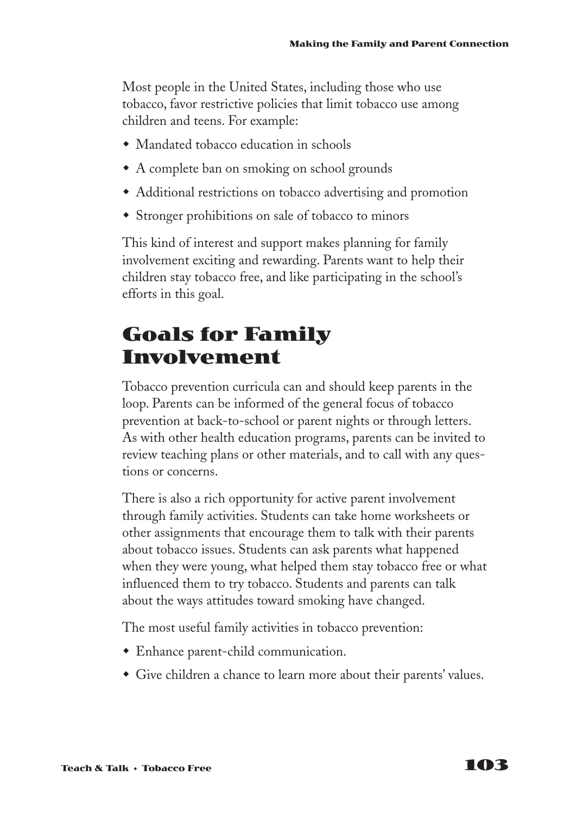Most people in the United States, including those who use tobacco, favor restrictive policies that limit tobacco use among children and teens. For example:

- Mandated tobacco education in schools
- $\bullet$  A complete ban on smoking on school grounds
- Additional restrictions on tobacco advertising and promotion
- Stronger prohibitions on sale of tobacco to minors

This kind of interest and support makes planning for family involvement exciting and rewarding. Parents want to help their children stay tobacco free, and like participating in the school's efforts in this goal.

### **Goals for Family Involvement**

Tobacco prevention curricula can and should keep parents in the loop. Parents can be informed of the general focus of tobacco prevention at back-to-school or parent nights or through letters. As with other health education programs, parents can be invited to review teaching plans or other materials, and to call with any questions or concerns.

There is also a rich opportunity for active parent involvement through family activities. Students can take home worksheets or other assignments that encourage them to talk with their parents about tobacco issues. Students can ask parents what happened when they were young, what helped them stay tobacco free or what influenced them to try tobacco. Students and parents can talk about the ways attitudes toward smoking have changed.

The most useful family activities in tobacco prevention:

- Enhance parent-child communication.
- Give children a chance to learn more about their parents' values.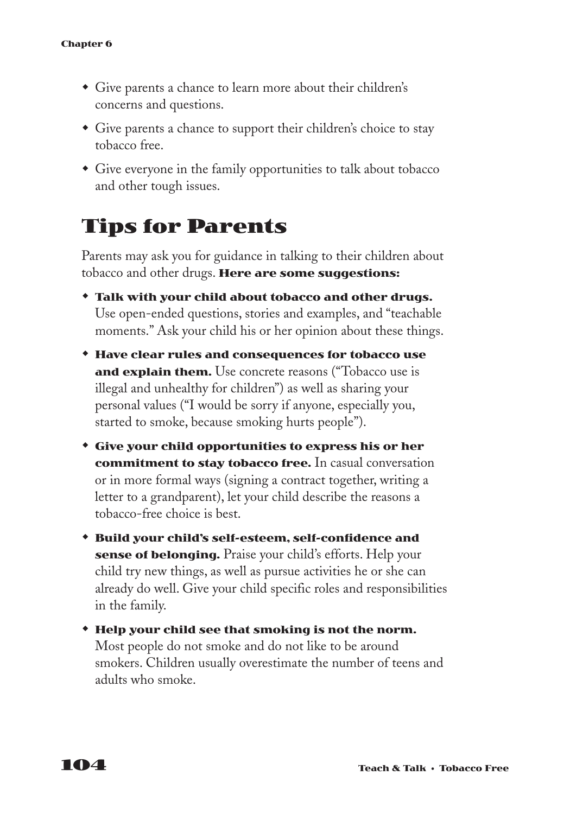- Give parents a chance to learn more about their children's concerns and questions.
- Give parents a chance to support their children's choice to stay tobacco free.
- Give everyone in the family opportunities to talk about tobacco and other tough issues.

## **Tips for Parents**

Parents may ask you for guidance in talking to their children about tobacco and other drugs. **Here are some suggestions:**

- w **Talk with your child about tobacco and other drugs.** Use open-ended questions, stories and examples, and "teachable moments." Ask your child his or her opinion about these things.
- w **Have clear rules and consequences for tobacco use and explain them.** Use concrete reasons ("Tobacco use is illegal and unhealthy for children") as well as sharing your personal values ("I would be sorry if anyone, especially you, started to smoke, because smoking hurts people").
- w **Give your child opportunities to express his or her commitment to stay tobacco free.** In casual conversation or in more formal ways (signing a contract together, writing a letter to a grandparent), let your child describe the reasons a tobacco-free choice is best.
- w **Build your child's self-esteem, self-confidence and sense of belonging.** Praise your child's efforts. Help your child try new things, as well as pursue activities he or she can already do well. Give your child specific roles and responsibilities in the family.
- w **Help your child see that smoking is not the norm.** Most people do not smoke and do not like to be around smokers. Children usually overestimate the number of teens and adults who smoke.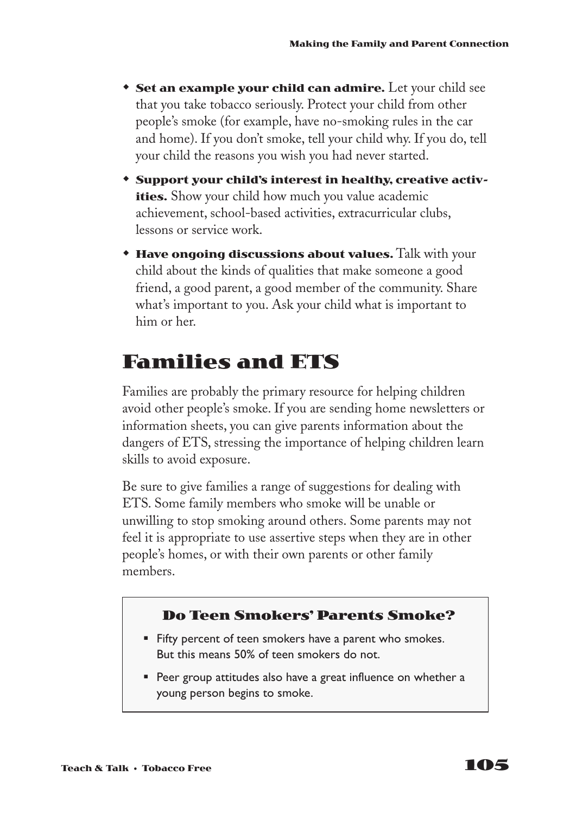- **Set an example your child can admire.** Let your child see that you take tobacco seriously. Protect your child from other people's smoke (for example, have no-smoking rules in the car and home). If you don't smoke, tell your child why. If you do, tell your child the reasons you wish you had never started.
- **\*** Support your child's interest in healthy, creative activ**ities.** Show your child how much you value academic achievement, school-based activities, extracurricular clubs, lessons or service work.
- **\* Have ongoing discussions about values.** Talk with your child about the kinds of qualities that make someone a good friend, a good parent, a good member of the community. Share what's important to you. Ask your child what is important to him or her.

## **Families and ETS**

Families are probably the primary resource for helping children avoid other people's smoke. If you are sending home newsletters or information sheets, you can give parents information about the dangers of ETS, stressing the importance of helping children learn skills to avoid exposure.

Be sure to give families a range of suggestions for dealing with ETS. Some family members who smoke will be unable or unwilling to stop smoking around others. Some parents may not feel it is appropriate to use assertive steps when they are in other people's homes, or with their own parents or other family members.

### **Do Teen Smokers' Parents Smoke?**

- Fifty percent of teen smokers have a parent who smokes. But this means 50% of teen smokers do not.
- Peer group attitudes also have a great influence on whether a young person begins to smoke.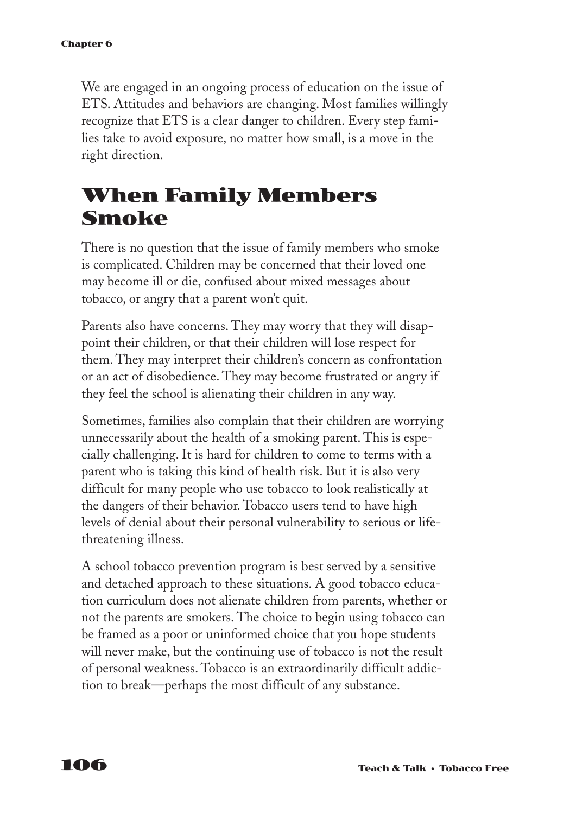We are engaged in an ongoing process of education on the issue of ETS. Attitudes and behaviors are changing. Most families willingly recognize that ETS is a clear danger to children. Every step families take to avoid exposure, no matter how small, is a move in the right direction.

# **When Family Members Smoke**

There is no question that the issue of family members who smoke is complicated. Children may be concerned that their loved one may become ill or die, confused about mixed messages about tobacco, or angry that a parent won't quit.

Parents also have concerns. They may worry that they will disappoint their children, or that their children will lose respect for them. They may interpret their children's concern as confrontation or an act of disobedience. They may become frustrated or angry if they feel the school is alienating their children in any way.

Sometimes, families also complain that their children are worrying unnecessarily about the health of a smoking parent. This is especially challenging. It is hard for children to come to terms with a parent who is taking this kind of health risk. But it is also very difficult for many people who use tobacco to look realistically at the dangers of their behavior. Tobacco users tend to have high levels of denial about their personal vulnerability to serious or lifethreatening illness.

A school tobacco prevention program is best served by a sensitive and detached approach to these situations. A good tobacco education curriculum does not alienate children from parents, whether or not the parents are smokers. The choice to begin using tobacco can be framed as a poor or uninformed choice that you hope students will never make, but the continuing use of tobacco is not the result of personal weakness. Tobacco is an extraordinarily difficult addiction to break—perhaps the most difficult of any substance.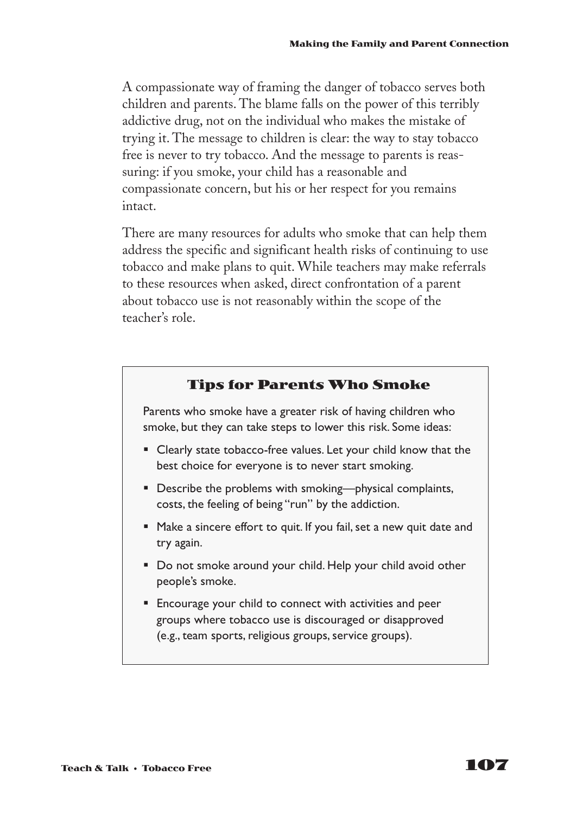A compassionate way of framing the danger of tobacco serves both children and parents. The blame falls on the power of this terribly addictive drug, not on the individual who makes the mistake of trying it. The message to children is clear: the way to stay tobacco free is never to try tobacco. And the message to parents is reassuring: if you smoke, your child has a reasonable and compassionate concern, but his or her respect for you remains intact.

There are many resources for adults who smoke that can help them address the specific and significant health risks of continuing to use tobacco and make plans to quit. While teachers may make referrals to these resources when asked, direct confrontation of a parent about tobacco use is not reasonably within the scope of the teacher's role.

### **Tips for Parents Who Smoke**

Parents who smoke have a greater risk of having children who smoke, but they can take steps to lower this risk. Some ideas:

- Clearly state tobacco-free values. Let your child know that the best choice for everyone is to never start smoking.
- Describe the problems with smoking—physical complaints, costs, the feeling of being "run" by the addiction.
- Make a sincere effort to quit. If you fail, set a new quit date and try again.
- Do not smoke around your child. Help your child avoid other people's smoke.
- Encourage your child to connect with activities and peer groups where tobacco use is discouraged or disapproved (e.g., team sports, religious groups, service groups).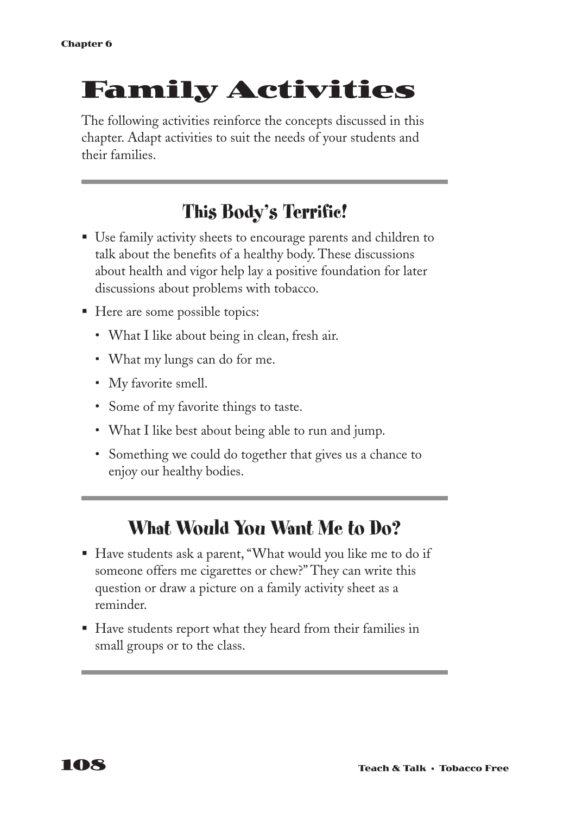# **Family Activities**

The following activities reinforce the concepts discussed in this chapter. Adapt activities to suit the needs of your students and their families.

## **This Body's Terrific!**

- Use family activity sheets to encourage parents and children to talk about the benefits of a healthy body. These discussions about health and vigor help lay a positive foundation for later discussions about problems with tobacco.
- Here are some possible topics:
	- What I like about being in clean, fresh air.
	- What my lungs can do for me.
	- My favorite smell.
	- Some of my favorite things to taste.
	- What I like best about being able to run and jump.
	- Something we could do together that gives us a chance to enjoy our healthy bodies.

## **What Would You Want Me to Do?**

- Have students ask a parent, "What would you like me to do if someone offers me cigarettes or chew?" They can write this question or draw a picture on a family activity sheet as a reminder.
- Have students report what they heard from their families in small groups or to the class.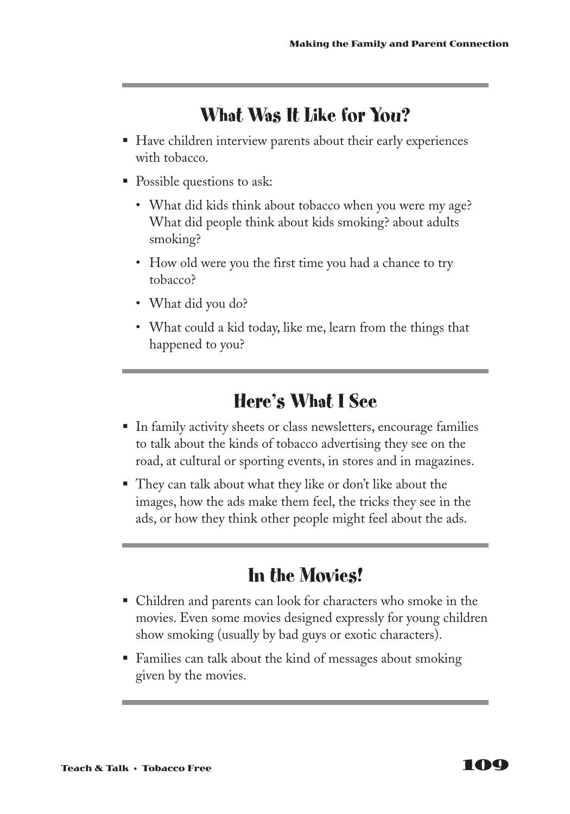# **What Was It Like for You?**

- Have children interview parents about their early experiences with tobacco.
- Possible questions to ask:
	- What did kids think about tobacco when you were my age? What did people think about kids smoking? about adults smoking?
	- How old were you the first time you had a chance to try tobacco?
	- What did you do?
	- What could a kid today, like me, learn from the things that happened to you?

## **Here's What I See**

- § In family activity sheets or class newsletters, encourage families to talk about the kinds of tobacco advertising they see on the road, at cultural or sporting events, in stores and in magazines.
- They can talk about what they like or don't like about the images, how the ads make them feel, the tricks they see in the ads, or how they think other people might feel about the ads.

# **In the Movies!**

- § Children and parents can look for characters who smoke in the movies. Even some movies designed expressly for young children show smoking (usually by bad guys or exotic characters).
- Families can talk about the kind of messages about smoking given by the movies.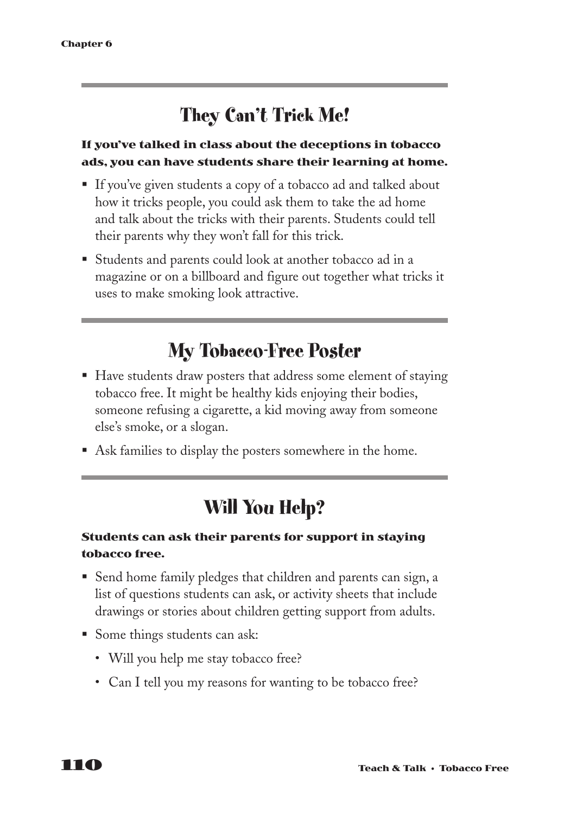# **They Can't Trick Me!**

### **If you've talked in class about the deceptions in tobacco ads, you can have students share their learning at home.**

- If you've given students a copy of a tobacco ad and talked about how it tricks people, you could ask them to take the ad home and talk about the tricks with their parents. Students could tell their parents why they won't fall for this trick.
- Students and parents could look at another tobacco ad in a magazine or on a billboard and figure out together what tricks it uses to make smoking look attractive.

## **My Tobacco-Free Poster**

- Have students draw posters that address some element of staying tobacco free. It might be healthy kids enjoying their bodies, someone refusing a cigarette, a kid moving away from someone else's smoke, or a slogan.
- Ask families to display the posters somewhere in the home.

# **Will You Help?**

### **Students can ask their parents for support in staying tobacco free.**

- Send home family pledges that children and parents can sign, a list of questions students can ask, or activity sheets that include drawings or stories about children getting support from adults.
- Some things students can ask:
	- Will you help me stay tobacco free?
	- Can I tell you my reasons for wanting to be tobacco free?

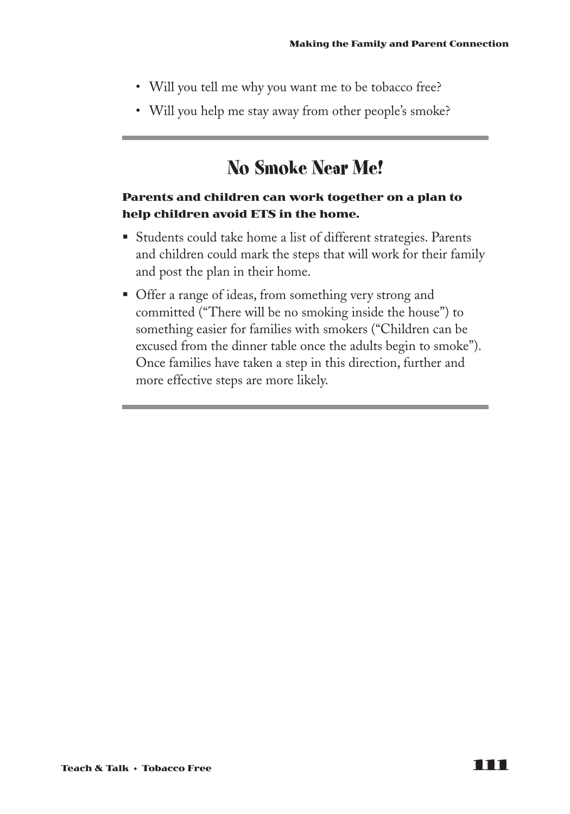- Will you tell me why you want me to be tobacco free?
- Will you help me stay away from other people's smoke?

## **No Smoke Near Me!**

### **Parents and children can work together on a plan to help children avoid ETS in the home.**

- Students could take home a list of different strategies. Parents and children could mark the steps that will work for their family and post the plan in their home.
- § Offer a range of ideas, from something very strong and committed ("There will be no smoking inside the house") to something easier for families with smokers ("Children can be excused from the dinner table once the adults begin to smoke"). Once families have taken a step in this direction, further and more effective steps are more likely.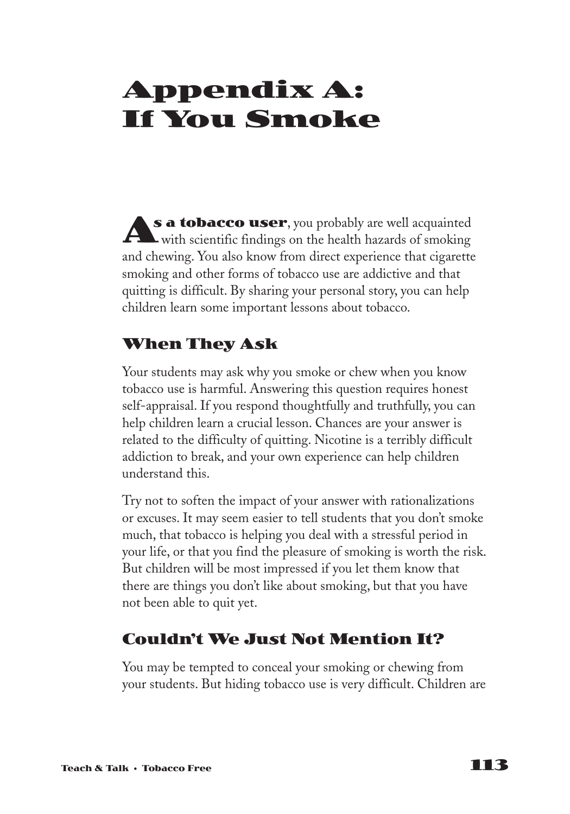# **Appendix A: If You Smoke**

**s a tobacco user**, you probably are well acquainted with scientific findings on the health hazards of smoking and chewing. You also know from direct experience that cigarette smoking and other forms of tobacco use are addictive and that quitting is difficult. By sharing your personal story, you can help children learn some important lessons about tobacco. **A**

## **When They Ask**

Your students may ask why you smoke or chew when you know tobacco use is harmful. Answering this question requires honest self-appraisal. If you respond thoughtfully and truthfully, you can help children learn a crucial lesson. Chances are your answer is related to the difficulty of quitting. Nicotine is a terribly difficult addiction to break, and your own experience can help children understand this.

Try not to soften the impact of your answer with rationalizations or excuses. It may seem easier to tell students that you don't smoke much, that tobacco is helping you deal with a stressful period in your life, or that you find the pleasure of smoking is worth the risk. But children will be most impressed if you let them know that there are things you don't like about smoking, but that you have not been able to quit yet.

## **Couldn't We Just Not Mention It?**

You may be tempted to conceal your smoking or chewing from your students. But hiding tobacco use is very difficult. Children are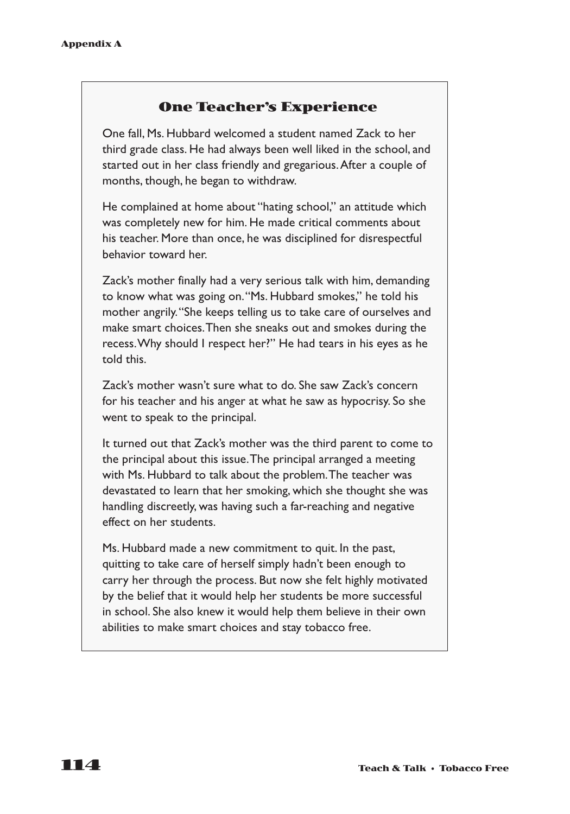### **One Teacher's Experience**

One fall, Ms. Hubbard welcomed a student named Zack to her third grade class. He had always been well liked in the school, and started out in her class friendly and gregarious.After a couple of months, though, he began to withdraw.

He complained at home about "hating school," an attitude which was completely new for him. He made critical comments about his teacher. More than once, he was disciplined for disrespectful behavior toward her.

Zack's mother finally had a very serious talk with him, demanding to know what was going on."Ms. Hubbard smokes," he told his mother angrily."She keeps telling us to take care of ourselves and make smart choices.Then she sneaks out and smokes during the recess.Why should I respect her?" He had tears in his eyes as he told this.

Zack's mother wasn't sure what to do. She saw Zack's concern for his teacher and his anger at what he saw as hypocrisy. So she went to speak to the principal.

It turned out that Zack's mother was the third parent to come to the principal about this issue.The principal arranged a meeting with Ms. Hubbard to talk about the problem.The teacher was devastated to learn that her smoking, which she thought she was handling discreetly, was having such a far-reaching and negative effect on her students.

Ms. Hubbard made a new commitment to quit. In the past, quitting to take care of herself simply hadn't been enough to carry her through the process. But now she felt highly motivated by the belief that it would help her students be more successful in school. She also knew it would help them believe in their own abilities to make smart choices and stay tobacco free.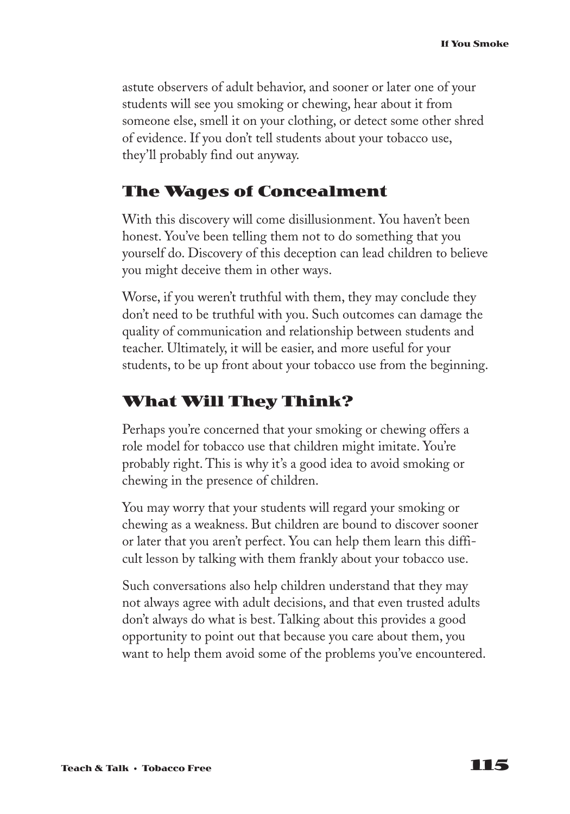astute observers of adult behavior, and sooner or later one of your students will see you smoking or chewing, hear about it from someone else, smell it on your clothing, or detect some other shred of evidence. If you don't tell students about your tobacco use, they'll probably find out anyway.

### **The Wages of Concealment**

With this discovery will come disillusionment. You haven't been honest. You've been telling them not to do something that you yourself do. Discovery of this deception can lead children to believe you might deceive them in other ways.

Worse, if you weren't truthful with them, they may conclude they don't need to be truthful with you. Such outcomes can damage the quality of communication and relationship between students and teacher. Ultimately, it will be easier, and more useful for your students, to be up front about your tobacco use from the beginning.

### **What Will They Think?**

Perhaps you're concerned that your smoking or chewing offers a role model for tobacco use that children might imitate. You're probably right. This is why it's a good idea to avoid smoking or chewing in the presence of children.

You may worry that your students will regard your smoking or chewing as a weakness. But children are bound to discover sooner or later that you aren't perfect. You can help them learn this difficult lesson by talking with them frankly about your tobacco use.

Such conversations also help children understand that they may not always agree with adult decisions, and that even trusted adults don't always do what is best. Talking about this provides a good opportunity to point out that because you care about them, you want to help them avoid some of the problems you've encountered.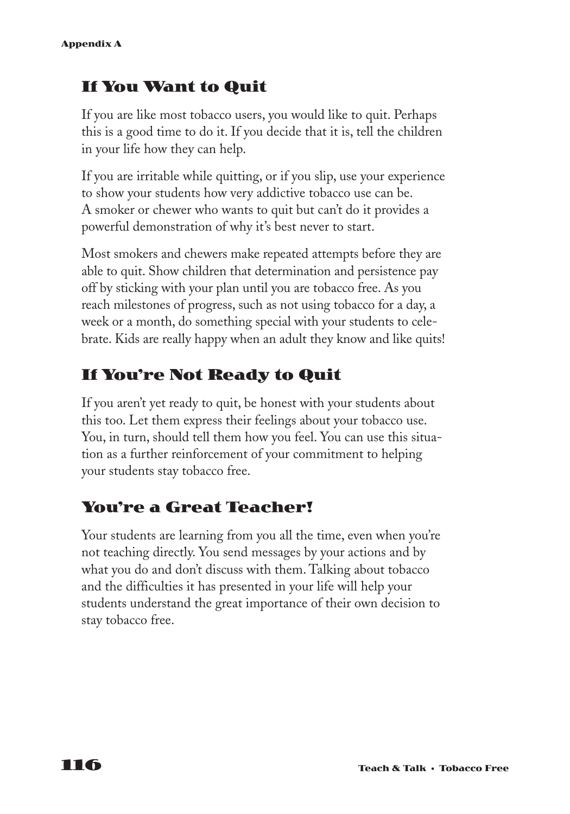## **If You Want to Quit**

If you are like most tobacco users, you would like to quit. Perhaps this is a good time to do it. If you decide that it is, tell the children in your life how they can help.

If you are irritable while quitting, or if you slip, use your experience to show your students how very addictive tobacco use can be. A smoker or chewer who wants to quit but can't do it provides a powerful demonstration of why it's best never to start.

Most smokers and chewers make repeated attempts before they are able to quit. Show children that determination and persistence pay off by sticking with your plan until you are tobacco free. As you reach milestones of progress, such as not using tobacco for a day, a week or a month, do something special with your students to celebrate. Kids are really happy when an adult they know and like quits!

## **If You're Not Ready to Quit**

If you aren't yet ready to quit, be honest with your students about this too. Let them express their feelings about your tobacco use. You, in turn, should tell them how you feel. You can use this situation as a further reinforcement of your commitment to helping your students stay tobacco free.

## **You're a Great Teacher!**

Your students are learning from you all the time, even when you're not teaching directly. You send messages by your actions and by what you do and don't discuss with them. Talking about tobacco and the difficulties it has presented in your life will help your students understand the great importance of their own decision to stay tobacco free.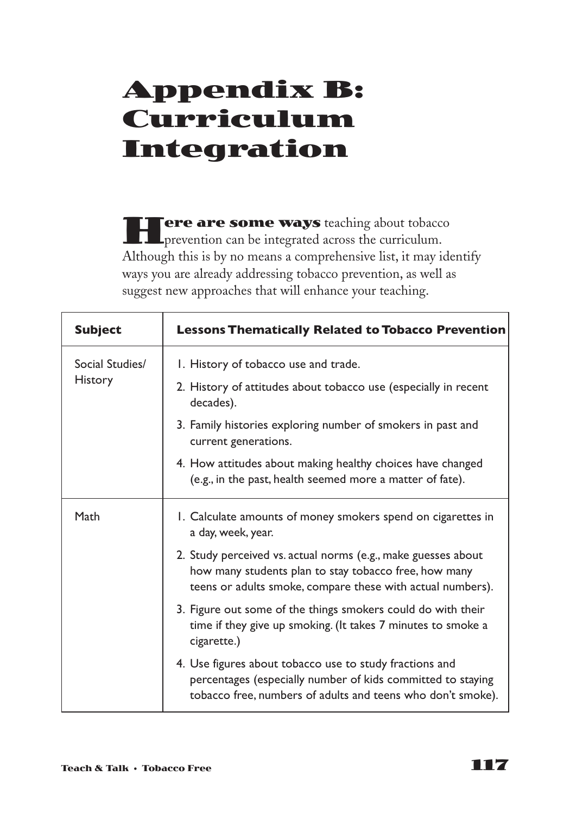# **Appendix B: Curriculum Integration**

**Here are some ways** teaching about tobacco prevention can be integrated across the curriculum. Although this is by no means a comprehensive list, it may identify ways you are already addressing tobacco prevention, as well as suggest new approaches that will enhance your teaching.

| <b>Subject</b>                    | <b>Lessons Thematically Related to Tobacco Prevention</b>                                                                                                                             |
|-----------------------------------|---------------------------------------------------------------------------------------------------------------------------------------------------------------------------------------|
| Social Studies/<br><b>History</b> | I. History of tobacco use and trade.                                                                                                                                                  |
|                                   | 2. History of attitudes about tobacco use (especially in recent<br>decades).                                                                                                          |
|                                   | 3. Family histories exploring number of smokers in past and<br>current generations.                                                                                                   |
|                                   | 4. How attitudes about making healthy choices have changed<br>(e.g., in the past, health seemed more a matter of fate).                                                               |
| Math                              | 1. Calculate amounts of money smokers spend on cigarettes in<br>a day, week, year.                                                                                                    |
|                                   | 2. Study perceived vs. actual norms (e.g., make guesses about<br>how many students plan to stay tobacco free, how many<br>teens or adults smoke, compare these with actual numbers).  |
|                                   | 3. Figure out some of the things smokers could do with their<br>time if they give up smoking. (It takes 7 minutes to smoke a<br>cigarette.)                                           |
|                                   | 4. Use figures about tobacco use to study fractions and<br>percentages (especially number of kids committed to staying<br>tobacco free, numbers of adults and teens who don't smoke). |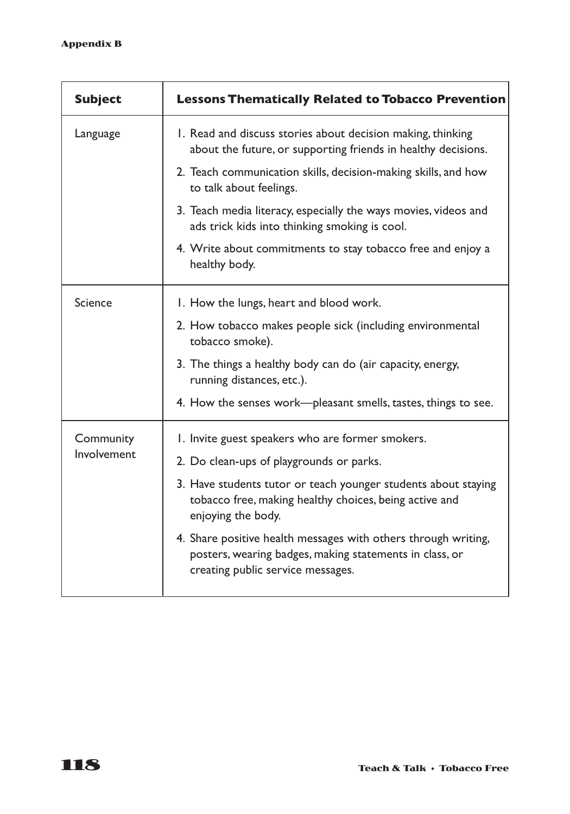| <b>Subject</b>           | <b>Lessons Thematically Related to Tobacco Prevention</b>                                                                                                      |
|--------------------------|----------------------------------------------------------------------------------------------------------------------------------------------------------------|
| Language                 | 1. Read and discuss stories about decision making, thinking<br>about the future, or supporting friends in healthy decisions.                                   |
|                          | 2. Teach communication skills, decision-making skills, and how<br>to talk about feelings.                                                                      |
|                          | 3. Teach media literacy, especially the ways movies, videos and<br>ads trick kids into thinking smoking is cool.                                               |
|                          | 4. Write about commitments to stay tobacco free and enjoy a<br>healthy body.                                                                                   |
| Science                  | I. How the lungs, heart and blood work.                                                                                                                        |
|                          | 2. How tobacco makes people sick (including environmental<br>tobacco smoke).                                                                                   |
|                          | 3. The things a healthy body can do (air capacity, energy,<br>running distances, etc.).                                                                        |
|                          | 4. How the senses work-pleasant smells, tastes, things to see.                                                                                                 |
| Community<br>Involvement | I. Invite guest speakers who are former smokers.                                                                                                               |
|                          | 2. Do clean-ups of playgrounds or parks.                                                                                                                       |
|                          | 3. Have students tutor or teach younger students about staying<br>tobacco free, making healthy choices, being active and<br>enjoying the body.                 |
|                          | 4. Share positive health messages with others through writing,<br>posters, wearing badges, making statements in class, or<br>creating public service messages. |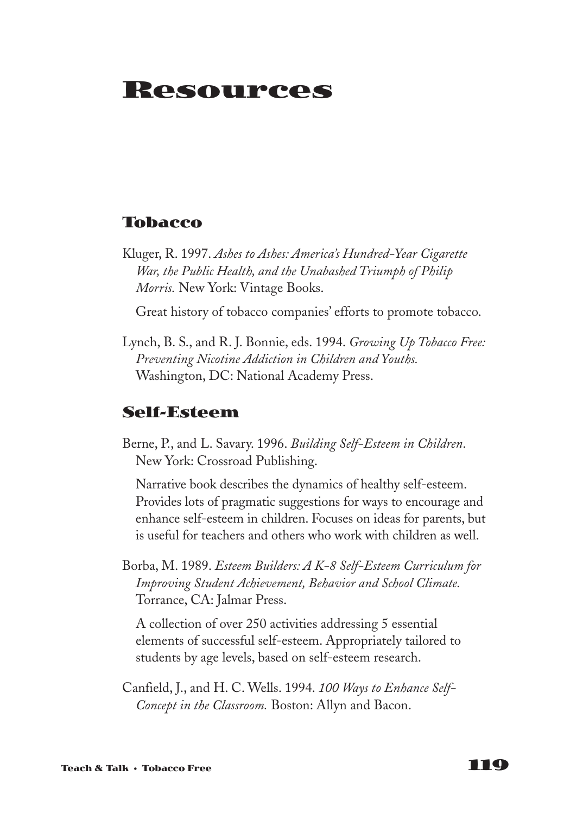# **Resources**

### **Tobacco**

Kluger, R. 1997. *Ashes to Ashes: America's Hundred-Year Cigarette War, the Public Health, and the Unabashed Triumph of Philip Morris.* New York: Vintage Books.

Great history of tobacco companies' efforts to promote tobacco.

Lynch, B. S., and R. J. Bonnie, eds. 1994. *Growing Up Tobacco Free: Preventing Nicotine Addiction in Children and Youths.* Washington, DC: National Academy Press.

### **Self-Esteem**

Berne, P., and L. Savary. 1996. *Building Self-Esteem in Children*. New York: Crossroad Publishing.

Narrative book describes the dynamics of healthy self-esteem. Provides lots of pragmatic suggestions for ways to encourage and enhance self-esteem in children. Focuses on ideas for parents, but is useful for teachers and others who work with children as well.

Borba, M. 1989. *Esteem Builders: A K-8 Self-Esteem Curriculum for Improving Student Achievement, Behavior and School Climate.* Torrance, CA: Jalmar Press.

A collection of over 250 activities addressing 5 essential elements of successful self-esteem. Appropriately tailored to students by age levels, based on self-esteem research.

Canfield, J., and H. C. Wells. 1994. *100 Ways to Enhance Self-Concept in the Classroom.* Boston: Allyn and Bacon.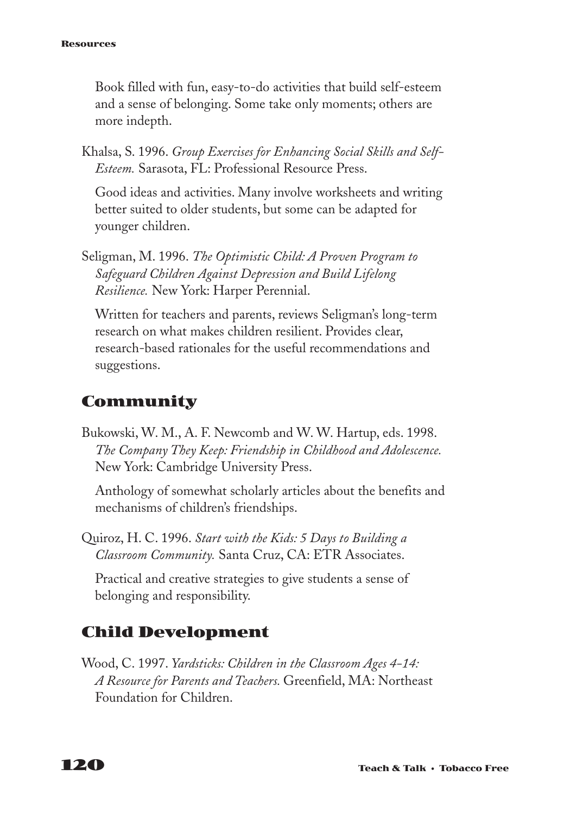#### **Resources**

Book filled with fun, easy-to-do activities that build self-esteem and a sense of belonging. Some take only moments; others are more indepth.

Khalsa, S. 1996. *Group Exercises for Enhancing Social Skills and Self-Esteem.* Sarasota, FL: Professional Resource Press.

Good ideas and activities. Many involve worksheets and writing better suited to older students, but some can be adapted for younger children.

Seligman, M. 1996. *The Optimistic Child: A Proven Program to Safeguard Children Against Depression and Build Lifelong Resilience.* New York: Harper Perennial.

Written for teachers and parents, reviews Seligman's long-term research on what makes children resilient. Provides clear, research-based rationales for the useful recommendations and suggestions.

## **Community**

Bukowski, W. M., A. F. Newcomb and W. W. Hartup, eds. 1998. *The Company They Keep: Friendship in Childhood and Adolescence.* New York: Cambridge University Press.

Anthology of somewhat scholarly articles about the benefits and mechanisms of children's friendships.

Quiroz, H. C. 1996. *Start with the Kids: 5 Days to Building a Classroom Community.* Santa Cruz, CA: ETR Associates.

Practical and creative strategies to give students a sense of belonging and responsibility.

### **Child Development**

Wood, C. 1997. *Yardsticks: Children in the Classroom Ages 4-14: A Resource for Parents and Teachers.* Greenfield, MA: Northeast Foundation for Children.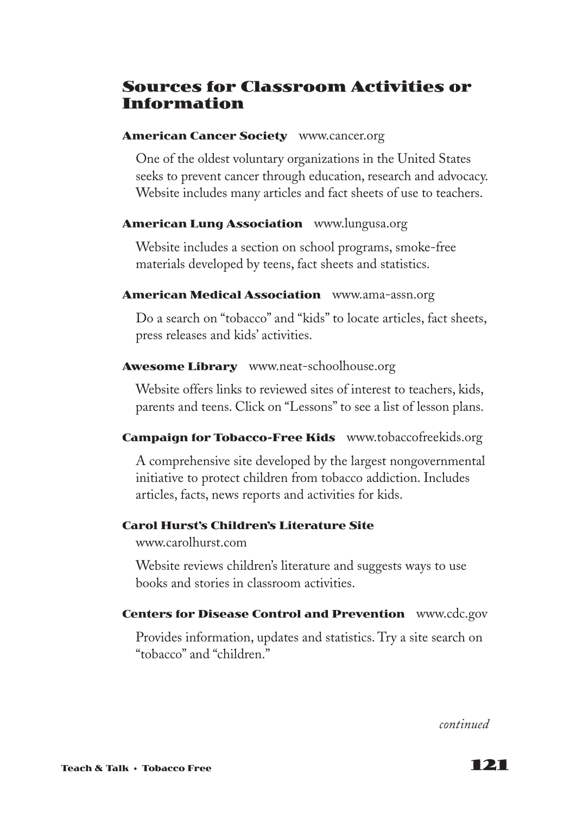### **Sources for Classroom Activities or Information**

#### **American Cancer Society** www.cancer.org

One of the oldest voluntary organizations in the United States seeks to prevent cancer through education, research and advocacy. Website includes many articles and fact sheets of use to teachers.

### **American Lung Association** www.lungusa.org

Website includes a section on school programs, smoke-free materials developed by teens, fact sheets and statistics.

### **American Medical Association** www.ama-assn.org

Do a search on "tobacco" and "kids" to locate articles, fact sheets, press releases and kids' activities.

### **Awesome Library** www.neat-schoolhouse.org

Website offers links to reviewed sites of interest to teachers, kids, parents and teens. Click on "Lessons" to see a list of lesson plans.

### **Campaign for Tobacco-Free Kids** www.tobaccofreekids.org

A comprehensive site developed by the largest nongovernmental initiative to protect children from tobacco addiction. Includes articles, facts, news reports and activities for kids.

### **Carol Hurst's Children's Literature Site**

www.carolhurst.com

Website reviews children's literature and suggests ways to use books and stories in classroom activities.

### **Centers for Disease Control and Prevention** www.cdc.gov

Provides information, updates and statistics. Try a site search on "tobacco" and "children."

*continued*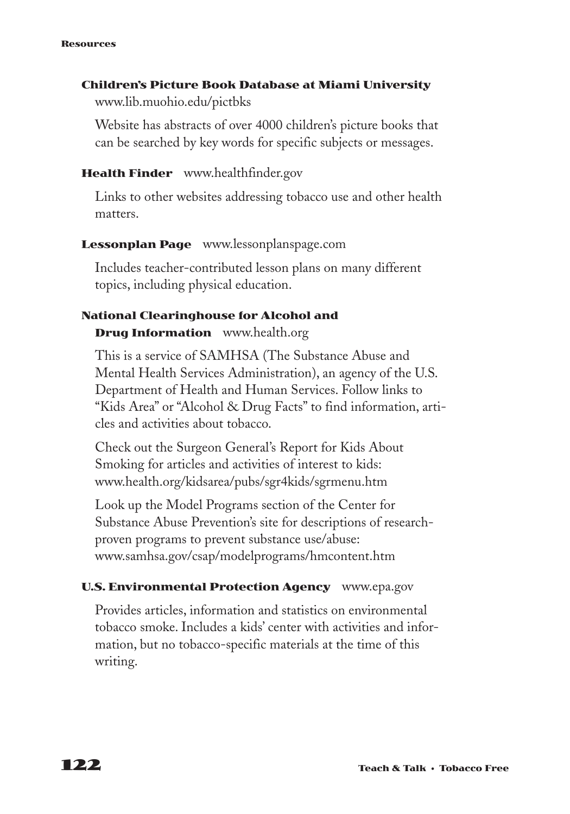#### **Resources**

### **Children's Picture Book Database at Miami University**

www.lib.muohio.edu/pictbks

Website has abstracts of over 4000 children's picture books that can be searched by key words for specific subjects or messages.

### **Health Finder** www.healthfinder.gov

Links to other websites addressing tobacco use and other health matters.

### **Lessonplan Page** www.lessonplanspage.com

Includes teacher-contributed lesson plans on many different topics, including physical education.

### **National Clearinghouse for Alcohol and Drug Information** www.health.org

This is a service of SAMHSA (The Substance Abuse and Mental Health Services Administration), an agency of the U.S. Department of Health and Human Services. Follow links to "Kids Area" or "Alcohol & Drug Facts" to find information, articles and activities about tobacco.

Check out the Surgeon General's Report for Kids About Smoking for articles and activities of interest to kids: www.health.org/kidsarea/pubs/sgr4kids/sgrmenu.htm

Look up the Model Programs section of the Center for Substance Abuse Prevention's site for descriptions of researchproven programs to prevent substance use/abuse: www.samhsa.gov/csap/modelprograms/hmcontent.htm

### **U.S. Environmental Protection Agency** www.epa.gov

Provides articles, information and statistics on environmental tobacco smoke. Includes a kids' center with activities and information, but no tobacco-specific materials at the time of this writing.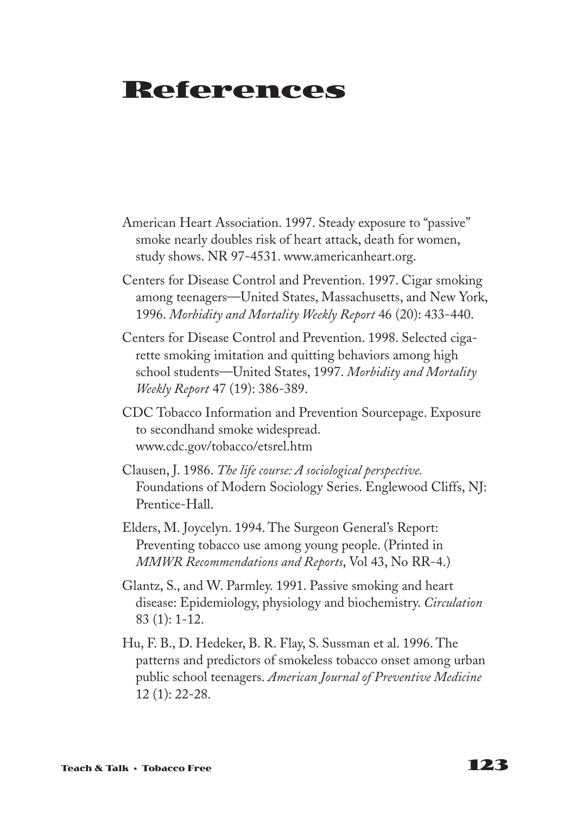# **References**

- American Heart Association. 1997. Steady exposure to "passive" smoke nearly doubles risk of heart attack, death for women, study shows. NR 97-4531. www.americanheart.org.
- Centers for Disease Control and Prevention. 1997. Cigar smoking among teenagers—United States, Massachusetts, and New York, 1996. *Morbidity and Mortality Weekly Report* 46 (20): 433-440.
- Centers for Disease Control and Prevention. 1998. Selected cigarette smoking imitation and quitting behaviors among high school students—United States, 1997. *Morbidity and Mortality Weekly Report* 47 (19): 386-389.
- CDC Tobacco Information and Prevention Sourcepage. Exposure to secondhand smoke widespread. www.cdc.gov/tobacco/etsrel.htm
- Clausen, J. 1986. *The life course: A sociological perspective.* Foundations of Modern Sociology Series. Englewood Cliffs, NJ: Prentice-Hall.
- Elders, M. Joycelyn. 1994. The Surgeon General's Report: Preventing tobacco use among young people. (Printed in *MMWR Recommendations and Reports*, Vol 43, No RR-4.)
- Glantz, S., and W. Parmley. 1991. Passive smoking and heart disease: Epidemiology, physiology and biochemistry. *Circulation* 83 (1): 1-12.
- Hu, F. B., D. Hedeker, B. R. Flay, S. Sussman et al. 1996. The patterns and predictors of smokeless tobacco onset among urban public school teenagers. *American Journal of Preventive Medicine* 12 (1): 22-28.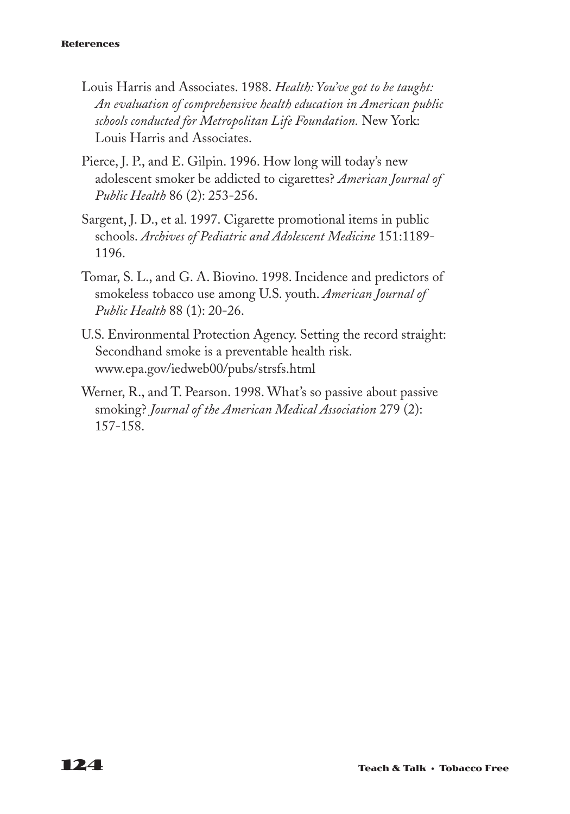#### **References**

- Louis Harris and Associates. 1988. *Health: You've got to be taught: An evaluation of comprehensive health education in American public schools conducted for Metropolitan Life Foundation.* New York: Louis Harris and Associates.
- Pierce, J. P., and E. Gilpin. 1996. How long will today's new adolescent smoker be addicted to cigarettes? *American Journal of Public Health* 86 (2): 253-256.
- Sargent, J. D., et al. 1997. Cigarette promotional items in public schools. *Archives of Pediatric and Adolescent Medicine* 151:1189- 1196.
- Tomar, S. L., and G. A. Biovino. 1998. Incidence and predictors of smokeless tobacco use among U.S. youth. *American Journal of Public Health* 88 (1): 20-26.
- U.S. Environmental Protection Agency. Setting the record straight: Secondhand smoke is a preventable health risk. www.epa.gov/iedweb00/pubs/strsfs.html
- Werner, R., and T. Pearson. 1998. What's so passive about passive smoking? *Journal of the American Medical Association* 279 (2): 157-158.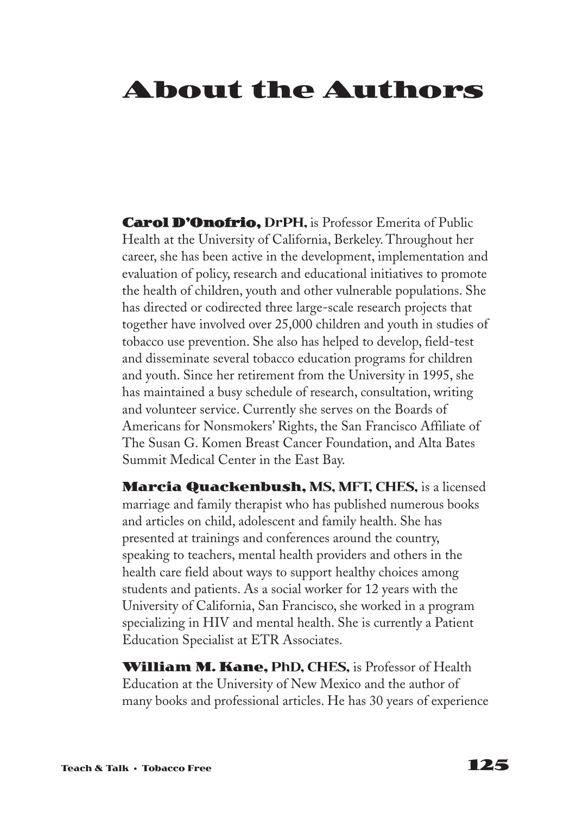# **About the Authors**

**Carol D'Onofrio, DrPH,** is Professor Emerita of Public Health at the University of California, Berkeley. Throughout her career, she has been active in the development, implementation and evaluation of policy, research and educational initiatives to promote the health of children, youth and other vulnerable populations. She has directed or codirected three large-scale research projects that together have involved over 25,000 children and youth in studies of tobacco use prevention. She also has helped to develop, field-test and disseminate several tobacco education programs for children and youth. Since her retirement from the University in 1995, she has maintained a busy schedule of research, consultation, writing and volunteer service. Currently she serves on the Boards of Americans for Nonsmokers' Rights, the San Francisco Affiliate of The Susan G. Komen Breast Cancer Foundation, and Alta Bates Summit Medical Center in the East Bay.

**Marcia Quackenbush, MS, MFT, CHES,** is a licensed marriage and family therapist who has published numerous books and articles on child, adolescent and family health. She has presented at trainings and conferences around the country, speaking to teachers, mental health providers and others in the health care field about ways to support healthy choices among students and patients. As a social worker for 12 years with the University of California, San Francisco, she worked in a program specializing in HIV and mental health. She is currently a Patient Education Specialist at ETR Associates.

**William M. Kane, PhD, CHES,** is Professor of Health Education at the University of New Mexico and the author of many books and professional articles. He has 30 years of experience